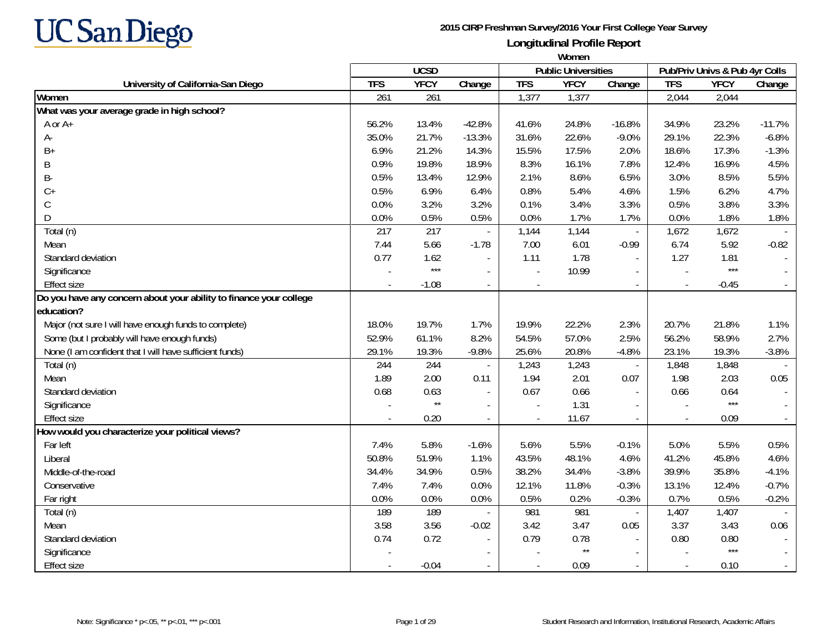

|                                                                    | Women      |              |                          |            |                            |                             |                          |                                |          |
|--------------------------------------------------------------------|------------|--------------|--------------------------|------------|----------------------------|-----------------------------|--------------------------|--------------------------------|----------|
|                                                                    |            | <b>UCSD</b>  |                          |            | <b>Public Universities</b> |                             |                          | Pub/Priv Univs & Pub 4yr Colls |          |
| University of California-San Diego                                 | <b>TFS</b> | <b>YFCY</b>  | Change                   | <b>TFS</b> | <b>YFCY</b>                | Change                      | <b>TFS</b>               | <b>YFCY</b>                    | Change   |
| Women                                                              | 261        | 261          |                          | 1,377      | 1,377                      |                             | 2,044                    | 2,044                          |          |
| What was your average grade in high school?                        |            |              |                          |            |                            |                             |                          |                                |          |
| A or A+                                                            | 56.2%      | 13.4%        | $-42.8%$                 | 41.6%      | 24.8%                      | $-16.8%$                    | 34.9%                    | 23.2%                          | $-11.7%$ |
| А-                                                                 | 35.0%      | 21.7%        | $-13.3%$                 | 31.6%      | 22.6%                      | $-9.0%$                     | 29.1%                    | 22.3%                          | $-6.8%$  |
| $B+$                                                               | 6.9%       | 21.2%        | 14.3%                    | 15.5%      | 17.5%                      | 2.0%                        | 18.6%                    | 17.3%                          | $-1.3%$  |
| B                                                                  | 0.9%       | 19.8%        | 18.9%                    | 8.3%       | 16.1%                      | 7.8%                        | 12.4%                    | 16.9%                          | 4.5%     |
| B-                                                                 | 0.5%       | 13.4%        | 12.9%                    | 2.1%       | 8.6%                       | 6.5%                        | 3.0%                     | 8.5%                           | 5.5%     |
| $C+$                                                               | 0.5%       | 6.9%         | 6.4%                     | 0.8%       | 5.4%                       | 4.6%                        | 1.5%                     | 6.2%                           | 4.7%     |
| C                                                                  | 0.0%       | 3.2%         | 3.2%                     | 0.1%       | 3.4%                       | 3.3%                        | 0.5%                     | 3.8%                           | 3.3%     |
| D                                                                  | 0.0%       | 0.5%         | 0.5%                     | 0.0%       | 1.7%                       | 1.7%                        | 0.0%                     | 1.8%                           | 1.8%     |
| Total (n)                                                          | 217        | 217          | $\blacksquare$           | 1,144      | 1,144                      | $\overline{\phantom{a}}$    | 1,672                    | 1,672                          |          |
| Mean                                                               | 7.44       | 5.66         | $-1.78$                  | 7.00       | 6.01                       | $-0.99$                     | 6.74                     | 5.92                           | $-0.82$  |
| Standard deviation                                                 | 0.77       | 1.62         | $\overline{a}$           | 1.11       | 1.78                       | $\overline{a}$              | 1.27                     | 1.81                           |          |
| Significance                                                       |            | $***$        | $\overline{\phantom{a}}$ | $\sim$     | 10.99                      | $\sim$                      | $\overline{a}$           | $***$                          |          |
| <b>Effect size</b>                                                 |            | $-1.08$      | $\overline{\phantom{a}}$ | $\sim$     |                            | $\overline{\phantom{a}}$    | $\overline{\phantom{a}}$ | $-0.45$                        |          |
| Do you have any concern about your ability to finance your college |            |              |                          |            |                            |                             |                          |                                |          |
| education?                                                         |            |              |                          |            |                            |                             |                          |                                |          |
| Major (not sure I will have enough funds to complete)              | 18.0%      | 19.7%        | 1.7%                     | 19.9%      | 22.2%                      | 2.3%                        | 20.7%                    | 21.8%                          | 1.1%     |
| Some (but I probably will have enough funds)                       | 52.9%      | 61.1%        | 8.2%                     | 54.5%      | 57.0%                      | 2.5%                        | 56.2%                    | 58.9%                          | 2.7%     |
| None (I am confident that I will have sufficient funds)            | 29.1%      | 19.3%        | $-9.8%$                  | 25.6%      | 20.8%                      | $-4.8%$                     | 23.1%                    | 19.3%                          | $-3.8%$  |
| Total (n)                                                          | 244        | 244          |                          | 1,243      | 1,243                      | $\overline{\phantom{a}}$    | 1,848                    | 1,848                          |          |
| Mean                                                               | 1.89       | 2.00         | 0.11                     | 1.94       | 2.01                       | 0.07                        | 1.98                     | 2.03                           | 0.05     |
| Standard deviation                                                 | 0.68       | 0.63         | $\overline{\phantom{a}}$ | 0.67       | 0.66                       | $\overline{\phantom{a}}$    | 0.66                     | 0.64                           |          |
| Significance                                                       |            | $\star\star$ | $\overline{\phantom{a}}$ | $\sim$     | 1.31                       | $\sim$                      |                          | $***$                          |          |
| <b>Effect size</b>                                                 |            | 0.20         | $\blacksquare$           | $\sim$     | 11.67                      | $\mathbb{L}^2$              |                          | 0.09                           |          |
| How would you characterize your political views?                   |            |              |                          |            |                            |                             |                          |                                |          |
| Far left                                                           | 7.4%       | 5.8%         | $-1.6%$                  | 5.6%       | 5.5%                       | $-0.1%$                     | 5.0%                     | 5.5%                           | 0.5%     |
| Liberal                                                            | 50.8%      | 51.9%        | 1.1%                     | 43.5%      | 48.1%                      | 4.6%                        | 41.2%                    | 45.8%                          | 4.6%     |
| Middle-of-the-road                                                 | 34.4%      | 34.9%        | 0.5%                     | 38.2%      | 34.4%                      | $-3.8%$                     | 39.9%                    | 35.8%                          | $-4.1%$  |
| Conservative                                                       | 7.4%       | 7.4%         | 0.0%                     | 12.1%      | 11.8%                      | $-0.3%$                     | 13.1%                    | 12.4%                          | $-0.7%$  |
| Far right                                                          | 0.0%       | 0.0%         | 0.0%                     | 0.5%       | 0.2%                       | $-0.3%$                     | 0.7%                     | 0.5%                           | $-0.2%$  |
| Total (n)                                                          | 189        | 189          |                          | 981        | 981                        | $\overline{\phantom{a}}$    | 1,407                    | 1,407                          |          |
| Mean                                                               | 3.58       | 3.56         | $-0.02$                  | 3.42       | 3.47                       | 0.05                        | 3.37                     | 3.43                           | 0.06     |
| Standard deviation                                                 | 0.74       | 0.72         | $\overline{\phantom{a}}$ | 0.79       | 0.78                       |                             | 0.80                     | 0.80                           |          |
| Significance                                                       |            |              | $\overline{\phantom{a}}$ |            | $\star\star$               | $\sim$                      |                          | $***$                          |          |
| <b>Effect size</b>                                                 |            | $-0.04$      |                          |            | 0.09                       | $\mathcal{L}_{\mathcal{A}}$ |                          | 0.10                           |          |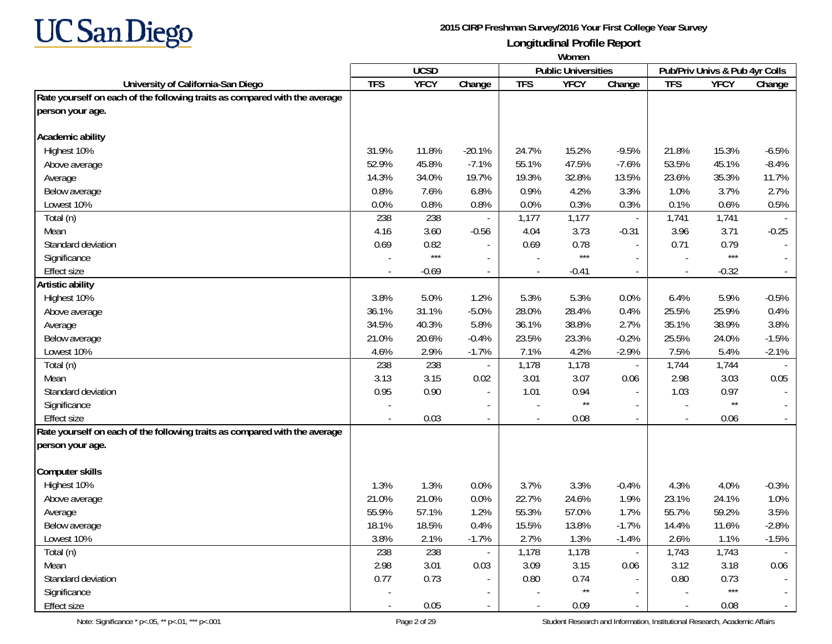

|                                                                            | Women      |             |                          |            |                            |                          |                          |                                |         |
|----------------------------------------------------------------------------|------------|-------------|--------------------------|------------|----------------------------|--------------------------|--------------------------|--------------------------------|---------|
|                                                                            |            | <b>UCSD</b> |                          |            | <b>Public Universities</b> |                          |                          | Pub/Priv Univs & Pub 4yr Colls |         |
| University of California-San Diego                                         | <b>TFS</b> | <b>YFCY</b> | Change                   | <b>TFS</b> | <b>YFCY</b>                | Change                   | <b>TFS</b>               | <b>YFCY</b>                    | Change  |
| Rate yourself on each of the following traits as compared with the average |            |             |                          |            |                            |                          |                          |                                |         |
| person your age.                                                           |            |             |                          |            |                            |                          |                          |                                |         |
| Academic ability                                                           |            |             |                          |            |                            |                          |                          |                                |         |
| Highest 10%                                                                | 31.9%      | 11.8%       | $-20.1%$                 | 24.7%      | 15.2%                      | $-9.5%$                  | 21.8%                    | 15.3%                          | $-6.5%$ |
| Above average                                                              | 52.9%      | 45.8%       | $-7.1%$                  | 55.1%      | 47.5%                      | $-7.6%$                  | 53.5%                    | 45.1%                          | $-8.4%$ |
| Average                                                                    | 14.3%      | 34.0%       | 19.7%                    | 19.3%      | 32.8%                      | 13.5%                    | 23.6%                    | 35.3%                          | 11.7%   |
| Below average                                                              | 0.8%       | 7.6%        | 6.8%                     | 0.9%       | 4.2%                       | 3.3%                     | 1.0%                     | 3.7%                           | 2.7%    |
| Lowest 10%                                                                 | 0.0%       | 0.8%        | 0.8%                     | 0.0%       | 0.3%                       | 0.3%                     | 0.1%                     | 0.6%                           | 0.5%    |
| Total (n)                                                                  | 238        | 238         |                          | 1,177      | 1,177                      | $\overline{\phantom{a}}$ | 1,741                    | 1,741                          |         |
| Mean                                                                       | 4.16       | 3.60        | $-0.56$                  | 4.04       | 3.73                       | $-0.31$                  | 3.96                     | 3.71                           | $-0.25$ |
| Standard deviation                                                         | 0.69       | 0.82        |                          | 0.69       | 0.78                       | $\overline{\phantom{a}}$ | 0.71                     | 0.79                           |         |
| Significance                                                               |            | $***$       |                          |            | $***$                      |                          |                          | $***$                          |         |
| <b>Effect size</b>                                                         |            | $-0.69$     |                          |            | $-0.41$                    | $\blacksquare$           |                          | $-0.32$                        |         |
| Artistic ability                                                           |            |             |                          |            |                            |                          |                          |                                |         |
| Highest 10%                                                                | 3.8%       | 5.0%        | 1.2%                     | 5.3%       | 5.3%                       | 0.0%                     | 6.4%                     | 5.9%                           | $-0.5%$ |
| Above average                                                              | 36.1%      | 31.1%       | $-5.0%$                  | 28.0%      | 28.4%                      | 0.4%                     | 25.5%                    | 25.9%                          | 0.4%    |
| Average                                                                    | 34.5%      | 40.3%       | 5.8%                     | 36.1%      | 38.8%                      | 2.7%                     | 35.1%                    | 38.9%                          | 3.8%    |
| Below average                                                              | 21.0%      | 20.6%       | $-0.4%$                  | 23.5%      | 23.3%                      | $-0.2%$                  | 25.5%                    | 24.0%                          | $-1.5%$ |
| Lowest 10%                                                                 | 4.6%       | 2.9%        | $-1.7%$                  | 7.1%       | 4.2%                       | $-2.9%$                  | 7.5%                     | 5.4%                           | $-2.1%$ |
| Total (n)                                                                  | 238        | 238         |                          | 1,178      | 1,178                      | $\overline{\phantom{a}}$ | 1,744                    | 1,744                          |         |
| Mean                                                                       | 3.13       | 3.15        | 0.02                     | 3.01       | 3.07                       | 0.06                     | 2.98                     | 3.03                           | 0.05    |
| Standard deviation                                                         | 0.95       | 0.90        |                          | 1.01       | 0.94                       |                          | 1.03                     | 0.97                           |         |
| Significance                                                               |            |             | $\overline{\phantom{a}}$ |            | $^{\star\star}$            | $\overline{\phantom{a}}$ |                          | $\star\star$                   |         |
| <b>Effect size</b>                                                         |            | 0.03        | $\blacksquare$           |            | 0.08                       | $\overline{\phantom{a}}$ | $\blacksquare$           | 0.06                           |         |
| Rate yourself on each of the following traits as compared with the average |            |             |                          |            |                            |                          |                          |                                |         |
| person your age.                                                           |            |             |                          |            |                            |                          |                          |                                |         |
| <b>Computer skills</b>                                                     |            |             |                          |            |                            |                          |                          |                                |         |
| Highest 10%                                                                | 1.3%       | 1.3%        | 0.0%                     | 3.7%       | 3.3%                       | $-0.4%$                  | 4.3%                     | 4.0%                           | $-0.3%$ |
| Above average                                                              | 21.0%      | 21.0%       | 0.0%                     | 22.7%      | 24.6%                      | 1.9%                     | 23.1%                    | 24.1%                          | 1.0%    |
| Average                                                                    | 55.9%      | 57.1%       | 1.2%                     | 55.3%      | 57.0%                      | 1.7%                     | 55.7%                    | 59.2%                          | 3.5%    |
| Below average                                                              | 18.1%      | 18.5%       | 0.4%                     | 15.5%      | 13.8%                      | $-1.7%$                  | 14.4%                    | 11.6%                          | $-2.8%$ |
| Lowest 10%                                                                 | 3.8%       | 2.1%        | $-1.7%$                  | 2.7%       | 1.3%                       | $-1.4%$                  | 2.6%                     | 1.1%                           | $-1.5%$ |
| Total (n)                                                                  | 238        | 238         |                          | 1,178      | 1,178                      | $\omega_{\rm c}$         | 1,743                    | 1,743                          |         |
| Mean                                                                       | 2.98       | 3.01        | 0.03                     | 3.09       | 3.15                       | 0.06                     | 3.12                     | 3.18                           | 0.06    |
| Standard deviation                                                         | 0.77       | 0.73        |                          | 0.80       | 0.74                       | $\blacksquare$           | 0.80                     | 0.73                           |         |
| Significance                                                               |            |             |                          |            | $***$                      |                          |                          | $***$                          |         |
| Effect size                                                                |            | $0.05\,$    |                          |            | 0.09                       | $\blacksquare$           | $\overline{\phantom{a}}$ | 0.08                           |         |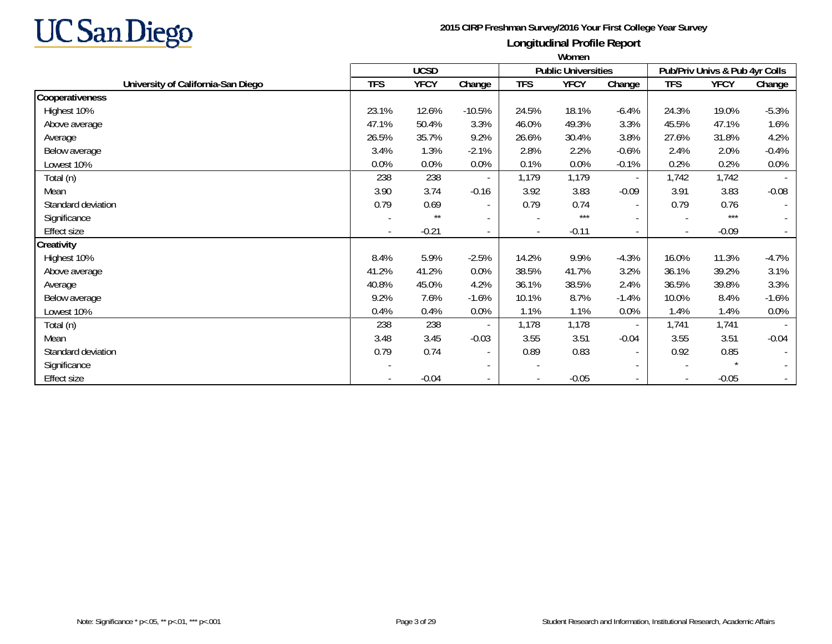

|                                    | <b>VVUIIEII</b>          |             |                          |            |                            |                          |                          |                                |                          |
|------------------------------------|--------------------------|-------------|--------------------------|------------|----------------------------|--------------------------|--------------------------|--------------------------------|--------------------------|
|                                    |                          | <b>UCSD</b> |                          |            | <b>Public Universities</b> |                          |                          | Pub/Priv Univs & Pub 4yr Colls |                          |
| University of California-San Diego | <b>TFS</b>               | <b>YFCY</b> | Change                   | <b>TFS</b> | <b>YFCY</b>                | Change                   | <b>TFS</b>               | <b>YFCY</b>                    | Change                   |
| Cooperativeness                    |                          |             |                          |            |                            |                          |                          |                                |                          |
| Highest 10%                        | 23.1%                    | 12.6%       | $-10.5%$                 | 24.5%      | 18.1%                      | $-6.4%$                  | 24.3%                    | 19.0%                          | $-5.3%$                  |
| Above average                      | 47.1%                    | 50.4%       | 3.3%                     | 46.0%      | 49.3%                      | 3.3%                     | 45.5%                    | 47.1%                          | 1.6%                     |
| Average                            | 26.5%                    | 35.7%       | 9.2%                     | 26.6%      | 30.4%                      | 3.8%                     | 27.6%                    | 31.8%                          | 4.2%                     |
| Below average                      | 3.4%                     | 1.3%        | $-2.1%$                  | 2.8%       | 2.2%                       | $-0.6%$                  | 2.4%                     | 2.0%                           | $-0.4%$                  |
| Lowest 10%                         | 0.0%                     | 0.0%        | 0.0%                     | 0.1%       | 0.0%                       | $-0.1%$                  | 0.2%                     | 0.2%                           | $0.0\%$                  |
| Total (n)                          | 238                      | 238         |                          | 1,179      | 1,179                      | $\sim$                   | 1,742                    | 1,742                          |                          |
| Mean                               | 3.90                     | 3.74        | $-0.16$                  | 3.92       | 3.83                       | $-0.09$                  | 3.91                     | 3.83                           | $-0.08$                  |
| Standard deviation                 | 0.79                     | 0.69        | $\overline{\phantom{a}}$ | 0.79       | 0.74                       | $\sim$                   | 0.79                     | 0.76                           | $\overline{\phantom{a}}$ |
| Significance                       |                          | $***$       |                          |            | $***$                      | $\sim$                   |                          | $***$                          | $\sim$                   |
| <b>Effect size</b>                 | $\overline{\phantom{a}}$ | $-0.21$     | $\overline{\phantom{a}}$ |            | $-0.11$                    | $\sim$                   | $\overline{\phantom{a}}$ | $-0.09$                        | $\overline{\phantom{a}}$ |
| Creativity                         |                          |             |                          |            |                            |                          |                          |                                |                          |
| Highest 10%                        | 8.4%                     | 5.9%        | $-2.5%$                  | 14.2%      | 9.9%                       | $-4.3%$                  | 16.0%                    | 11.3%                          | $-4.7%$                  |
| Above average                      | 41.2%                    | 41.2%       | 0.0%                     | 38.5%      | 41.7%                      | 3.2%                     | 36.1%                    | 39.2%                          | 3.1%                     |
| Average                            | 40.8%                    | 45.0%       | 4.2%                     | 36.1%      | 38.5%                      | 2.4%                     | 36.5%                    | 39.8%                          | 3.3%                     |
| Below average                      | 9.2%                     | 7.6%        | $-1.6%$                  | 10.1%      | 8.7%                       | $-1.4%$                  | 10.0%                    | 8.4%                           | $-1.6%$                  |
| Lowest 10%                         | 0.4%                     | 0.4%        | 0.0%                     | 1.1%       | 1.1%                       | 0.0%                     | 1.4%                     | 1.4%                           | $0.0\%$                  |
| Total (n)                          | 238                      | 238         |                          | 1,178      | 1,178                      | $\sim$                   | 1,741                    | 1,741                          | $\overline{\phantom{a}}$ |
| Mean                               | 3.48                     | 3.45        | $-0.03$                  | 3.55       | 3.51                       | $-0.04$                  | 3.55                     | 3.51                           | $-0.04$                  |
| Standard deviation                 | 0.79                     | 0.74        | $\overline{\phantom{a}}$ | 0.89       | 0.83                       | $\overline{\phantom{a}}$ | 0.92                     | 0.85                           | $\overline{\phantom{a}}$ |
| Significance                       |                          |             | $\overline{\phantom{a}}$ |            |                            | $\sim$                   | $\overline{\phantom{a}}$ |                                | $\blacksquare$           |
| Effect size                        |                          | $-0.04$     | $\sim$                   |            | $-0.05$                    | $\sim$                   | $\overline{\phantom{a}}$ | $-0.05$                        |                          |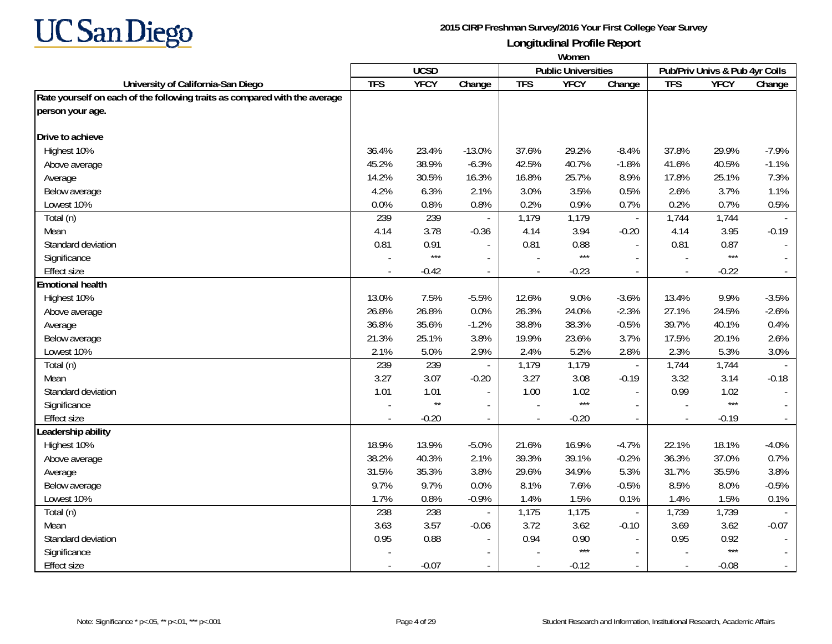

|                                                                            | Women          |              |                |            |                            |                          |                          |                                |         |
|----------------------------------------------------------------------------|----------------|--------------|----------------|------------|----------------------------|--------------------------|--------------------------|--------------------------------|---------|
|                                                                            |                | <b>UCSD</b>  |                |            | <b>Public Universities</b> |                          |                          | Pub/Priv Univs & Pub 4yr Colls |         |
| University of California-San Diego                                         | <b>TFS</b>     | <b>YFCY</b>  | Change         | <b>TFS</b> | <b>YFCY</b>                | Change                   | <b>TFS</b>               | <b>YFCY</b>                    | Change  |
| Rate yourself on each of the following traits as compared with the average |                |              |                |            |                            |                          |                          |                                |         |
| person your age.                                                           |                |              |                |            |                            |                          |                          |                                |         |
| Drive to achieve                                                           |                |              |                |            |                            |                          |                          |                                |         |
| Highest 10%                                                                | 36.4%          | 23.4%        | $-13.0%$       | 37.6%      | 29.2%                      | $-8.4%$                  | 37.8%                    | 29.9%                          | $-7.9%$ |
| Above average                                                              | 45.2%          | 38.9%        | $-6.3%$        | 42.5%      | 40.7%                      | $-1.8%$                  | 41.6%                    | 40.5%                          | $-1.1%$ |
| Average                                                                    | 14.2%          | 30.5%        | 16.3%          | 16.8%      | 25.7%                      | 8.9%                     | 17.8%                    | 25.1%                          | 7.3%    |
| Below average                                                              | 4.2%           | 6.3%         | 2.1%           | 3.0%       | 3.5%                       | 0.5%                     | 2.6%                     | 3.7%                           | 1.1%    |
| Lowest 10%                                                                 | 0.0%           | 0.8%         | 0.8%           | 0.2%       | 0.9%                       | 0.7%                     | 0.2%                     | 0.7%                           | 0.5%    |
| Total (n)                                                                  | 239            | 239          |                | 1,179      | 1,179                      | $\blacksquare$           | 1,744                    | 1,744                          |         |
| Mean                                                                       | 4.14           | 3.78         | $-0.36$        | 4.14       | 3.94                       | $-0.20$                  | 4.14                     | 3.95                           | $-0.19$ |
| Standard deviation                                                         | 0.81           | 0.91         |                | 0.81       | 0.88                       | $\overline{a}$           | 0.81                     | 0.87                           |         |
| Significance                                                               |                | $***$        | $\overline{a}$ |            | $***$                      | $\blacksquare$           |                          | $***$                          |         |
| Effect size                                                                |                | $-0.42$      | $\blacksquare$ |            | $-0.23$                    | $\blacksquare$           | $\overline{\phantom{a}}$ | $-0.22$                        |         |
| <b>Emotional health</b>                                                    |                |              |                |            |                            |                          |                          |                                |         |
| Highest 10%                                                                | 13.0%          | 7.5%         | $-5.5%$        | 12.6%      | 9.0%                       | $-3.6%$                  | 13.4%                    | 9.9%                           | $-3.5%$ |
| Above average                                                              | 26.8%          | 26.8%        | 0.0%           | 26.3%      | 24.0%                      | $-2.3%$                  | 27.1%                    | 24.5%                          | $-2.6%$ |
| Average                                                                    | 36.8%          | 35.6%        | $-1.2%$        | 38.8%      | 38.3%                      | $-0.5%$                  | 39.7%                    | 40.1%                          | 0.4%    |
| Below average                                                              | 21.3%          | 25.1%        | 3.8%           | 19.9%      | 23.6%                      | 3.7%                     | 17.5%                    | 20.1%                          | 2.6%    |
| Lowest 10%                                                                 | 2.1%           | 5.0%         | 2.9%           | 2.4%       | 5.2%                       | 2.8%                     | 2.3%                     | 5.3%                           | 3.0%    |
| Total (n)                                                                  | 239            | 239          |                | 1,179      | 1,179                      | $\overline{\phantom{a}}$ | 1,744                    | 1,744                          |         |
| Mean                                                                       | 3.27           | 3.07         | $-0.20$        | 3.27       | 3.08                       | $-0.19$                  | 3.32                     | 3.14                           | $-0.18$ |
| Standard deviation                                                         | 1.01           | 1.01         |                | 1.00       | 1.02                       | $\mathbf{r}$             | 0.99                     | 1.02                           |         |
| Significance                                                               |                | $\star\star$ |                |            | $***$                      |                          |                          | $***$                          |         |
| <b>Effect size</b>                                                         | $\overline{a}$ | $-0.20$      | $\overline{a}$ | $\sim$     | $-0.20$                    | $\blacksquare$           | $\overline{\phantom{a}}$ | $-0.19$                        |         |
| Leadership ability                                                         |                |              |                |            |                            |                          |                          |                                |         |
| Highest 10%                                                                | 18.9%          | 13.9%        | $-5.0%$        | 21.6%      | 16.9%                      | $-4.7%$                  | 22.1%                    | 18.1%                          | $-4.0%$ |
| Above average                                                              | 38.2%          | 40.3%        | 2.1%           | 39.3%      | 39.1%                      | $-0.2%$                  | 36.3%                    | 37.0%                          | 0.7%    |
| Average                                                                    | 31.5%          | 35.3%        | 3.8%           | 29.6%      | 34.9%                      | 5.3%                     | 31.7%                    | 35.5%                          | 3.8%    |
| Below average                                                              | 9.7%           | 9.7%         | 0.0%           | 8.1%       | 7.6%                       | $-0.5%$                  | 8.5%                     | 8.0%                           | $-0.5%$ |
| Lowest 10%                                                                 | 1.7%           | 0.8%         | $-0.9%$        | 1.4%       | 1.5%                       | 0.1%                     | 1.4%                     | 1.5%                           | 0.1%    |
| Total (n)                                                                  | 238            | 238          |                | 1,175      | 1,175                      | $\overline{\phantom{a}}$ | 1,739                    | 1,739                          |         |
| Mean                                                                       | 3.63           | 3.57         | $-0.06$        | 3.72       | 3.62                       | $-0.10$                  | 3.69                     | 3.62                           | $-0.07$ |
| Standard deviation                                                         | 0.95           | 0.88         |                | 0.94       | 0.90                       | $\overline{a}$           | 0.95                     | 0.92                           |         |
| Significance                                                               |                |              |                |            | $***$                      |                          |                          | $***$                          |         |
| <b>Effect size</b>                                                         |                | $-0.07$      |                |            | $-0.12$                    | $\overline{\phantom{a}}$ | $\overline{\phantom{a}}$ | $-0.08$                        |         |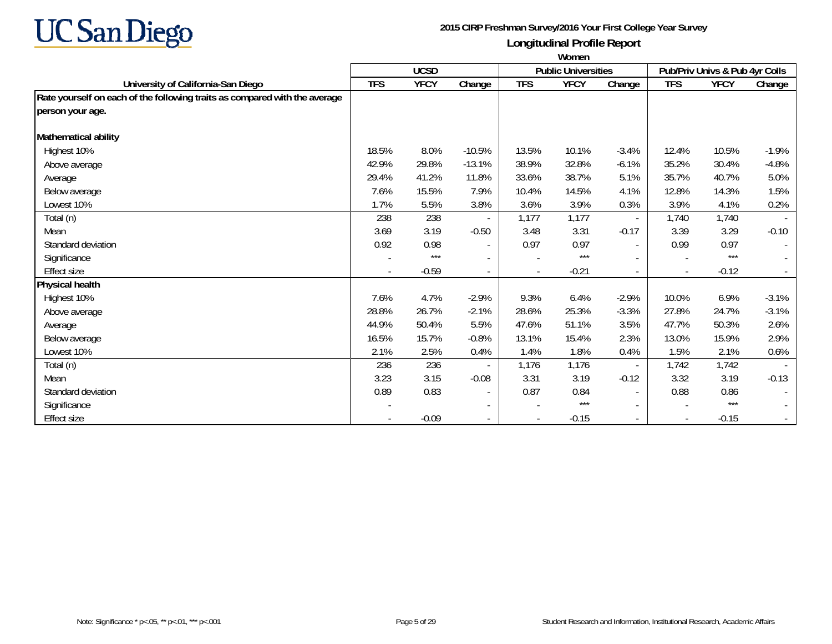

|                                                                            | Women      |             |                          |            |                            |                          |                          |                                |         |  |
|----------------------------------------------------------------------------|------------|-------------|--------------------------|------------|----------------------------|--------------------------|--------------------------|--------------------------------|---------|--|
|                                                                            |            | <b>UCSD</b> |                          |            | <b>Public Universities</b> |                          |                          | Pub/Priv Univs & Pub 4yr Colls |         |  |
| University of California-San Diego                                         | <b>TFS</b> | <b>YFCY</b> | Change                   | <b>TFS</b> | <b>YFCY</b>                | Change                   | <b>TFS</b>               | <b>YFCY</b>                    | Change  |  |
| Rate yourself on each of the following traits as compared with the average |            |             |                          |            |                            |                          |                          |                                |         |  |
| person your age.                                                           |            |             |                          |            |                            |                          |                          |                                |         |  |
| Mathematical ability                                                       |            |             |                          |            |                            |                          |                          |                                |         |  |
| Highest 10%                                                                | 18.5%      | 8.0%        | $-10.5%$                 | 13.5%      | 10.1%                      | $-3.4%$                  | 12.4%                    | 10.5%                          | $-1.9%$ |  |
| Above average                                                              | 42.9%      | 29.8%       | $-13.1%$                 | 38.9%      | 32.8%                      | $-6.1%$                  | 35.2%                    | 30.4%                          | $-4.8%$ |  |
| Average                                                                    | 29.4%      | 41.2%       | 11.8%                    | 33.6%      | 38.7%                      | 5.1%                     | 35.7%                    | 40.7%                          | 5.0%    |  |
| Below average                                                              | 7.6%       | 15.5%       | 7.9%                     | 10.4%      | 14.5%                      | 4.1%                     | 12.8%                    | 14.3%                          | 1.5%    |  |
| Lowest 10%                                                                 | 1.7%       | 5.5%        | 3.8%                     | 3.6%       | 3.9%                       | 0.3%                     | 3.9%                     | 4.1%                           | 0.2%    |  |
| Total (n)                                                                  | 238        | 238         |                          | 1,177      | 1,177                      | $\sim$                   | 1,740                    | 1,740                          |         |  |
| Mean                                                                       | 3.69       | 3.19        | $-0.50$                  | 3.48       | 3.31                       | $-0.17$                  | 3.39                     | 3.29                           | $-0.10$ |  |
| Standard deviation                                                         | 0.92       | 0.98        | $\overline{\phantom{a}}$ | 0.97       | 0.97                       | $\sim$                   | 0.99                     | 0.97                           |         |  |
| Significance                                                               |            | $***$       | $\overline{a}$           |            | $***$                      | $\overline{\phantom{a}}$ | $\overline{a}$           | $***$                          |         |  |
| <b>Effect size</b>                                                         |            | $-0.59$     | $\overline{\phantom{a}}$ |            | $-0.21$                    | $\overline{\phantom{a}}$ | $\blacksquare$           | $-0.12$                        |         |  |
| Physical health                                                            |            |             |                          |            |                            |                          |                          |                                |         |  |
| Highest 10%                                                                | 7.6%       | 4.7%        | $-2.9%$                  | 9.3%       | 6.4%                       | $-2.9%$                  | 10.0%                    | 6.9%                           | $-3.1%$ |  |
| Above average                                                              | 28.8%      | 26.7%       | $-2.1%$                  | 28.6%      | 25.3%                      | $-3.3%$                  | 27.8%                    | 24.7%                          | $-3.1%$ |  |
| Average                                                                    | 44.9%      | 50.4%       | 5.5%                     | 47.6%      | 51.1%                      | 3.5%                     | 47.7%                    | 50.3%                          | 2.6%    |  |
| Below average                                                              | 16.5%      | 15.7%       | $-0.8%$                  | 13.1%      | 15.4%                      | 2.3%                     | 13.0%                    | 15.9%                          | 2.9%    |  |
| Lowest 10%                                                                 | 2.1%       | 2.5%        | 0.4%                     | 1.4%       | 1.8%                       | 0.4%                     | 1.5%                     | 2.1%                           | 0.6%    |  |
| Total (n)                                                                  | 236        | 236         | $\overline{\phantom{a}}$ | 1,176      | 1,176                      | $\overline{\phantom{a}}$ | 1,742                    | 1,742                          |         |  |
| Mean                                                                       | 3.23       | 3.15        | $-0.08$                  | 3.31       | 3.19                       | $-0.12$                  | 3.32                     | 3.19                           | $-0.13$ |  |
| Standard deviation                                                         | 0.89       | 0.83        | $\overline{\phantom{a}}$ | 0.87       | 0.84                       | $\sim$                   | 0.88                     | 0.86                           |         |  |
| Significance                                                               |            |             | $\overline{\phantom{a}}$ |            | $***$                      | $\sim$                   | $\overline{a}$           | $***$                          |         |  |
| <b>Effect size</b>                                                         |            | $-0.09$     |                          |            | $-0.15$                    | $\overline{\phantom{a}}$ | $\overline{\phantom{a}}$ | $-0.15$                        |         |  |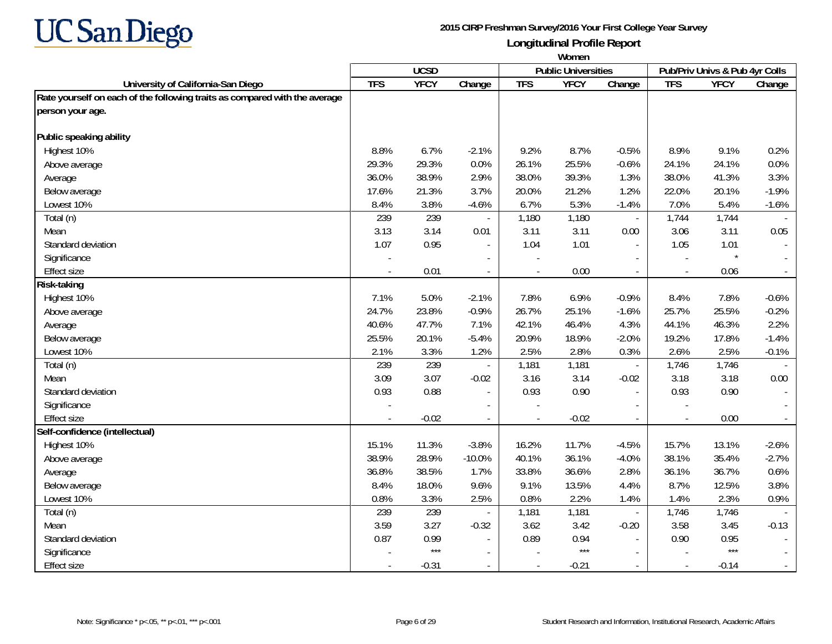

|                                                                            | Women                    |             |                          |            |                            |                          |                          |                                |         |
|----------------------------------------------------------------------------|--------------------------|-------------|--------------------------|------------|----------------------------|--------------------------|--------------------------|--------------------------------|---------|
|                                                                            |                          | <b>UCSD</b> |                          |            | <b>Public Universities</b> |                          |                          | Pub/Priv Univs & Pub 4yr Colls |         |
| University of California-San Diego                                         | <b>TFS</b>               | <b>YFCY</b> | Change                   | <b>TFS</b> | <b>YFCY</b>                | Change                   | <b>TFS</b>               | <b>YFCY</b>                    | Change  |
| Rate yourself on each of the following traits as compared with the average |                          |             |                          |            |                            |                          |                          |                                |         |
| person your age.                                                           |                          |             |                          |            |                            |                          |                          |                                |         |
| Public speaking ability                                                    |                          |             |                          |            |                            |                          |                          |                                |         |
| Highest 10%                                                                | 8.8%                     | 6.7%        | $-2.1%$                  | 9.2%       | 8.7%                       | $-0.5%$                  | 8.9%                     | 9.1%                           | 0.2%    |
| Above average                                                              | 29.3%                    | 29.3%       | 0.0%                     | 26.1%      | 25.5%                      | $-0.6%$                  | 24.1%                    | 24.1%                          | 0.0%    |
| Average                                                                    | 36.0%                    | 38.9%       | 2.9%                     | 38.0%      | 39.3%                      | 1.3%                     | 38.0%                    | 41.3%                          | 3.3%    |
| Below average                                                              | 17.6%                    | 21.3%       | 3.7%                     | 20.0%      | 21.2%                      | 1.2%                     | 22.0%                    | 20.1%                          | $-1.9%$ |
| Lowest 10%                                                                 | 8.4%                     | 3.8%        | $-4.6%$                  | 6.7%       | 5.3%                       | $-1.4%$                  | 7.0%                     | 5.4%                           | $-1.6%$ |
| Total (n)                                                                  | 239                      | 239         |                          | 1,180      | 1,180                      | $\overline{\phantom{a}}$ | 1,744                    | 1,744                          |         |
| Mean                                                                       | 3.13                     | 3.14        | 0.01                     | 3.11       | 3.11                       | 0.00                     | 3.06                     | 3.11                           | 0.05    |
| Standard deviation                                                         | 1.07                     | 0.95        | $\overline{\phantom{a}}$ | 1.04       | 1.01                       | $\sim$                   | 1.05                     | 1.01                           |         |
| Significance                                                               | $\overline{\phantom{a}}$ |             | $\overline{a}$           |            |                            |                          | $\overline{\phantom{a}}$ | $\star$                        |         |
| <b>Effect size</b>                                                         |                          | 0.01        | $\overline{\phantom{a}}$ |            | 0.00                       | $\overline{\phantom{a}}$ | $\overline{\phantom{a}}$ | 0.06                           |         |
| Risk-taking                                                                |                          |             |                          |            |                            |                          |                          |                                |         |
| Highest 10%                                                                | 7.1%                     | 5.0%        | $-2.1%$                  | 7.8%       | 6.9%                       | $-0.9%$                  | 8.4%                     | 7.8%                           | $-0.6%$ |
| Above average                                                              | 24.7%                    | 23.8%       | $-0.9%$                  | 26.7%      | 25.1%                      | $-1.6%$                  | 25.7%                    | 25.5%                          | $-0.2%$ |
| Average                                                                    | 40.6%                    | 47.7%       | 7.1%                     | 42.1%      | 46.4%                      | 4.3%                     | 44.1%                    | 46.3%                          | 2.2%    |
| Below average                                                              | 25.5%                    | 20.1%       | $-5.4%$                  | 20.9%      | 18.9%                      | $-2.0%$                  | 19.2%                    | 17.8%                          | $-1.4%$ |
| Lowest 10%                                                                 | 2.1%                     | 3.3%        | 1.2%                     | 2.5%       | 2.8%                       | 0.3%                     | 2.6%                     | 2.5%                           | $-0.1%$ |
| Total (n)                                                                  | 239                      | 239         |                          | 1,181      | 1,181                      | $\overline{\phantom{a}}$ | 1,746                    | 1,746                          |         |
| Mean                                                                       | 3.09                     | 3.07        | $-0.02$                  | 3.16       | 3.14                       | $-0.02$                  | 3.18                     | 3.18                           | 0.00    |
| Standard deviation                                                         | 0.93                     | 0.88        |                          | 0.93       | 0.90                       | $\blacksquare$           | 0.93                     | 0.90                           |         |
| Significance                                                               |                          |             |                          |            |                            |                          |                          |                                |         |
| <b>Effect size</b>                                                         | $\overline{a}$           | $-0.02$     | $\overline{a}$           |            | $-0.02$                    | $\blacksquare$           | $\sim$                   | 0.00                           |         |
| Self-confidence (intellectual)                                             |                          |             |                          |            |                            |                          |                          |                                |         |
| Highest 10%                                                                | 15.1%                    | 11.3%       | $-3.8%$                  | 16.2%      | 11.7%                      | $-4.5%$                  | 15.7%                    | 13.1%                          | $-2.6%$ |
| Above average                                                              | 38.9%                    | 28.9%       | $-10.0%$                 | 40.1%      | 36.1%                      | $-4.0%$                  | 38.1%                    | 35.4%                          | $-2.7%$ |
| Average                                                                    | 36.8%                    | 38.5%       | 1.7%                     | 33.8%      | 36.6%                      | 2.8%                     | 36.1%                    | 36.7%                          | 0.6%    |
| Below average                                                              | 8.4%                     | 18.0%       | 9.6%                     | 9.1%       | 13.5%                      | 4.4%                     | 8.7%                     | 12.5%                          | 3.8%    |
| Lowest 10%                                                                 | 0.8%                     | 3.3%        | 2.5%                     | 0.8%       | 2.2%                       | 1.4%                     | 1.4%                     | 2.3%                           | 0.9%    |
| Total (n)                                                                  | 239                      | 239         |                          | 1,181      | 1,181                      | $\Box$                   | 1,746                    | 1,746                          |         |
| Mean                                                                       | 3.59                     | 3.27        | $-0.32$                  | 3.62       | 3.42                       | $-0.20$                  | 3.58                     | 3.45                           | $-0.13$ |
| Standard deviation                                                         | 0.87                     | 0.99        |                          | 0.89       | 0.94                       |                          | 0.90                     | 0.95                           | $\sim$  |
| Significance                                                               |                          | $***$       | $\blacksquare$           |            | $***$                      | $\sim$                   |                          | $***$                          |         |
| Effect size                                                                |                          | $-0.31$     |                          |            | $-0.21$                    |                          | $\sim$                   | $-0.14$                        |         |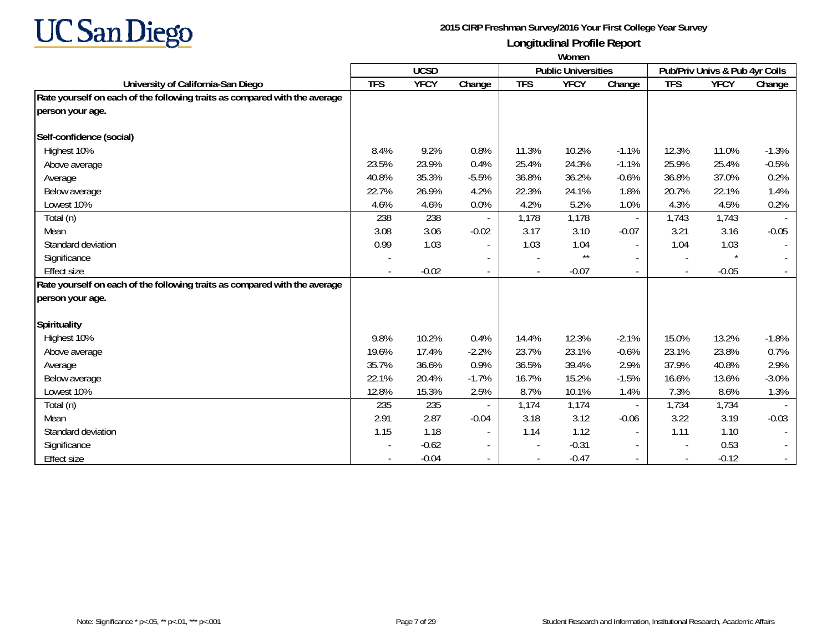

|                                                                            | Women                    |             |                          |            |                            |                          |                          |                                |         |
|----------------------------------------------------------------------------|--------------------------|-------------|--------------------------|------------|----------------------------|--------------------------|--------------------------|--------------------------------|---------|
|                                                                            |                          | <b>UCSD</b> |                          |            | <b>Public Universities</b> |                          |                          | Pub/Priv Univs & Pub 4yr Colls |         |
| University of California-San Diego                                         | <b>TFS</b>               | <b>YFCY</b> | Change                   | <b>TFS</b> | <b>YFCY</b>                | Change                   | <b>TFS</b>               | <b>YFCY</b>                    | Change  |
| Rate yourself on each of the following traits as compared with the average |                          |             |                          |            |                            |                          |                          |                                |         |
| person your age.                                                           |                          |             |                          |            |                            |                          |                          |                                |         |
|                                                                            |                          |             |                          |            |                            |                          |                          |                                |         |
| Self-confidence (social)                                                   |                          |             |                          |            |                            |                          |                          |                                |         |
| Highest 10%                                                                | 8.4%                     | 9.2%        | 0.8%                     | 11.3%      | 10.2%                      | $-1.1%$                  | 12.3%                    | 11.0%                          | $-1.3%$ |
| Above average                                                              | 23.5%                    | 23.9%       | 0.4%                     | 25.4%      | 24.3%                      | $-1.1%$                  | 25.9%                    | 25.4%                          | $-0.5%$ |
| Average                                                                    | 40.8%                    | 35.3%       | $-5.5%$                  | 36.8%      | 36.2%                      | $-0.6%$                  | 36.8%                    | 37.0%                          | 0.2%    |
| Below average                                                              | 22.7%                    | 26.9%       | 4.2%                     | 22.3%      | 24.1%                      | 1.8%                     | 20.7%                    | 22.1%                          | 1.4%    |
| Lowest 10%                                                                 | 4.6%                     | 4.6%        | 0.0%                     | 4.2%       | 5.2%                       | 1.0%                     | 4.3%                     | 4.5%                           | 0.2%    |
| Total (n)                                                                  | 238                      | 238         |                          | 1,178      | 1,178                      | $\overline{\phantom{a}}$ | 1,743                    | 1,743                          |         |
| Mean                                                                       | 3.08                     | 3.06        | $-0.02$                  | 3.17       | 3.10                       | $-0.07$                  | 3.21                     | 3.16                           | $-0.05$ |
| Standard deviation                                                         | 0.99                     | 1.03        | $\overline{\phantom{a}}$ | 1.03       | 1.04                       | $\overline{\phantom{a}}$ | 1.04                     | 1.03                           |         |
| Significance                                                               |                          |             |                          |            | $^{\star\star}$            | $\sim$                   | $\overline{\phantom{a}}$ | $\star$                        |         |
| <b>Effect size</b>                                                         | $\overline{\phantom{a}}$ | $-0.02$     | $\overline{\phantom{a}}$ |            | $-0.07$                    | $\overline{\phantom{a}}$ | $\blacksquare$           | $-0.05$                        |         |
| Rate yourself on each of the following traits as compared with the average |                          |             |                          |            |                            |                          |                          |                                |         |
| person your age.                                                           |                          |             |                          |            |                            |                          |                          |                                |         |
| <b>Spirituality</b>                                                        |                          |             |                          |            |                            |                          |                          |                                |         |
| Highest 10%                                                                | 9.8%                     | 10.2%       | 0.4%                     | 14.4%      | 12.3%                      | $-2.1%$                  | 15.0%                    | 13.2%                          | $-1.8%$ |
| Above average                                                              | 19.6%                    | 17.4%       | $-2.2%$                  | 23.7%      | 23.1%                      | $-0.6%$                  | 23.1%                    | 23.8%                          | 0.7%    |
| Average                                                                    | 35.7%                    | 36.6%       | 0.9%                     | 36.5%      | 39.4%                      | 2.9%                     | 37.9%                    | 40.8%                          | 2.9%    |
| Below average                                                              | 22.1%                    | 20.4%       | $-1.7%$                  | 16.7%      | 15.2%                      | $-1.5%$                  | 16.6%                    | 13.6%                          | $-3.0%$ |
| Lowest 10%                                                                 | 12.8%                    | 15.3%       | 2.5%                     | 8.7%       | 10.1%                      | 1.4%                     | 7.3%                     | 8.6%                           | 1.3%    |
| Total (n)                                                                  | 235                      | 235         |                          | 1,174      | 1,174                      |                          | 1,734                    | 1,734                          |         |
| Mean                                                                       | 2.91                     | 2.87        | $-0.04$                  | 3.18       | 3.12                       | $-0.06$                  | 3.22                     | 3.19                           | $-0.03$ |
| Standard deviation                                                         | 1.15                     | 1.18        | $\overline{\phantom{a}}$ | 1.14       | 1.12                       | $\overline{\phantom{a}}$ | 1.11                     | 1.10                           |         |
| Significance                                                               |                          | $-0.62$     | $\overline{\phantom{a}}$ |            | $-0.31$                    | $\overline{\phantom{a}}$ | $\overline{\phantom{a}}$ | 0.53                           |         |
| <b>Effect size</b>                                                         |                          | $-0.04$     |                          |            | $-0.47$                    |                          | $\overline{\phantom{a}}$ | $-0.12$                        |         |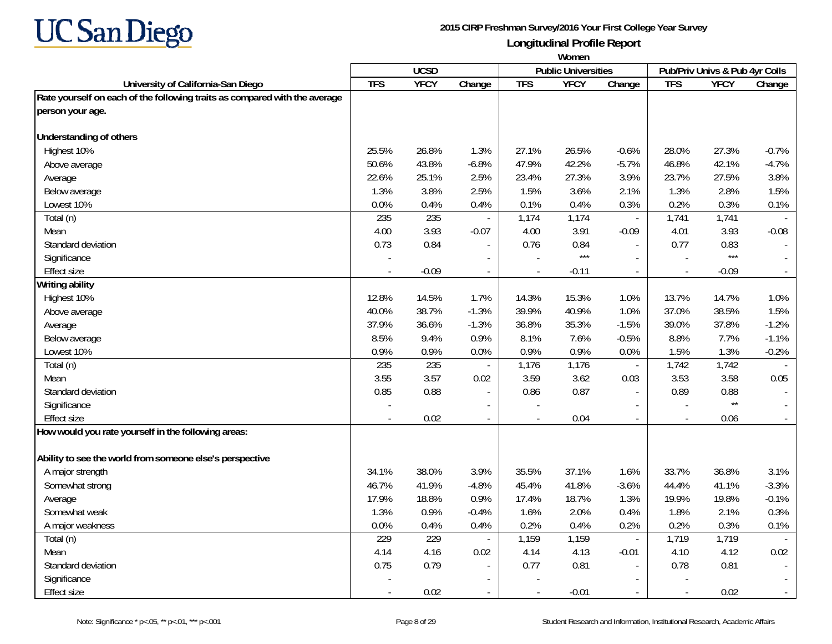

|                                                                            | Women                    |             |                          |            |                            |                          |                          |                                |                          |
|----------------------------------------------------------------------------|--------------------------|-------------|--------------------------|------------|----------------------------|--------------------------|--------------------------|--------------------------------|--------------------------|
|                                                                            |                          | <b>UCSD</b> |                          |            | <b>Public Universities</b> |                          |                          | Pub/Priv Univs & Pub 4yr Colls |                          |
| University of California-San Diego                                         | <b>TFS</b>               | <b>YFCY</b> | Change                   | <b>TFS</b> | <b>YFCY</b>                | Change                   | <b>TFS</b>               | <b>YFCY</b>                    | Change                   |
| Rate yourself on each of the following traits as compared with the average |                          |             |                          |            |                            |                          |                          |                                |                          |
| person your age.                                                           |                          |             |                          |            |                            |                          |                          |                                |                          |
|                                                                            |                          |             |                          |            |                            |                          |                          |                                |                          |
| <b>Understanding of others</b>                                             |                          |             |                          |            |                            |                          |                          |                                |                          |
| Highest 10%                                                                | 25.5%                    | 26.8%       | 1.3%                     | 27.1%      | 26.5%                      | $-0.6%$                  | 28.0%                    | 27.3%                          | $-0.7%$                  |
| Above average                                                              | 50.6%                    | 43.8%       | $-6.8%$                  | 47.9%      | 42.2%                      | $-5.7%$                  | 46.8%                    | 42.1%                          | $-4.7%$                  |
| Average                                                                    | 22.6%                    | 25.1%       | 2.5%                     | 23.4%      | 27.3%                      | 3.9%                     | 23.7%                    | 27.5%                          | 3.8%                     |
| Below average                                                              | 1.3%                     | 3.8%        | 2.5%                     | 1.5%       | 3.6%                       | 2.1%                     | 1.3%                     | 2.8%                           | 1.5%                     |
| Lowest 10%                                                                 | 0.0%                     | 0.4%        | 0.4%                     | 0.1%       | 0.4%                       | 0.3%                     | 0.2%                     | 0.3%                           | 0.1%                     |
| Total (n)                                                                  | 235                      | 235         | $\overline{a}$           | 1,174      | 1,174                      | $\overline{\phantom{a}}$ | 1,741                    | 1,741                          | $\sim$                   |
| Mean                                                                       | 4.00                     | 3.93        | $-0.07$                  | 4.00       | 3.91                       | $-0.09$                  | 4.01                     | 3.93                           | $-0.08$                  |
| Standard deviation                                                         | 0.73                     | 0.84        |                          | 0.76       | 0.84                       |                          | 0.77                     | 0.83                           |                          |
| Significance                                                               |                          |             |                          |            | $***$                      | $\overline{\phantom{a}}$ |                          | $***$                          |                          |
| <b>Effect size</b>                                                         |                          | $-0.09$     | $\overline{\phantom{a}}$ |            | $-0.11$                    | $\blacksquare$           |                          | $-0.09$                        | $\sim$                   |
| Writing ability                                                            |                          |             |                          |            |                            |                          |                          |                                |                          |
| Highest 10%                                                                | 12.8%                    | 14.5%       | 1.7%                     | 14.3%      | 15.3%                      | 1.0%                     | 13.7%                    | 14.7%                          | 1.0%                     |
| Above average                                                              | 40.0%                    | 38.7%       | $-1.3%$                  | 39.9%      | 40.9%                      | 1.0%                     | 37.0%                    | 38.5%                          | 1.5%                     |
| Average                                                                    | 37.9%                    | 36.6%       | $-1.3%$                  | 36.8%      | 35.3%                      | $-1.5%$                  | 39.0%                    | 37.8%                          | $-1.2%$                  |
| Below average                                                              | 8.5%                     | 9.4%        | 0.9%                     | 8.1%       | 7.6%                       | $-0.5%$                  | 8.8%                     | 7.7%                           | $-1.1%$                  |
| Lowest 10%                                                                 | 0.9%                     | 0.9%        | 0.0%                     | 0.9%       | 0.9%                       | 0.0%                     | 1.5%                     | 1.3%                           | $-0.2%$                  |
| Total (n)                                                                  | 235                      | 235         |                          | 1,176      | 1,176                      | $\overline{\phantom{a}}$ | 1,742                    | 1,742                          | $\sim$                   |
| Mean                                                                       | 3.55                     | 3.57        | 0.02                     | 3.59       | 3.62                       | 0.03                     | 3.53                     | 3.58                           | 0.05                     |
| Standard deviation                                                         | 0.85                     | 0.88        | $\sim$                   | 0.86       | 0.87                       | $\blacksquare$           | 0.89                     | 0.88                           |                          |
| Significance                                                               | $\overline{\phantom{a}}$ |             |                          |            |                            | $\overline{\phantom{a}}$ |                          | $^{\star\star}$                |                          |
| <b>Effect size</b>                                                         | $\overline{a}$           | 0.02        | $\overline{a}$           | $\sim$     | 0.04                       | $\sim$                   | $\overline{\phantom{a}}$ | 0.06                           | $\sim$                   |
| How would you rate yourself in the following areas:                        |                          |             |                          |            |                            |                          |                          |                                |                          |
|                                                                            |                          |             |                          |            |                            |                          |                          |                                |                          |
| Ability to see the world from someone else's perspective                   |                          |             |                          |            |                            |                          |                          |                                |                          |
| A major strength                                                           | 34.1%                    | 38.0%       | 3.9%                     | 35.5%      | 37.1%                      | 1.6%                     | 33.7%                    | 36.8%                          | 3.1%                     |
| Somewhat strong                                                            | 46.7%                    | 41.9%       | $-4.8%$                  | 45.4%      | 41.8%                      | $-3.6%$                  | 44.4%                    | 41.1%                          | $-3.3%$                  |
| Average                                                                    | 17.9%                    | 18.8%       | 0.9%                     | 17.4%      | 18.7%                      | 1.3%                     | 19.9%                    | 19.8%                          | $-0.1%$                  |
| Somewhat weak                                                              | 1.3%                     | 0.9%        | $-0.4%$                  | 1.6%       | 2.0%                       | 0.4%                     | 1.8%                     | 2.1%                           | 0.3%                     |
| A major weakness                                                           | 0.0%                     | 0.4%        | 0.4%                     | 0.2%       | 0.4%                       | 0.2%                     | 0.2%                     | 0.3%                           | 0.1%                     |
| Total (n)                                                                  | 229                      | 229         | $\overline{\phantom{a}}$ | 1,159      | 1,159                      | $\overline{\phantom{a}}$ | 1,719                    | 1,719                          |                          |
| Mean                                                                       | 4.14                     | 4.16        | 0.02                     | 4.14       | 4.13                       | $-0.01$                  | 4.10                     | 4.12                           | 0.02                     |
| Standard deviation                                                         | 0.75                     | 0.79        | $\blacksquare$           | 0.77       | 0.81                       | $\sim$                   | 0.78                     | 0.81                           | $\sim$                   |
| Significance                                                               |                          |             |                          |            |                            |                          |                          |                                |                          |
| Effect size                                                                |                          | 0.02        |                          |            | $-0.01$                    |                          |                          | 0.02                           | $\overline{\phantom{a}}$ |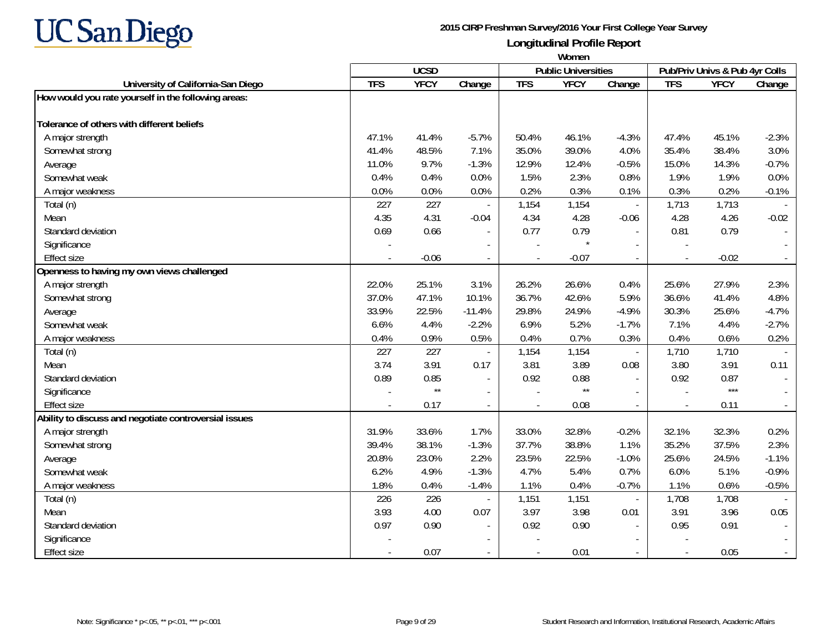

|                                                       | Women      |              |                          |            |                            |                          |                          |                                |         |
|-------------------------------------------------------|------------|--------------|--------------------------|------------|----------------------------|--------------------------|--------------------------|--------------------------------|---------|
|                                                       |            | <b>UCSD</b>  |                          |            | <b>Public Universities</b> |                          |                          | Pub/Priv Univs & Pub 4yr Colls |         |
| University of California-San Diego                    | <b>TFS</b> | <b>YFCY</b>  | Change                   | <b>TFS</b> | <b>YFCY</b>                | Change                   | <b>TFS</b>               | <b>YFCY</b>                    | Change  |
| How would you rate yourself in the following areas:   |            |              |                          |            |                            |                          |                          |                                |         |
| Tolerance of others with different beliefs            |            |              |                          |            |                            |                          |                          |                                |         |
| A major strength                                      | 47.1%      | 41.4%        | $-5.7%$                  | 50.4%      | 46.1%                      | $-4.3%$                  | 47.4%                    | 45.1%                          | $-2.3%$ |
| Somewhat strong                                       | 41.4%      | 48.5%        | 7.1%                     | 35.0%      | 39.0%                      | 4.0%                     | 35.4%                    | 38.4%                          | 3.0%    |
| Average                                               | 11.0%      | 9.7%         | $-1.3%$                  | 12.9%      | 12.4%                      | $-0.5%$                  | 15.0%                    | 14.3%                          | $-0.7%$ |
| Somewhat weak                                         | 0.4%       | 0.4%         | 0.0%                     | 1.5%       | 2.3%                       | 0.8%                     | 1.9%                     | 1.9%                           | 0.0%    |
| A major weakness                                      | 0.0%       | 0.0%         | 0.0%                     | 0.2%       | 0.3%                       | 0.1%                     | 0.3%                     | 0.2%                           | $-0.1%$ |
| Total (n)                                             | 227        | 227          | $\overline{\phantom{a}}$ | 1,154      | 1,154                      | $\overline{\phantom{a}}$ | 1,713                    | 1,713                          |         |
| Mean                                                  | 4.35       | 4.31         | $-0.04$                  | 4.34       | 4.28                       | $-0.06$                  | 4.28                     | 4.26                           | $-0.02$ |
| Standard deviation                                    | 0.69       | 0.66         | $\blacksquare$           | 0.77       | 0.79                       |                          | 0.81                     | 0.79                           |         |
| Significance                                          |            |              |                          |            |                            |                          |                          |                                |         |
| <b>Effect size</b>                                    |            | $-0.06$      |                          |            | $-0.07$                    |                          | $\overline{a}$           | $-0.02$                        |         |
| Openness to having my own views challenged            |            |              |                          |            |                            |                          |                          |                                |         |
| A major strength                                      | 22.0%      | 25.1%        | 3.1%                     | 26.2%      | 26.6%                      | 0.4%                     | 25.6%                    | 27.9%                          | 2.3%    |
| Somewhat strong                                       | 37.0%      | 47.1%        | 10.1%                    | 36.7%      | 42.6%                      | 5.9%                     | 36.6%                    | 41.4%                          | 4.8%    |
| Average                                               | 33.9%      | 22.5%        | $-11.4%$                 | 29.8%      | 24.9%                      | $-4.9%$                  | 30.3%                    | 25.6%                          | $-4.7%$ |
| Somewhat weak                                         | 6.6%       | 4.4%         | $-2.2%$                  | 6.9%       | 5.2%                       | $-1.7%$                  | 7.1%                     | 4.4%                           | $-2.7%$ |
| A major weakness                                      | 0.4%       | 0.9%         | 0.5%                     | 0.4%       | 0.7%                       | 0.3%                     | 0.4%                     | 0.6%                           | 0.2%    |
| Total (n)                                             | 227        | 227          |                          | 1,154      | 1,154                      | $\overline{\phantom{a}}$ | 1,710                    | 1,710                          |         |
| Mean                                                  | 3.74       | 3.91         | 0.17                     | 3.81       | 3.89                       | 0.08                     | 3.80                     | 3.91                           | 0.11    |
| Standard deviation                                    | 0.89       | 0.85         | $\overline{\phantom{a}}$ | 0.92       | 0.88                       | $\overline{\phantom{a}}$ | 0.92                     | 0.87                           |         |
| Significance                                          |            | $\star\star$ | $\overline{\phantom{a}}$ |            | $\star\star$               |                          | $\overline{\phantom{a}}$ | $***$                          |         |
| <b>Effect size</b>                                    |            | 0.17         | $\overline{\phantom{a}}$ |            | 0.08                       | $\sim$                   | $\overline{\phantom{a}}$ | 0.11                           |         |
| Ability to discuss and negotiate controversial issues |            |              |                          |            |                            |                          |                          |                                |         |
| A major strength                                      | 31.9%      | 33.6%        | 1.7%                     | 33.0%      | 32.8%                      | $-0.2%$                  | 32.1%                    | 32.3%                          | 0.2%    |
| Somewhat strong                                       | 39.4%      | 38.1%        | $-1.3%$                  | 37.7%      | 38.8%                      | 1.1%                     | 35.2%                    | 37.5%                          | 2.3%    |
| Average                                               | 20.8%      | 23.0%        | 2.2%                     | 23.5%      | 22.5%                      | $-1.0%$                  | 25.6%                    | 24.5%                          | $-1.1%$ |
| Somewhat weak                                         | 6.2%       | 4.9%         | $-1.3%$                  | 4.7%       | 5.4%                       | 0.7%                     | 6.0%                     | 5.1%                           | $-0.9%$ |
| A major weakness                                      | 1.8%       | 0.4%         | $-1.4%$                  | 1.1%       | 0.4%                       | $-0.7%$                  | 1.1%                     | 0.6%                           | $-0.5%$ |
| Total (n)                                             | 226        | 226          |                          | 1,151      | 1,151                      | $\overline{\phantom{a}}$ | 1,708                    | 1,708                          |         |
| Mean                                                  | 3.93       | 4.00         | 0.07                     | 3.97       | 3.98                       | 0.01                     | 3.91                     | 3.96                           | 0.05    |
| Standard deviation                                    | 0.97       | 0.90         | $\blacksquare$           | 0.92       | 0.90                       |                          | 0.95                     | 0.91                           |         |
| Significance                                          |            |              |                          |            |                            |                          |                          |                                |         |
| <b>Effect size</b>                                    |            | 0.07         |                          |            | 0.01                       |                          | $\blacksquare$           | 0.05                           |         |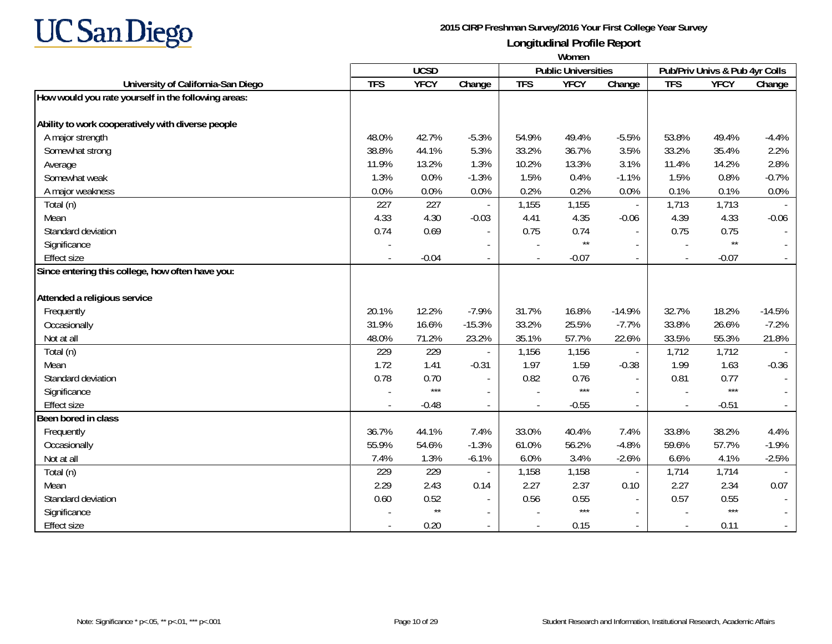

|                                                     | Women      |              |                          |            |                            |                          |            |                                |                          |
|-----------------------------------------------------|------------|--------------|--------------------------|------------|----------------------------|--------------------------|------------|--------------------------------|--------------------------|
|                                                     |            | <b>UCSD</b>  |                          |            | <b>Public Universities</b> |                          |            | Pub/Priv Univs & Pub 4yr Colls |                          |
| University of California-San Diego                  | <b>TFS</b> | <b>YFCY</b>  | Change                   | <b>TFS</b> | <b>YFCY</b>                | Change                   | <b>TFS</b> | <b>YFCY</b>                    | Change                   |
| How would you rate yourself in the following areas: |            |              |                          |            |                            |                          |            |                                |                          |
| Ability to work cooperatively with diverse people   |            |              |                          |            |                            |                          |            |                                |                          |
| A major strength                                    | 48.0%      | 42.7%        | $-5.3%$                  | 54.9%      | 49.4%                      | $-5.5%$                  | 53.8%      | 49.4%                          | $-4.4%$                  |
| Somewhat strong                                     | 38.8%      | 44.1%        | 5.3%                     | 33.2%      | 36.7%                      | 3.5%                     | 33.2%      | 35.4%                          | 2.2%                     |
| Average                                             | 11.9%      | 13.2%        | 1.3%                     | 10.2%      | 13.3%                      | 3.1%                     | 11.4%      | 14.2%                          | 2.8%                     |
| Somewhat weak                                       | 1.3%       | 0.0%         | $-1.3%$                  | 1.5%       | 0.4%                       | $-1.1%$                  | 1.5%       | 0.8%                           | $-0.7%$                  |
| A major weakness                                    | 0.0%       | 0.0%         | 0.0%                     | 0.2%       | 0.2%                       | 0.0%                     | 0.1%       | 0.1%                           | 0.0%                     |
| Total (n)                                           | 227        | 227          |                          | 1,155      | 1,155                      | $\Box$                   | 1,713      | 1,713                          |                          |
| Mean                                                | 4.33       | 4.30         | $-0.03$                  | 4.41       | 4.35                       | $-0.06$                  | 4.39       | 4.33                           | $-0.06$                  |
| Standard deviation                                  | 0.74       | 0.69         | $\overline{\phantom{a}}$ | 0.75       | 0.74                       | $\overline{\phantom{a}}$ | 0.75       | 0.75                           | $\overline{\phantom{a}}$ |
| Significance                                        |            |              |                          |            | $\star\star$               |                          |            | $\star\star$                   | $\sim$                   |
| <b>Effect size</b>                                  |            | $-0.04$      | $\overline{\phantom{a}}$ |            | $-0.07$                    | $\overline{\phantom{a}}$ | $\sim$     | $-0.07$                        | $\sim$                   |
| Since entering this college, how often have you:    |            |              |                          |            |                            |                          |            |                                |                          |
| Attended a religious service                        |            |              |                          |            |                            |                          |            |                                |                          |
| Frequently                                          | 20.1%      | 12.2%        | $-7.9%$                  | 31.7%      | 16.8%                      | $-14.9%$                 | 32.7%      | 18.2%                          | $-14.5%$                 |
| Occasionally                                        | 31.9%      | 16.6%        | $-15.3%$                 | 33.2%      | 25.5%                      | $-7.7%$                  | 33.8%      | 26.6%                          | $-7.2%$                  |
| Not at all                                          | 48.0%      | 71.2%        | 23.2%                    | 35.1%      | 57.7%                      | 22.6%                    | 33.5%      | 55.3%                          | 21.8%                    |
| Total (n)                                           | 229        | 229          |                          | 1,156      | 1,156                      | $\blacksquare$           | 1,712      | 1,712                          |                          |
| Mean                                                | 1.72       | 1.41         | $-0.31$                  | 1.97       | 1.59                       | $-0.38$                  | 1.99       | 1.63                           | $-0.36$                  |
| Standard deviation                                  | 0.78       | 0.70         | $\blacksquare$           | 0.82       | 0.76                       | $\sim$                   | 0.81       | 0.77                           | $\sim$                   |
| Significance                                        |            | $***$        |                          |            | $***$                      | $\overline{\phantom{a}}$ |            | $***$                          |                          |
| <b>Effect size</b>                                  |            | $-0.48$      | $\sim$                   |            | $-0.55$                    | $\sim$                   |            | $-0.51$                        | $\sim$                   |
| Been bored in class                                 |            |              |                          |            |                            |                          |            |                                |                          |
| Frequently                                          | 36.7%      | 44.1%        | 7.4%                     | 33.0%      | 40.4%                      | 7.4%                     | 33.8%      | 38.2%                          | 4.4%                     |
| Occasionally                                        | 55.9%      | 54.6%        | $-1.3%$                  | 61.0%      | 56.2%                      | $-4.8%$                  | 59.6%      | 57.7%                          | $-1.9%$                  |
| Not at all                                          | 7.4%       | 1.3%         | $-6.1%$                  | 6.0%       | 3.4%                       | $-2.6%$                  | 6.6%       | 4.1%                           | $-2.5%$                  |
| Total (n)                                           | 229        | 229          |                          | 1,158      | 1,158                      | $\overline{\phantom{a}}$ | 1,714      | 1,714                          |                          |
| Mean                                                | 2.29       | 2.43         | 0.14                     | 2.27       | 2.37                       | 0.10                     | 2.27       | 2.34                           | 0.07                     |
| Standard deviation                                  | 0.60       | 0.52         |                          | 0.56       | 0.55                       |                          | 0.57       | 0.55                           |                          |
| Significance                                        |            | $\star\star$ | $\overline{\phantom{a}}$ |            | $***$                      | $\overline{\phantom{a}}$ |            | $***$                          |                          |
| <b>Effect size</b>                                  |            | 0.20         |                          |            | 0.15                       | $\sim$                   |            | 0.11                           | $\sim$                   |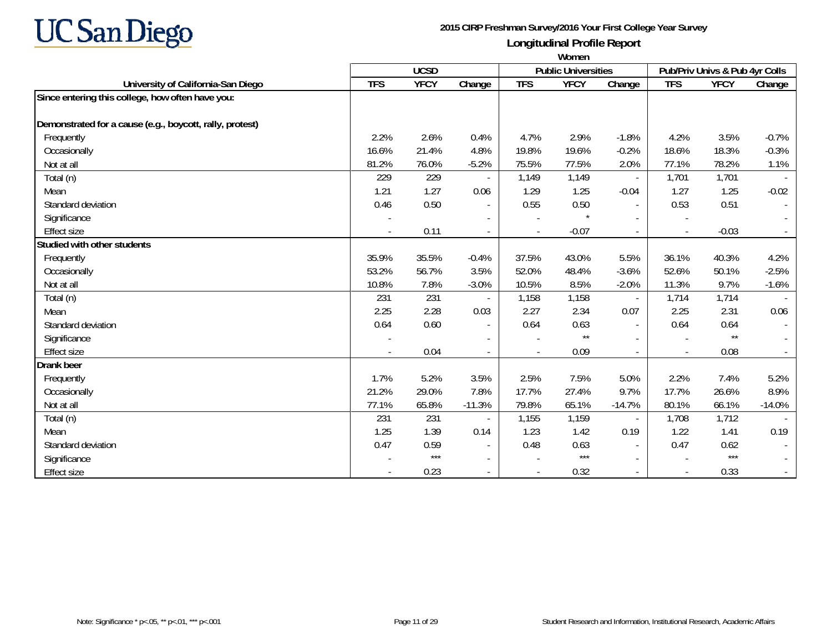

|                                                          | Women      |             |                          |            |                            |                          |                          |                                |          |
|----------------------------------------------------------|------------|-------------|--------------------------|------------|----------------------------|--------------------------|--------------------------|--------------------------------|----------|
|                                                          |            | <b>UCSD</b> |                          |            | <b>Public Universities</b> |                          |                          | Pub/Priv Univs & Pub 4yr Colls |          |
| University of California-San Diego                       | <b>TFS</b> | <b>YFCY</b> | Change                   | <b>TFS</b> | <b>YFCY</b>                | Change                   | <b>TFS</b>               | <b>YFCY</b>                    | Change   |
| Since entering this college, how often have you:         |            |             |                          |            |                            |                          |                          |                                |          |
| Demonstrated for a cause (e.g., boycott, rally, protest) |            |             |                          |            |                            |                          |                          |                                |          |
| Frequently                                               | 2.2%       | 2.6%        | 0.4%                     | 4.7%       | 2.9%                       | $-1.8%$                  | 4.2%                     | 3.5%                           | $-0.7%$  |
| Occasionally                                             | 16.6%      | 21.4%       | 4.8%                     | 19.8%      | 19.6%                      | $-0.2%$                  | 18.6%                    | 18.3%                          | $-0.3%$  |
| Not at all                                               | 81.2%      | 76.0%       | $-5.2%$                  | 75.5%      | 77.5%                      | 2.0%                     | 77.1%                    | 78.2%                          | 1.1%     |
| Total (n)                                                | 229        | 229         |                          | 1,149      | 1,149                      | $\equiv$                 | 1,701                    | 1,701                          |          |
| Mean                                                     | 1.21       | 1.27        | 0.06                     | 1.29       | 1.25                       | $-0.04$                  | 1.27                     | 1.25                           | $-0.02$  |
| Standard deviation                                       | 0.46       | 0.50        | $\blacksquare$           | 0.55       | 0.50                       | $\overline{\phantom{a}}$ | 0.53                     | 0.51                           |          |
| Significance                                             |            |             | $\overline{\phantom{a}}$ |            | $\star$                    |                          |                          |                                |          |
| <b>Effect size</b>                                       |            | 0.11        |                          |            | $-0.07$                    | $\overline{\phantom{a}}$ |                          | $-0.03$                        |          |
| Studied with other students                              |            |             |                          |            |                            |                          |                          |                                |          |
| Frequently                                               | 35.9%      | 35.5%       | $-0.4%$                  | 37.5%      | 43.0%                      | 5.5%                     | 36.1%                    | 40.3%                          | 4.2%     |
| Occasionally                                             | 53.2%      | 56.7%       | 3.5%                     | 52.0%      | 48.4%                      | $-3.6%$                  | 52.6%                    | 50.1%                          | $-2.5%$  |
| Not at all                                               | 10.8%      | 7.8%        | $-3.0%$                  | 10.5%      | 8.5%                       | $-2.0%$                  | 11.3%                    | 9.7%                           | $-1.6%$  |
| Total (n)                                                | 231        | 231         |                          | 1,158      | 1,158                      | $\overline{\phantom{a}}$ | 1,714                    | 1,714                          |          |
| Mean                                                     | 2.25       | 2.28        | 0.03                     | 2.27       | 2.34                       | 0.07                     | 2.25                     | 2.31                           | 0.06     |
| Standard deviation                                       | 0.64       | 0.60        | $\overline{\phantom{a}}$ | 0.64       | 0.63                       | $\sim$                   | 0.64                     | 0.64                           |          |
| Significance                                             |            |             |                          |            | $^{\star\star}$            |                          |                          | $\star\star$                   |          |
| <b>Effect size</b>                                       |            | 0.04        |                          |            | 0.09                       |                          | $\overline{\phantom{a}}$ | 0.08                           |          |
| Drank beer                                               |            |             |                          |            |                            |                          |                          |                                |          |
| Frequently                                               | 1.7%       | 5.2%        | 3.5%                     | 2.5%       | 7.5%                       | 5.0%                     | 2.2%                     | 7.4%                           | 5.2%     |
| Occasionally                                             | 21.2%      | 29.0%       | 7.8%                     | 17.7%      | 27.4%                      | 9.7%                     | 17.7%                    | 26.6%                          | 8.9%     |
| Not at all                                               | 77.1%      | 65.8%       | $-11.3%$                 | 79.8%      | 65.1%                      | $-14.7%$                 | 80.1%                    | 66.1%                          | $-14.0%$ |
| Total (n)                                                | 231        | 231         |                          | 1,155      | 1,159                      | $\overline{\phantom{a}}$ | 1,708                    | 1,712                          |          |
| Mean                                                     | 1.25       | 1.39        | 0.14                     | 1.23       | 1.42                       | 0.19                     | 1.22                     | 1.41                           | 0.19     |
| Standard deviation                                       | 0.47       | 0.59        | $\overline{\phantom{a}}$ | 0.48       | 0.63                       | $\overline{\phantom{a}}$ | 0.47                     | 0.62                           |          |
| Significance                                             |            | $***$       | $\overline{\phantom{a}}$ |            | $***$                      | $\overline{\phantom{a}}$ |                          | $***$                          |          |
| <b>Effect size</b>                                       |            | 0.23        |                          |            | 0.32                       |                          |                          | 0.33                           |          |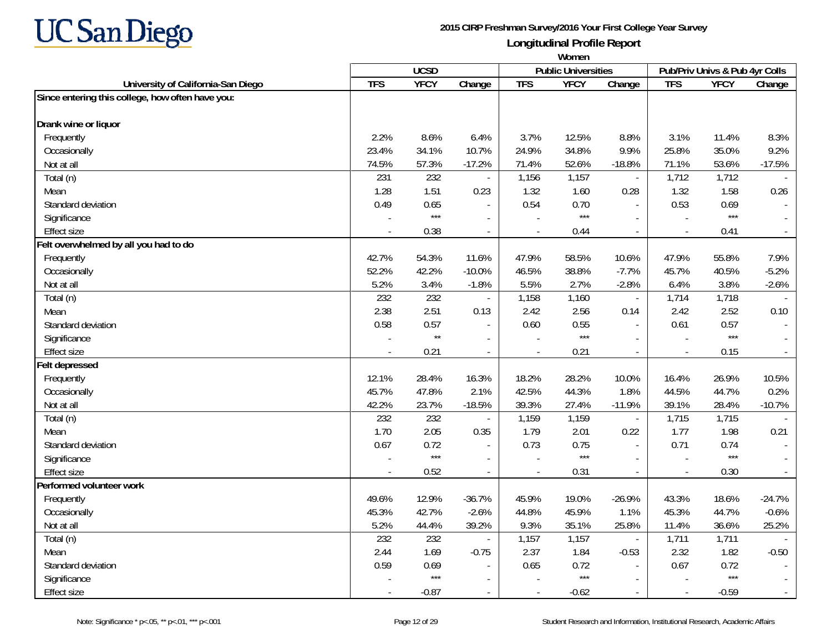

|                                                  | Women      |              |                          |                |                            |                             |                          |                                |                             |
|--------------------------------------------------|------------|--------------|--------------------------|----------------|----------------------------|-----------------------------|--------------------------|--------------------------------|-----------------------------|
|                                                  |            | <b>UCSD</b>  |                          |                | <b>Public Universities</b> |                             |                          | Pub/Priv Univs & Pub 4yr Colls |                             |
| University of California-San Diego               | <b>TFS</b> | <b>YFCY</b>  | Change                   | <b>TFS</b>     | <b>YFCY</b>                | Change                      | <b>TFS</b>               | <b>YFCY</b>                    | Change                      |
| Since entering this college, how often have you: |            |              |                          |                |                            |                             |                          |                                |                             |
|                                                  |            |              |                          |                |                            |                             |                          |                                |                             |
| Drank wine or liquor                             |            |              |                          |                |                            |                             |                          |                                |                             |
| Frequently                                       | 2.2%       | 8.6%         | 6.4%                     | 3.7%           | 12.5%                      | 8.8%                        | 3.1%                     | 11.4%                          | 8.3%                        |
| Occasionally                                     | 23.4%      | 34.1%        | 10.7%                    | 24.9%          | 34.8%                      | 9.9%                        | 25.8%                    | 35.0%                          | 9.2%                        |
| Not at all                                       | 74.5%      | 57.3%        | $-17.2%$                 | 71.4%          | 52.6%                      | $-18.8%$                    | 71.1%                    | 53.6%                          | $-17.5%$                    |
| Total (n)                                        | 231        | 232          |                          | 1,156          | 1,157                      | $\mathcal{L}_{\mathcal{A}}$ | 1,712                    | 1,712                          |                             |
| Mean                                             | 1.28       | 1.51         | 0.23                     | 1.32           | 1.60                       | 0.28                        | 1.32                     | 1.58                           | 0.26                        |
| Standard deviation                               | 0.49       | 0.65         |                          | 0.54           | 0.70                       | $\mathbf{r}$                | 0.53                     | 0.69                           |                             |
| Significance                                     |            | $***$        |                          |                | $***$                      | $\sim$                      |                          | $***$                          |                             |
| <b>Effect size</b>                               |            | 0.38         | $\overline{\phantom{a}}$ | $\overline{a}$ | 0.44                       | $\blacksquare$              | $\overline{\phantom{a}}$ | 0.41                           | $\mathcal{L}_{\mathcal{A}}$ |
| Felt overwhelmed by all you had to do            |            |              |                          |                |                            |                             |                          |                                |                             |
| Frequently                                       | 42.7%      | 54.3%        | 11.6%                    | 47.9%          | 58.5%                      | 10.6%                       | 47.9%                    | 55.8%                          | 7.9%                        |
| Occasionally                                     | 52.2%      | 42.2%        | $-10.0%$                 | 46.5%          | 38.8%                      | $-7.7%$                     | 45.7%                    | 40.5%                          | $-5.2%$                     |
| Not at all                                       | 5.2%       | 3.4%         | $-1.8%$                  | 5.5%           | 2.7%                       | $-2.8%$                     | 6.4%                     | 3.8%                           | $-2.6%$                     |
| Total (n)                                        | 232        | 232          |                          | 1,158          | 1,160                      | $\mathcal{L}_{\mathcal{A}}$ | 1,714                    | 1,718                          |                             |
| Mean                                             | 2.38       | 2.51         | 0.13                     | 2.42           | 2.56                       | 0.14                        | 2.42                     | 2.52                           | 0.10                        |
| Standard deviation                               | 0.58       | 0.57         |                          | 0.60           | 0.55                       |                             | 0.61                     | 0.57                           |                             |
| Significance                                     |            | $\star\star$ |                          |                | $***$                      | $\overline{\phantom{a}}$    |                          | $***$                          |                             |
| <b>Effect size</b>                               |            | 0.21         | $\overline{\phantom{a}}$ |                | 0.21                       | $\blacksquare$              |                          | 0.15                           | $\sim$                      |
| Felt depressed                                   |            |              |                          |                |                            |                             |                          |                                |                             |
| Frequently                                       | 12.1%      | 28.4%        | 16.3%                    | 18.2%          | 28.2%                      | 10.0%                       | 16.4%                    | 26.9%                          | 10.5%                       |
| Occasionally                                     | 45.7%      | 47.8%        | 2.1%                     | 42.5%          | 44.3%                      | 1.8%                        | 44.5%                    | 44.7%                          | 0.2%                        |
| Not at all                                       | 42.2%      | 23.7%        | $-18.5%$                 | 39.3%          | 27.4%                      | $-11.9%$                    | 39.1%                    | 28.4%                          | $-10.7%$                    |
| Total (n)                                        | 232        | 232          |                          | 1,159          | 1,159                      | $\blacksquare$              | 1,715                    | 1,715                          |                             |
| Mean                                             | 1.70       | 2.05         | 0.35                     | 1.79           | 2.01                       | 0.22                        | 1.77                     | 1.98                           | 0.21                        |
| Standard deviation                               | 0.67       | 0.72         |                          | 0.73           | 0.75                       | $\overline{\phantom{a}}$    | 0.71                     | 0.74                           | $\mathbb{L}$                |
| Significance                                     |            | $***$        | $\overline{a}$           |                | $***$                      | $\overline{\phantom{a}}$    |                          | $***$                          |                             |
| <b>Effect size</b>                               |            | 0.52         | $\sim$                   |                | 0.31                       | $\sim$                      |                          | 0.30                           | $\mathbb{Z}^+$              |
| Performed volunteer work                         |            |              |                          |                |                            |                             |                          |                                |                             |
| Frequently                                       | 49.6%      | 12.9%        | $-36.7%$                 | 45.9%          | 19.0%                      | $-26.9%$                    | 43.3%                    | 18.6%                          | $-24.7%$                    |
| Occasionally                                     | 45.3%      | 42.7%        | $-2.6%$                  | 44.8%          | 45.9%                      | 1.1%                        | 45.3%                    | 44.7%                          | $-0.6%$                     |
| Not at all                                       | 5.2%       | 44.4%        | 39.2%                    | 9.3%           | 35.1%                      | 25.8%                       | 11.4%                    | 36.6%                          | 25.2%                       |
| Total (n)                                        | 232        | 232          |                          | 1,157          | 1,157                      | $\overline{\phantom{a}}$    | 1,711                    | 1,711                          |                             |
| Mean                                             | 2.44       | 1.69         | $-0.75$                  | 2.37           | 1.84                       | $-0.53$                     | 2.32                     | 1.82                           | $-0.50$                     |
| Standard deviation                               | 0.59       | 0.69         |                          | 0.65           | 0.72                       |                             | 0.67                     | 0.72                           |                             |
| Significance                                     |            | $***$        |                          |                | $***$                      | $\overline{\phantom{a}}$    |                          | $***$                          |                             |
| <b>Effect size</b>                               |            | $-0.87$      |                          |                | $-0.62$                    | $\sim$                      |                          | $-0.59$                        | $\overline{\phantom{a}}$    |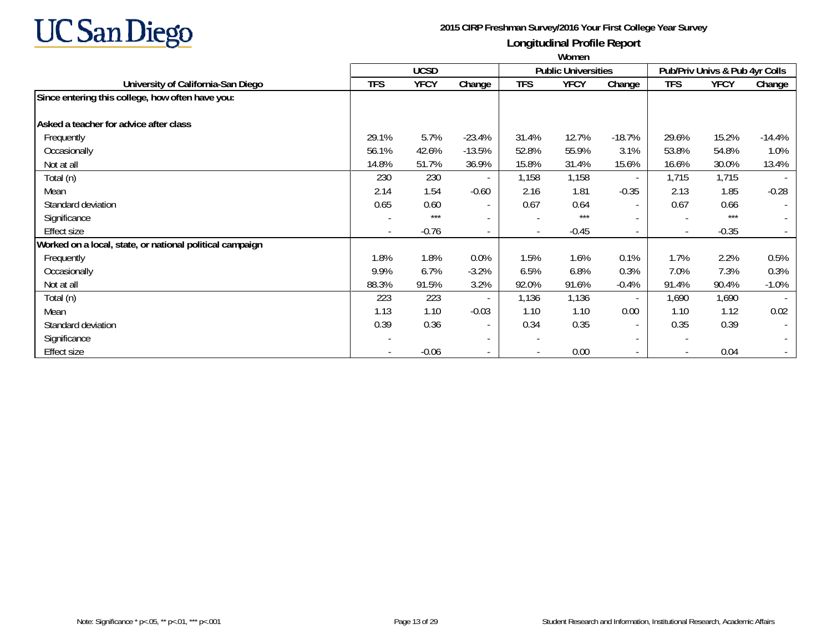

|                                                          | Women                    |             |                          |                          |                            |                          |                          |                                |                          |
|----------------------------------------------------------|--------------------------|-------------|--------------------------|--------------------------|----------------------------|--------------------------|--------------------------|--------------------------------|--------------------------|
|                                                          |                          | <b>UCSD</b> |                          |                          | <b>Public Universities</b> |                          |                          | Pub/Priv Univs & Pub 4yr Colls |                          |
| University of California-San Diego                       | <b>TFS</b>               | <b>YFCY</b> | Change                   | <b>TFS</b>               | <b>YFCY</b>                | Change                   | <b>TFS</b>               | <b>YFCY</b>                    | Change                   |
| Since entering this college, how often have you:         |                          |             |                          |                          |                            |                          |                          |                                |                          |
| Asked a teacher for advice after class                   |                          |             |                          |                          |                            |                          |                          |                                |                          |
| Frequently                                               | 29.1%                    | 5.7%        | $-23.4%$                 | 31.4%                    | 12.7%                      | $-18.7%$                 | 29.6%                    | 15.2%                          | $-14.4%$                 |
| Occasionally                                             | 56.1%                    | 42.6%       | $-13.5%$                 | 52.8%                    | 55.9%                      | 3.1%                     | 53.8%                    | 54.8%                          | 1.0%                     |
| Not at all                                               | 14.8%                    | 51.7%       | 36.9%                    | 15.8%                    | 31.4%                      | 15.6%                    | 16.6%                    | 30.0%                          | 13.4%                    |
| Total (n)                                                | 230                      | 230         | $\overline{\phantom{a}}$ | 1,158                    | 1,158                      | $\sim$                   | 1,715                    | 1,715                          |                          |
| Mean                                                     | 2.14                     | 1.54        | $-0.60$                  | 2.16                     | 1.81                       | $-0.35$                  | 2.13                     | 1.85                           | $-0.28$                  |
| Standard deviation                                       | 0.65                     | 0.60        | $\overline{\phantom{a}}$ | 0.67                     | 0.64                       | $\sim$                   | 0.67                     | 0.66                           |                          |
| Significance                                             |                          | $***$       | $\overline{a}$           |                          | $***$                      | $\sim$                   | $\overline{\phantom{a}}$ | $***$                          | $\overline{\phantom{a}}$ |
| <b>Effect size</b>                                       | $\overline{\phantom{a}}$ | $-0.76$     | $\overline{a}$           | $\overline{\phantom{a}}$ | $-0.45$                    | $\sim$                   | $\overline{\phantom{a}}$ | $-0.35$                        |                          |
| Worked on a local, state, or national political campaign |                          |             |                          |                          |                            |                          |                          |                                |                          |
| Frequently                                               | 1.8%                     | 1.8%        | 0.0%                     | 1.5%                     | 1.6%                       | 0.1%                     | 1.7%                     | 2.2%                           | 0.5%                     |
| Occasionally                                             | 9.9%                     | 6.7%        | $-3.2%$                  | 6.5%                     | 6.8%                       | 0.3%                     | 7.0%                     | 7.3%                           | 0.3%                     |
| Not at all                                               | 88.3%                    | 91.5%       | 3.2%                     | 92.0%                    | 91.6%                      | $-0.4%$                  | 91.4%                    | 90.4%                          | $-1.0%$                  |
| Total (n)                                                | 223                      | 223         |                          | 1,136                    | 1,136                      | $\sim$                   | 1,690                    | 1,690                          | $\overline{\phantom{a}}$ |
| Mean                                                     | 1.13                     | 1.10        | $-0.03$                  | 1.10                     | 1.10                       | 0.00                     | 1.10                     | 1.12                           | 0.02                     |
| Standard deviation                                       | 0.39                     | 0.36        | $\overline{\phantom{a}}$ | 0.34                     | 0.35                       | $\sim$                   | 0.35                     | 0.39                           | $\overline{\phantom{a}}$ |
| Significance                                             |                          |             | $\overline{a}$           | $\overline{\phantom{a}}$ |                            | $\sim$                   | $\overline{\phantom{a}}$ |                                |                          |
| <b>Effect size</b>                                       |                          | $-0.06$     |                          |                          | 0.00                       | $\overline{\phantom{a}}$ | $\overline{\phantom{a}}$ | 0.04                           |                          |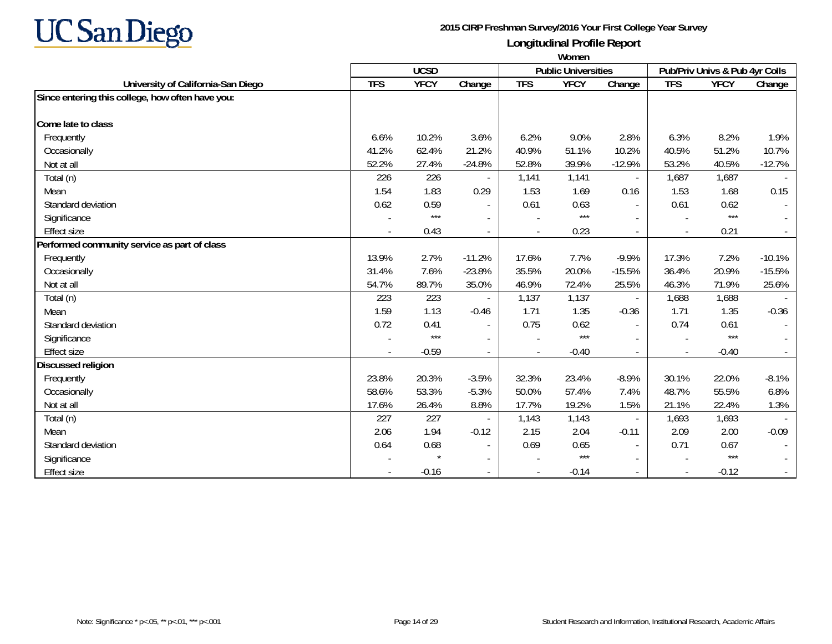

|                                                  | Women      |             |                          |            |                            |                          |                          |                                |          |
|--------------------------------------------------|------------|-------------|--------------------------|------------|----------------------------|--------------------------|--------------------------|--------------------------------|----------|
|                                                  |            | <b>UCSD</b> |                          |            | <b>Public Universities</b> |                          |                          | Pub/Priv Univs & Pub 4yr Colls |          |
| University of California-San Diego               | <b>TFS</b> | <b>YFCY</b> | Change                   | <b>TFS</b> | <b>YFCY</b>                | Change                   | <b>TFS</b>               | <b>YFCY</b>                    | Change   |
| Since entering this college, how often have you: |            |             |                          |            |                            |                          |                          |                                |          |
| Come late to class                               |            |             |                          |            |                            |                          |                          |                                |          |
| Frequently                                       | 6.6%       | 10.2%       | 3.6%                     | 6.2%       | 9.0%                       | 2.8%                     | 6.3%                     | 8.2%                           | 1.9%     |
| Occasionally                                     | 41.2%      | 62.4%       | 21.2%                    | 40.9%      | 51.1%                      | 10.2%                    | 40.5%                    | 51.2%                          | 10.7%    |
| Not at all                                       | 52.2%      | 27.4%       | $-24.8%$                 | 52.8%      | 39.9%                      | $-12.9%$                 | 53.2%                    | 40.5%                          | $-12.7%$ |
| Total (n)                                        | 226        | 226         |                          | 1,141      | 1,141                      | $\overline{\phantom{a}}$ | 1,687                    | 1,687                          |          |
| Mean                                             | 1.54       | 1.83        | 0.29                     | 1.53       | 1.69                       | 0.16                     | 1.53                     | 1.68                           | 0.15     |
| Standard deviation                               | 0.62       | 0.59        | $\sim$                   | 0.61       | 0.63                       | $\sim$                   | 0.61                     | 0.62                           |          |
| Significance                                     |            | $***$       |                          |            | $***$                      |                          |                          | $***$                          |          |
| <b>Effect size</b>                               |            | 0.43        |                          |            | 0.23                       | $\overline{\phantom{a}}$ |                          | 0.21                           |          |
| Performed community service as part of class     |            |             |                          |            |                            |                          |                          |                                |          |
| Frequently                                       | 13.9%      | 2.7%        | $-11.2%$                 | 17.6%      | 7.7%                       | $-9.9%$                  | 17.3%                    | 7.2%                           | $-10.1%$ |
| Occasionally                                     | 31.4%      | 7.6%        | $-23.8%$                 | 35.5%      | 20.0%                      | $-15.5%$                 | 36.4%                    | 20.9%                          | $-15.5%$ |
| Not at all                                       | 54.7%      | 89.7%       | 35.0%                    | 46.9%      | 72.4%                      | 25.5%                    | 46.3%                    | 71.9%                          | 25.6%    |
| Total (n)                                        | 223        | 223         |                          | 1,137      | 1,137                      | $\overline{\phantom{a}}$ | 1,688                    | 1,688                          |          |
| Mean                                             | 1.59       | 1.13        | $-0.46$                  | 1.71       | 1.35                       | $-0.36$                  | 1.71                     | 1.35                           | $-0.36$  |
| Standard deviation                               | 0.72       | 0.41        | $\overline{\phantom{a}}$ | 0.75       | 0.62                       | $\blacksquare$           | 0.74                     | 0.61                           |          |
| Significance                                     |            | $***$       |                          |            | $***$                      | $\overline{\phantom{a}}$ | $\overline{\phantom{a}}$ | $***$                          |          |
| <b>Effect size</b>                               |            | $-0.59$     | $\overline{\phantom{a}}$ |            | $-0.40$                    | $\overline{\phantom{a}}$ | $\overline{\phantom{a}}$ | $-0.40$                        |          |
| <b>Discussed religion</b>                        |            |             |                          |            |                            |                          |                          |                                |          |
| Frequently                                       | 23.8%      | 20.3%       | $-3.5%$                  | 32.3%      | 23.4%                      | $-8.9%$                  | 30.1%                    | 22.0%                          | $-8.1%$  |
| Occasionally                                     | 58.6%      | 53.3%       | $-5.3%$                  | 50.0%      | 57.4%                      | 7.4%                     | 48.7%                    | 55.5%                          | 6.8%     |
| Not at all                                       | 17.6%      | 26.4%       | 8.8%                     | 17.7%      | 19.2%                      | 1.5%                     | 21.1%                    | 22.4%                          | 1.3%     |
| Total (n)                                        | 227        | 227         |                          | 1,143      | 1,143                      | $\overline{\phantom{a}}$ | 1,693                    | 1,693                          |          |
| Mean                                             | 2.06       | 1.94        | $-0.12$                  | 2.15       | 2.04                       | $-0.11$                  | 2.09                     | 2.00                           | $-0.09$  |
| Standard deviation                               | 0.64       | 0.68        |                          | 0.69       | 0.65                       | $\overline{\phantom{a}}$ | 0.71                     | 0.67                           |          |
| Significance                                     |            |             |                          |            | $***$                      | $\sim$                   |                          | $***$                          |          |
| Effect size                                      |            | $-0.16$     |                          |            | $-0.14$                    | $\sim$                   | $\blacksquare$           | $-0.12$                        |          |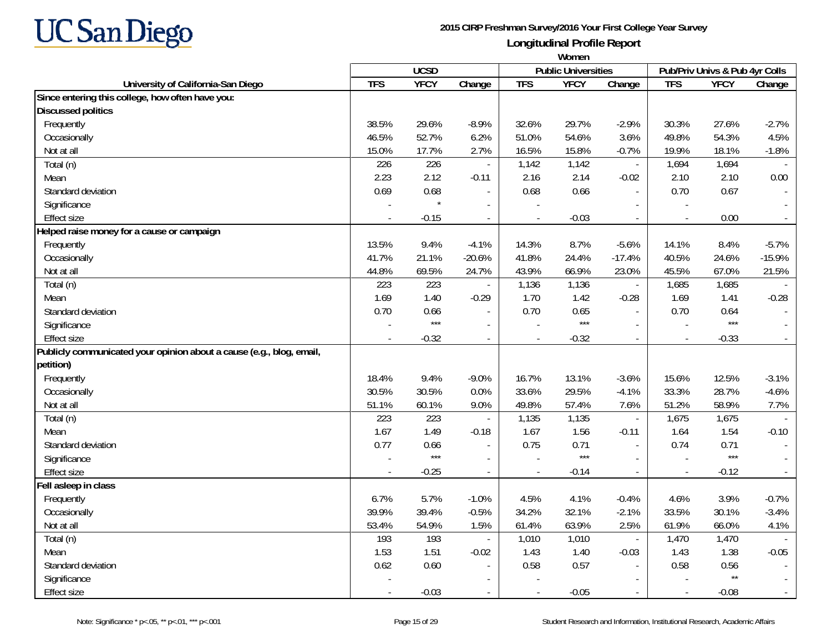

|                                                                      | Women      |             |                          |            |                            |                          |                                |              |          |
|----------------------------------------------------------------------|------------|-------------|--------------------------|------------|----------------------------|--------------------------|--------------------------------|--------------|----------|
|                                                                      |            | <b>UCSD</b> |                          |            | <b>Public Universities</b> |                          | Pub/Priv Univs & Pub 4yr Colls |              |          |
| University of California-San Diego                                   | <b>TFS</b> | <b>YFCY</b> | Change                   | <b>TFS</b> | <b>YFCY</b>                | Change                   | <b>TFS</b>                     | <b>YFCY</b>  | Change   |
| Since entering this college, how often have you:                     |            |             |                          |            |                            |                          |                                |              |          |
| <b>Discussed politics</b>                                            |            |             |                          |            |                            |                          |                                |              |          |
| Frequently                                                           | 38.5%      | 29.6%       | $-8.9%$                  | 32.6%      | 29.7%                      | $-2.9%$                  | 30.3%                          | 27.6%        | $-2.7%$  |
| Occasionally                                                         | 46.5%      | 52.7%       | 6.2%                     | 51.0%      | 54.6%                      | 3.6%                     | 49.8%                          | 54.3%        | 4.5%     |
| Not at all                                                           | 15.0%      | 17.7%       | 2.7%                     | 16.5%      | 15.8%                      | $-0.7%$                  | 19.9%                          | 18.1%        | $-1.8%$  |
| Total (n)                                                            | 226        | 226         | $\overline{\phantom{a}}$ | 1,142      | 1,142                      | $\mathbb{L}$             | 1,694                          | 1,694        |          |
| Mean                                                                 | 2.23       | 2.12        | $-0.11$                  | 2.16       | 2.14                       | $-0.02$                  | 2.10                           | 2.10         | 0.00     |
| Standard deviation                                                   | 0.69       | 0.68        |                          | 0.68       | 0.66                       | $\overline{\phantom{a}}$ | 0.70                           | 0.67         |          |
| Significance                                                         |            |             |                          |            |                            |                          |                                |              |          |
| <b>Effect size</b>                                                   |            | $-0.15$     |                          |            | $-0.03$                    |                          |                                | 0.00         |          |
| Helped raise money for a cause or campaign                           |            |             |                          |            |                            |                          |                                |              |          |
| Frequently                                                           | 13.5%      | 9.4%        | $-4.1%$                  | 14.3%      | 8.7%                       | $-5.6%$                  | 14.1%                          | 8.4%         | $-5.7%$  |
| Occasionally                                                         | 41.7%      | 21.1%       | $-20.6%$                 | 41.8%      | 24.4%                      | $-17.4%$                 | 40.5%                          | 24.6%        | $-15.9%$ |
| Not at all                                                           | 44.8%      | 69.5%       | 24.7%                    | 43.9%      | 66.9%                      | 23.0%                    | 45.5%                          | 67.0%        | 21.5%    |
| Total (n)                                                            | 223        | 223         |                          | 1,136      | 1,136                      | $\overline{\phantom{a}}$ | 1,685                          | 1,685        |          |
| Mean                                                                 | 1.69       | 1.40        | $-0.29$                  | 1.70       | 1.42                       | $-0.28$                  | 1.69                           | 1.41         | $-0.28$  |
| Standard deviation                                                   | 0.70       | 0.66        |                          | 0.70       | 0.65                       | $\overline{\phantom{a}}$ | 0.70                           | 0.64         |          |
| Significance                                                         |            | $***$       | $\overline{\phantom{a}}$ |            | $***$                      |                          |                                | $***$        |          |
| <b>Effect size</b>                                                   |            | $-0.32$     | $\overline{\phantom{a}}$ |            | $-0.32$                    |                          | $\overline{a}$                 | $-0.33$      |          |
| Publicly communicated your opinion about a cause (e.g., blog, email, |            |             |                          |            |                            |                          |                                |              |          |
| petition)                                                            |            |             |                          |            |                            |                          |                                |              |          |
| Frequently                                                           | 18.4%      | 9.4%        | $-9.0%$                  | 16.7%      | 13.1%                      | $-3.6%$                  | 15.6%                          | 12.5%        | $-3.1%$  |
| Occasionally                                                         | 30.5%      | 30.5%       | 0.0%                     | 33.6%      | 29.5%                      | $-4.1%$                  | 33.3%                          | 28.7%        | $-4.6%$  |
| Not at all                                                           | 51.1%      | 60.1%       | 9.0%                     | 49.8%      | 57.4%                      | 7.6%                     | 51.2%                          | 58.9%        | 7.7%     |
| Total (n)                                                            | 223        | 223         |                          | 1,135      | 1,135                      | $\overline{\phantom{a}}$ | 1,675                          | 1,675        |          |
| Mean                                                                 | 1.67       | 1.49        | $-0.18$                  | 1.67       | 1.56                       | $-0.11$                  | 1.64                           | 1.54         | $-0.10$  |
| Standard deviation                                                   | 0.77       | 0.66        | $\overline{\phantom{a}}$ | 0.75       | 0.71                       | $\sim$                   | 0.74                           | 0.71         |          |
| Significance                                                         |            | $***$       | $\overline{\phantom{a}}$ |            | $***$                      |                          | $\overline{a}$                 | $***$        |          |
| <b>Effect size</b>                                                   |            | $-0.25$     | $\overline{\phantom{a}}$ | $\sim$     | $-0.14$                    | $\sim$                   | $\overline{\phantom{a}}$       | $-0.12$      |          |
| Fell asleep in class                                                 |            |             |                          |            |                            |                          |                                |              |          |
| Frequently                                                           | $6.7\%$    | 5.7%        | $-1.0%$                  | 4.5%       | 4.1%                       | $-0.4%$                  | 4.6%                           | 3.9%         | $-0.7%$  |
| Occasionally                                                         | 39.9%      | 39.4%       | $-0.5%$                  | 34.2%      | 32.1%                      | $-2.1%$                  | 33.5%                          | 30.1%        | $-3.4%$  |
| Not at all                                                           | 53.4%      | 54.9%       | 1.5%                     | 61.4%      | 63.9%                      | 2.5%                     | 61.9%                          | 66.0%        | 4.1%     |
| Total (n)                                                            | 193        | 193         | $\blacksquare$           | 1,010      | 1,010                      | $\overline{\phantom{a}}$ | 1,470                          | 1,470        |          |
| Mean                                                                 | 1.53       | 1.51        | $-0.02$                  | 1.43       | 1.40                       | $-0.03$                  | 1.43                           | 1.38         | $-0.05$  |
| Standard deviation                                                   | 0.62       | 0.60        |                          | 0.58       | 0.57                       |                          | 0.58                           | 0.56         |          |
| Significance                                                         |            |             |                          |            |                            |                          |                                | $\star\star$ |          |
| <b>Effect size</b>                                                   |            | $-0.03$     |                          |            | $-0.05$                    |                          | $\overline{\phantom{a}}$       | $-0.08$      |          |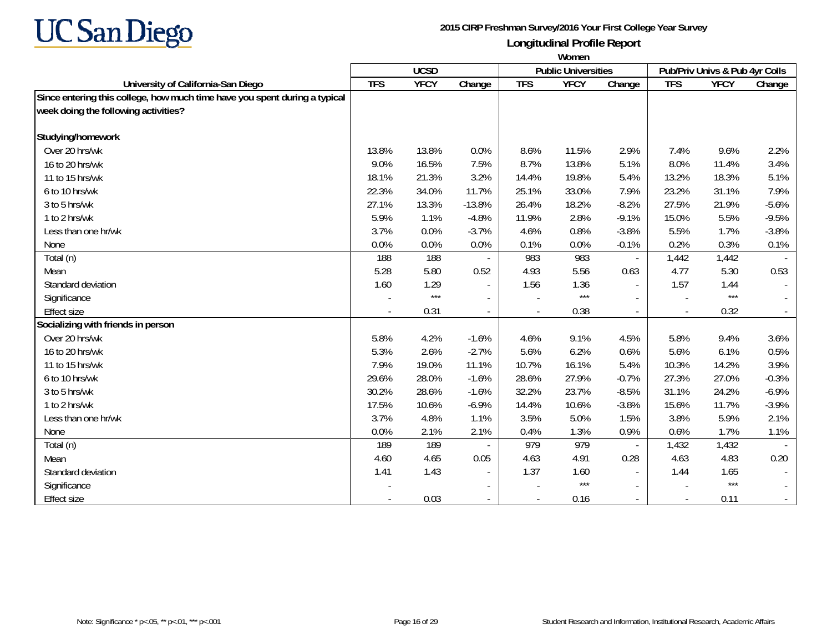

|                                                                            | Women      |             |                          |            |                            |                          |                          |                                |         |
|----------------------------------------------------------------------------|------------|-------------|--------------------------|------------|----------------------------|--------------------------|--------------------------|--------------------------------|---------|
|                                                                            |            | <b>UCSD</b> |                          |            | <b>Public Universities</b> |                          |                          | Pub/Priv Univs & Pub 4yr Colls |         |
| University of California-San Diego                                         | <b>TFS</b> | <b>YFCY</b> | Change                   | <b>TFS</b> | <b>YFCY</b>                | Change                   | <b>TFS</b>               | <b>YFCY</b>                    | Change  |
| Since entering this college, how much time have you spent during a typical |            |             |                          |            |                            |                          |                          |                                |         |
| week doing the following activities?                                       |            |             |                          |            |                            |                          |                          |                                |         |
| Studying/homework                                                          |            |             |                          |            |                            |                          |                          |                                |         |
| Over 20 hrs/wk                                                             | 13.8%      | 13.8%       | 0.0%                     | 8.6%       | 11.5%                      | 2.9%                     | 7.4%                     | 9.6%                           | 2.2%    |
| 16 to 20 hrs/wk                                                            | 9.0%       | 16.5%       | 7.5%                     | 8.7%       | 13.8%                      | 5.1%                     | 8.0%                     | 11.4%                          | 3.4%    |
| 11 to 15 hrs/wk                                                            | 18.1%      | 21.3%       | 3.2%                     | 14.4%      | 19.8%                      | 5.4%                     | 13.2%                    | 18.3%                          | 5.1%    |
| 6 to 10 hrs/wk                                                             | 22.3%      | 34.0%       | 11.7%                    | 25.1%      | 33.0%                      | 7.9%                     | 23.2%                    | 31.1%                          | 7.9%    |
| 3 to 5 hrs/wk                                                              | 27.1%      | 13.3%       | $-13.8%$                 | 26.4%      | 18.2%                      | $-8.2%$                  | 27.5%                    | 21.9%                          | $-5.6%$ |
| 1 to 2 hrs/wk                                                              | 5.9%       | 1.1%        | $-4.8%$                  | 11.9%      | 2.8%                       | $-9.1%$                  | 15.0%                    | 5.5%                           | $-9.5%$ |
| Less than one hr/wk                                                        | 3.7%       | 0.0%        | $-3.7%$                  | 4.6%       | 0.8%                       | $-3.8%$                  | 5.5%                     | 1.7%                           | $-3.8%$ |
| None                                                                       | 0.0%       | 0.0%        | 0.0%                     | 0.1%       | 0.0%                       | $-0.1%$                  | 0.2%                     | 0.3%                           | 0.1%    |
| Total (n)                                                                  | 188        | 188         |                          | 983        | 983                        | $\overline{\phantom{a}}$ | 1,442                    | 1,442                          |         |
| Mean                                                                       | 5.28       | 5.80        | 0.52                     | 4.93       | 5.56                       | 0.63                     | 4.77                     | 5.30                           | 0.53    |
| Standard deviation                                                         | 1.60       | 1.29        |                          | 1.56       | 1.36                       | $\overline{\phantom{a}}$ | 1.57                     | 1.44                           |         |
| Significance                                                               |            | $***$       | $\blacksquare$           |            | $***$                      |                          |                          | $***$                          |         |
| <b>Effect size</b>                                                         |            | 0.31        |                          |            | 0.38                       | $\overline{\phantom{a}}$ | $\overline{\phantom{a}}$ | 0.32                           |         |
| Socializing with friends in person                                         |            |             |                          |            |                            |                          |                          |                                |         |
| Over 20 hrs/wk                                                             | 5.8%       | 4.2%        | $-1.6%$                  | 4.6%       | 9.1%                       | 4.5%                     | 5.8%                     | 9.4%                           | 3.6%    |
| 16 to 20 hrs/wk                                                            | 5.3%       | 2.6%        | $-2.7%$                  | 5.6%       | 6.2%                       | 0.6%                     | 5.6%                     | 6.1%                           | 0.5%    |
| 11 to 15 hrs/wk                                                            | 7.9%       | 19.0%       | 11.1%                    | 10.7%      | 16.1%                      | 5.4%                     | 10.3%                    | 14.2%                          | 3.9%    |
| 6 to 10 hrs/wk                                                             | 29.6%      | 28.0%       | $-1.6%$                  | 28.6%      | 27.9%                      | $-0.7%$                  | 27.3%                    | 27.0%                          | $-0.3%$ |
| 3 to 5 hrs/wk                                                              | 30.2%      | 28.6%       | $-1.6%$                  | 32.2%      | 23.7%                      | $-8.5%$                  | 31.1%                    | 24.2%                          | $-6.9%$ |
| 1 to 2 hrs/wk                                                              | 17.5%      | 10.6%       | $-6.9%$                  | 14.4%      | 10.6%                      | $-3.8%$                  | 15.6%                    | 11.7%                          | $-3.9%$ |
| Less than one hr/wk                                                        | 3.7%       | 4.8%        | 1.1%                     | 3.5%       | 5.0%                       | 1.5%                     | 3.8%                     | 5.9%                           | 2.1%    |
| None                                                                       | 0.0%       | 2.1%        | 2.1%                     | 0.4%       | 1.3%                       | 0.9%                     | 0.6%                     | 1.7%                           | 1.1%    |
| Total (n)                                                                  | 189        | 189         |                          | 979        | 979                        | $\blacksquare$           | 1,432                    | 1,432                          |         |
| Mean                                                                       | 4.60       | 4.65        | 0.05                     | 4.63       | 4.91                       | 0.28                     | 4.63                     | 4.83                           | 0.20    |
| Standard deviation                                                         | 1.41       | 1.43        |                          | 1.37       | 1.60                       |                          | 1.44                     | 1.65                           |         |
| Significance                                                               |            |             | $\overline{\phantom{a}}$ |            | $***$                      | $\sim$                   |                          | $***$                          |         |
| <b>Effect size</b>                                                         |            | 0.03        |                          |            | 0.16                       | $\overline{\phantom{a}}$ | $\overline{\phantom{a}}$ | 0.11                           |         |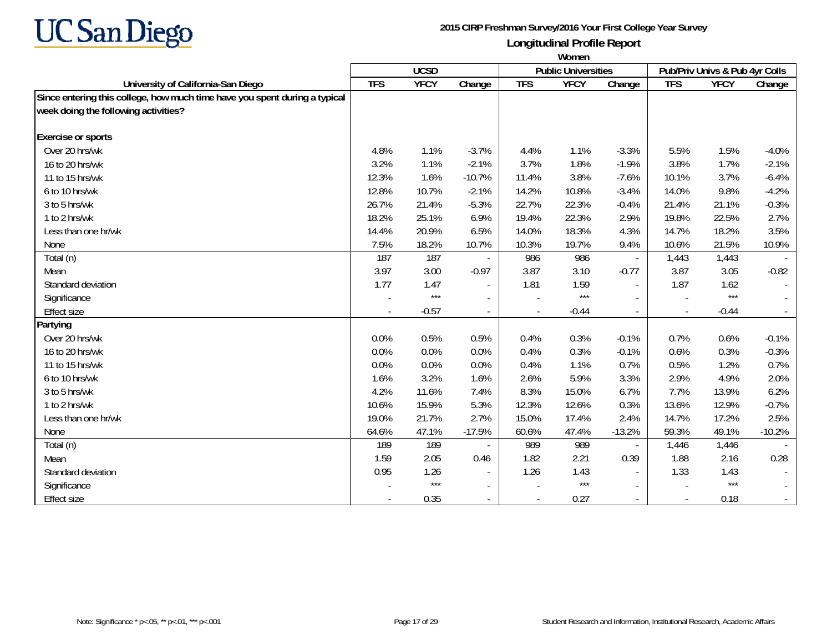

|                                                                            | Women      |             |                          |            |                            |                             |                |                                |          |
|----------------------------------------------------------------------------|------------|-------------|--------------------------|------------|----------------------------|-----------------------------|----------------|--------------------------------|----------|
|                                                                            |            | <b>UCSD</b> |                          |            | <b>Public Universities</b> |                             |                | Pub/Priv Univs & Pub 4yr Colls |          |
| University of California-San Diego                                         | <b>TFS</b> | <b>YFCY</b> | Change                   | <b>TFS</b> | <b>YFCY</b>                | Change                      | <b>TFS</b>     | <b>YFCY</b>                    | Change   |
| Since entering this college, how much time have you spent during a typical |            |             |                          |            |                            |                             |                |                                |          |
| week doing the following activities?                                       |            |             |                          |            |                            |                             |                |                                |          |
| <b>Exercise or sports</b>                                                  |            |             |                          |            |                            |                             |                |                                |          |
| Over 20 hrs/wk                                                             | 4.8%       | 1.1%        | $-3.7%$                  | 4.4%       | 1.1%                       | $-3.3%$                     | 5.5%           | 1.5%                           | $-4.0%$  |
| 16 to 20 hrs/wk                                                            | 3.2%       | 1.1%        | $-2.1%$                  | 3.7%       | 1.8%                       | $-1.9%$                     | 3.8%           | 1.7%                           | $-2.1%$  |
| 11 to 15 hrs/wk                                                            | 12.3%      | 1.6%        | $-10.7%$                 | 11.4%      | 3.8%                       | $-7.6%$                     | 10.1%          | 3.7%                           | $-6.4%$  |
| 6 to 10 hrs/wk                                                             | 12.8%      | 10.7%       | $-2.1%$                  | 14.2%      | 10.8%                      | $-3.4%$                     | 14.0%          | 9.8%                           | $-4.2%$  |
| 3 to 5 hrs/wk                                                              | 26.7%      | 21.4%       | $-5.3%$                  | 22.7%      | 22.3%                      | $-0.4%$                     | 21.4%          | 21.1%                          | $-0.3%$  |
| 1 to 2 hrs/wk                                                              | 18.2%      | 25.1%       | 6.9%                     | 19.4%      | 22.3%                      | 2.9%                        | 19.8%          | 22.5%                          | 2.7%     |
| Less than one hr/wk                                                        | 14.4%      | 20.9%       | 6.5%                     | 14.0%      | 18.3%                      | 4.3%                        | 14.7%          | 18.2%                          | 3.5%     |
| None                                                                       | 7.5%       | 18.2%       | 10.7%                    | 10.3%      | 19.7%                      | 9.4%                        | 10.6%          | 21.5%                          | 10.9%    |
| Total (n)                                                                  | 187        | 187         |                          | 986        | 986                        | $\overline{\phantom{a}}$    | 1,443          | 1,443                          |          |
| Mean                                                                       | 3.97       | 3.00        | $-0.97$                  | 3.87       | 3.10                       | $-0.77$                     | 3.87           | 3.05                           | $-0.82$  |
| Standard deviation                                                         | 1.77       | 1.47        |                          | 1.81       | 1.59                       | $\overline{\phantom{a}}$    | 1.87           | 1.62                           |          |
| Significance                                                               |            | $***$       | $\overline{a}$           |            | $***$                      | $\sim$                      |                | $***$                          |          |
| <b>Effect size</b>                                                         |            | $-0.57$     | $\overline{a}$           |            | $-0.44$                    | $\mathcal{L}_{\mathcal{A}}$ | $\overline{a}$ | $-0.44$                        |          |
| Partying                                                                   |            |             |                          |            |                            |                             |                |                                |          |
| Over 20 hrs/wk                                                             | 0.0%       | 0.5%        | 0.5%                     | 0.4%       | 0.3%                       | $-0.1%$                     | 0.7%           | 0.6%                           | $-0.1%$  |
| 16 to 20 hrs/wk                                                            | 0.0%       | 0.0%        | 0.0%                     | 0.4%       | 0.3%                       | $-0.1%$                     | 0.6%           | 0.3%                           | $-0.3%$  |
| 11 to 15 hrs/wk                                                            | 0.0%       | 0.0%        | 0.0%                     | 0.4%       | 1.1%                       | 0.7%                        | 0.5%           | 1.2%                           | 0.7%     |
| 6 to 10 hrs/wk                                                             | 1.6%       | 3.2%        | 1.6%                     | 2.6%       | 5.9%                       | 3.3%                        | 2.9%           | 4.9%                           | 2.0%     |
| 3 to 5 hrs/wk                                                              | 4.2%       | 11.6%       | 7.4%                     | 8.3%       | 15.0%                      | 6.7%                        | 7.7%           | 13.9%                          | 6.2%     |
| 1 to 2 hrs/wk                                                              | 10.6%      | 15.9%       | 5.3%                     | 12.3%      | 12.6%                      | 0.3%                        | 13.6%          | 12.9%                          | $-0.7%$  |
| Less than one hr/wk                                                        | 19.0%      | 21.7%       | 2.7%                     | 15.0%      | 17.4%                      | 2.4%                        | 14.7%          | 17.2%                          | 2.5%     |
| None                                                                       | 64.6%      | 47.1%       | $-17.5%$                 | 60.6%      | 47.4%                      | $-13.2%$                    | 59.3%          | 49.1%                          | $-10.2%$ |
| Total (n)                                                                  | 189        | 189         |                          | 989        | 989                        | $\overline{\phantom{a}}$    | 1,446          | 1,446                          |          |
| Mean                                                                       | 1.59       | 2.05        | 0.46                     | 1.82       | 2.21                       | 0.39                        | 1.88           | 2.16                           | 0.28     |
| Standard deviation                                                         | 0.95       | 1.26        |                          | 1.26       | 1.43                       | $\sim$                      | 1.33           | 1.43                           |          |
| Significance                                                               |            | $***$       | $\overline{\phantom{a}}$ |            | $***$                      | $\sim$                      |                | $***$                          | $\sim$   |
| <b>Effect size</b>                                                         |            | 0.35        |                          |            | 0.27                       | $\sim$                      |                | 0.18                           | $\sim$   |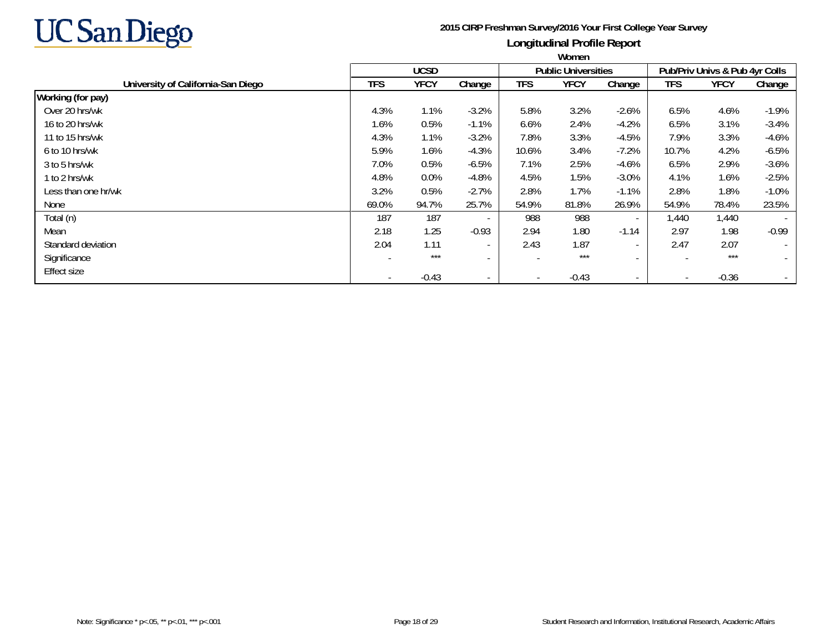

|                                    | <b>WULLELL</b> |             |                          |            |                            |                          |                          |                                |                          |
|------------------------------------|----------------|-------------|--------------------------|------------|----------------------------|--------------------------|--------------------------|--------------------------------|--------------------------|
|                                    |                | <b>UCSD</b> |                          |            | <b>Public Universities</b> |                          |                          | Pub/Priv Univs & Pub 4yr Colls |                          |
| University of California-San Diego | <b>TFS</b>     | <b>YFCY</b> | Change                   | <b>TFS</b> | <b>YFCY</b>                | Change                   | <b>TFS</b>               | <b>YFCY</b>                    | Change                   |
| Working (for pay)                  |                |             |                          |            |                            |                          |                          |                                |                          |
| Over 20 hrs/wk                     | 4.3%           | 1.1%        | $-3.2%$                  | 5.8%       | 3.2%                       | $-2.6%$                  | 6.5%                     | 4.6%                           | $-1.9%$                  |
| 16 to 20 hrs/wk                    | 1.6%           | 0.5%        | $-1.1%$                  | 6.6%       | 2.4%                       | $-4.2%$                  | 6.5%                     | 3.1%                           | $-3.4%$                  |
| 11 to 15 hrs/wk                    | 4.3%           | 1.1%        | $-3.2%$                  | 7.8%       | 3.3%                       | $-4.5%$                  | 7.9%                     | 3.3%                           | $-4.6%$                  |
| 6 to 10 hrs/wk                     | 5.9%           | 1.6%        | $-4.3%$                  | 10.6%      | 3.4%                       | $-7.2%$                  | 10.7%                    | 4.2%                           | $-6.5%$                  |
| 3 to 5 hrs/wk                      | 7.0%           | 0.5%        | $-6.5%$                  | 7.1%       | 2.5%                       | $-4.6%$                  | 6.5%                     | 2.9%                           | $-3.6%$                  |
| 1 to 2 hrs/wk                      | 4.8%           | 0.0%        | $-4.8%$                  | 4.5%       | 1.5%                       | $-3.0%$                  | 4.1%                     | 1.6%                           | $-2.5%$                  |
| Less than one hr/wk                | 3.2%           | 0.5%        | $-2.7%$                  | 2.8%       | 1.7%                       | $-1.1%$                  | 2.8%                     | 1.8%                           | $-1.0%$                  |
| None                               | 69.0%          | 94.7%       | 25.7%                    | 54.9%      | 81.8%                      | 26.9%                    | 54.9%                    | 78.4%                          | 23.5%                    |
| Total (n)                          | 187            | 187         | $\overline{\phantom{a}}$ | 988        | 988                        | $\sim$                   | 1,440                    | 1,440                          | $\overline{\phantom{a}}$ |
| Mean                               | 2.18           | 1.25        | $-0.93$                  | 2.94       | 1.80                       | $-1.14$                  | 2.97                     | 1.98                           | $-0.99$                  |
| Standard deviation                 | 2.04           | 1.11        | $\sim$                   | 2.43       | 1.87                       | $\sim$                   | 2.47                     | 2.07                           | $\sim$                   |
| Significance                       |                | $***$       | $\overline{\phantom{a}}$ |            | $***$                      | $\overline{\phantom{a}}$ |                          | $***$                          | $\overline{\phantom{a}}$ |
| <b>Effect size</b>                 |                | $-0.43$     | $\overline{\phantom{a}}$ |            | $-0.43$                    | $\sim$                   | $\overline{\phantom{a}}$ | $-0.36$                        |                          |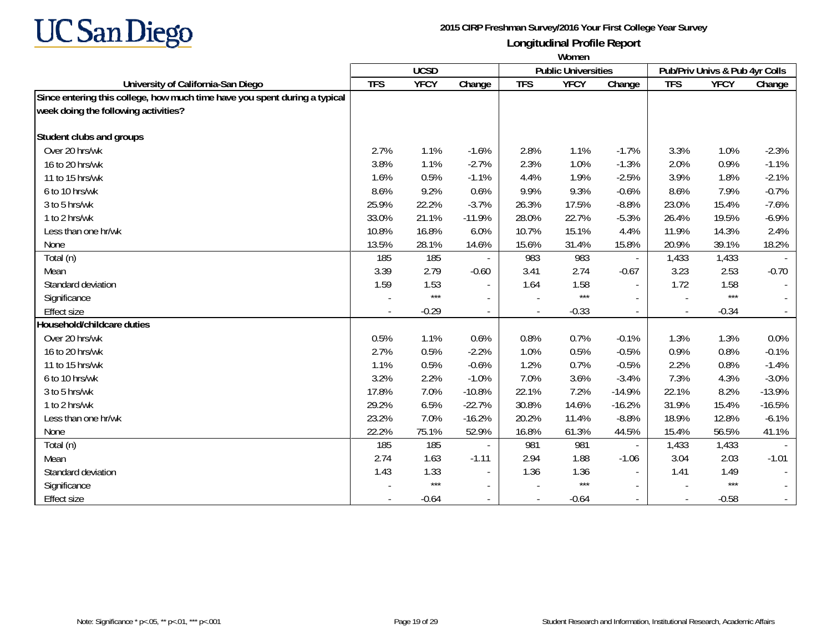

|                                                                            | Women      |             |                          |            |                            |                             |                |                                |          |
|----------------------------------------------------------------------------|------------|-------------|--------------------------|------------|----------------------------|-----------------------------|----------------|--------------------------------|----------|
|                                                                            |            | <b>UCSD</b> |                          |            | <b>Public Universities</b> |                             |                | Pub/Priv Univs & Pub 4yr Colls |          |
| University of California-San Diego                                         | <b>TFS</b> | <b>YFCY</b> | Change                   | <b>TFS</b> | <b>YFCY</b>                | Change                      | <b>TFS</b>     | <b>YFCY</b>                    | Change   |
| Since entering this college, how much time have you spent during a typical |            |             |                          |            |                            |                             |                |                                |          |
| week doing the following activities?                                       |            |             |                          |            |                            |                             |                |                                |          |
| Student clubs and groups                                                   |            |             |                          |            |                            |                             |                |                                |          |
| Over 20 hrs/wk                                                             | 2.7%       | 1.1%        | $-1.6%$                  | 2.8%       | 1.1%                       | $-1.7%$                     | 3.3%           | 1.0%                           | $-2.3%$  |
| 16 to 20 hrs/wk                                                            | 3.8%       | 1.1%        | $-2.7%$                  | 2.3%       | 1.0%                       | $-1.3%$                     | 2.0%           | 0.9%                           | $-1.1%$  |
| 11 to 15 hrs/wk                                                            | 1.6%       | 0.5%        | $-1.1%$                  | 4.4%       | 1.9%                       | $-2.5%$                     | 3.9%           | 1.8%                           | $-2.1%$  |
| 6 to 10 hrs/wk                                                             | 8.6%       | 9.2%        | 0.6%                     | 9.9%       | 9.3%                       | $-0.6%$                     | 8.6%           | 7.9%                           | $-0.7%$  |
| 3 to 5 hrs/wk                                                              | 25.9%      | 22.2%       | $-3.7%$                  | 26.3%      | 17.5%                      | $-8.8%$                     | 23.0%          | 15.4%                          | $-7.6%$  |
| 1 to 2 hrs/wk                                                              | 33.0%      | 21.1%       | $-11.9%$                 | 28.0%      | 22.7%                      | $-5.3%$                     | 26.4%          | 19.5%                          | $-6.9%$  |
| Less than one hr/wk                                                        | 10.8%      | 16.8%       | 6.0%                     | 10.7%      | 15.1%                      | 4.4%                        | 11.9%          | 14.3%                          | 2.4%     |
| None                                                                       | 13.5%      | 28.1%       | 14.6%                    | 15.6%      | 31.4%                      | 15.8%                       | 20.9%          | 39.1%                          | 18.2%    |
| Total (n)                                                                  | 185        | 185         |                          | 983        | 983                        | $\overline{\phantom{a}}$    | 1,433          | 1,433                          |          |
| Mean                                                                       | 3.39       | 2.79        | $-0.60$                  | 3.41       | 2.74                       | $-0.67$                     | 3.23           | 2.53                           | $-0.70$  |
| Standard deviation                                                         | 1.59       | 1.53        | $\overline{\phantom{a}}$ | 1.64       | 1.58                       | $\overline{\phantom{a}}$    | 1.72           | 1.58                           |          |
| Significance                                                               |            | $***$       | $\overline{\phantom{a}}$ |            | $***$                      | $\overline{\phantom{a}}$    |                | $***$                          |          |
| <b>Effect size</b>                                                         |            | $-0.29$     | $\overline{a}$           |            | $-0.33$                    | $\mathcal{L}_{\mathcal{A}}$ | $\overline{a}$ | $-0.34$                        |          |
| Household/childcare duties                                                 |            |             |                          |            |                            |                             |                |                                |          |
| Over 20 hrs/wk                                                             | 0.5%       | 1.1%        | 0.6%                     | 0.8%       | 0.7%                       | $-0.1%$                     | 1.3%           | 1.3%                           | 0.0%     |
| 16 to 20 hrs/wk                                                            | 2.7%       | 0.5%        | $-2.2%$                  | 1.0%       | 0.5%                       | $-0.5%$                     | 0.9%           | 0.8%                           | $-0.1%$  |
| 11 to 15 hrs/wk                                                            | 1.1%       | 0.5%        | $-0.6%$                  | 1.2%       | 0.7%                       | $-0.5%$                     | 2.2%           | 0.8%                           | $-1.4%$  |
| 6 to 10 hrs/wk                                                             | 3.2%       | 2.2%        | $-1.0%$                  | 7.0%       | 3.6%                       | $-3.4%$                     | 7.3%           | 4.3%                           | $-3.0%$  |
| 3 to 5 hrs/wk                                                              | 17.8%      | 7.0%        | $-10.8%$                 | 22.1%      | 7.2%                       | $-14.9%$                    | 22.1%          | 8.2%                           | $-13.9%$ |
| 1 to 2 hrs/wk                                                              | 29.2%      | 6.5%        | $-22.7%$                 | 30.8%      | 14.6%                      | $-16.2%$                    | 31.9%          | 15.4%                          | $-16.5%$ |
| Less than one hr/wk                                                        | 23.2%      | 7.0%        | $-16.2%$                 | 20.2%      | 11.4%                      | $-8.8%$                     | 18.9%          | 12.8%                          | $-6.1%$  |
| None                                                                       | 22.2%      | 75.1%       | 52.9%                    | 16.8%      | 61.3%                      | 44.5%                       | 15.4%          | 56.5%                          | 41.1%    |
| Total (n)                                                                  | 185        | 185         |                          | 981        | 981                        | $\overline{\phantom{a}}$    | 1,433          | 1,433                          |          |
| Mean                                                                       | 2.74       | 1.63        | $-1.11$                  | 2.94       | 1.88                       | $-1.06$                     | 3.04           | 2.03                           | $-1.01$  |
| Standard deviation                                                         | 1.43       | 1.33        |                          | 1.36       | 1.36                       | $\sim$                      | 1.41           | 1.49                           |          |
| Significance                                                               |            | $***$       | $\blacksquare$           |            | $***$                      | $\sim$                      |                | $***$                          | $\sim$   |
| <b>Effect size</b>                                                         |            | $-0.64$     |                          |            | $-0.64$                    | $\sim$                      |                | $-0.58$                        |          |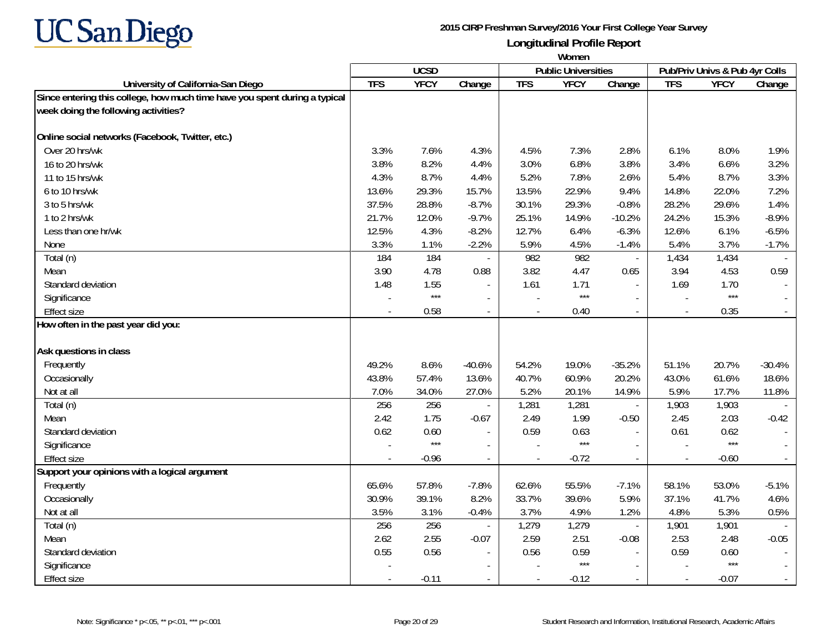

|                                                                            | Women      |             |                          |                |                            |                          |                          |                                |          |
|----------------------------------------------------------------------------|------------|-------------|--------------------------|----------------|----------------------------|--------------------------|--------------------------|--------------------------------|----------|
|                                                                            |            | <b>UCSD</b> |                          |                | <b>Public Universities</b> |                          |                          | Pub/Priv Univs & Pub 4yr Colls |          |
| University of California-San Diego                                         | <b>TFS</b> | <b>YFCY</b> | Change                   | <b>TFS</b>     | <b>YFCY</b>                | Change                   | <b>TFS</b>               | <b>YFCY</b>                    | Change   |
| Since entering this college, how much time have you spent during a typical |            |             |                          |                |                            |                          |                          |                                |          |
| week doing the following activities?                                       |            |             |                          |                |                            |                          |                          |                                |          |
| Online social networks (Facebook, Twitter, etc.)                           |            |             |                          |                |                            |                          |                          |                                |          |
| Over 20 hrs/wk                                                             | 3.3%       | 7.6%        | 4.3%                     | 4.5%           | 7.3%                       | 2.8%                     | 6.1%                     | 8.0%                           | 1.9%     |
| 16 to 20 hrs/wk                                                            | 3.8%       | 8.2%        | 4.4%                     | 3.0%           | 6.8%                       | 3.8%                     | 3.4%                     | 6.6%                           | 3.2%     |
| 11 to 15 hrs/wk                                                            | 4.3%       | 8.7%        | 4.4%                     | 5.2%           | 7.8%                       | 2.6%                     | 5.4%                     | 8.7%                           | 3.3%     |
| 6 to 10 hrs/wk                                                             | 13.6%      | 29.3%       | 15.7%                    | 13.5%          | 22.9%                      | 9.4%                     | 14.8%                    | 22.0%                          | 7.2%     |
| 3 to 5 hrs/wk                                                              | 37.5%      | 28.8%       | $-8.7%$                  | 30.1%          | 29.3%                      | $-0.8%$                  | 28.2%                    | 29.6%                          | 1.4%     |
| 1 to 2 hrs/wk                                                              | 21.7%      | 12.0%       | $-9.7%$                  | 25.1%          | 14.9%                      | $-10.2%$                 | 24.2%                    | 15.3%                          | $-8.9%$  |
| Less than one hr/wk                                                        | 12.5%      | 4.3%        | $-8.2%$                  | 12.7%          | 6.4%                       | $-6.3%$                  | 12.6%                    | 6.1%                           | $-6.5%$  |
| None                                                                       | 3.3%       | 1.1%        | $-2.2%$                  | 5.9%           | 4.5%                       | $-1.4%$                  | 5.4%                     | 3.7%                           | $-1.7%$  |
| Total (n)                                                                  | 184        | 184         | $\overline{\phantom{a}}$ | 982            | 982                        | $\overline{\phantom{a}}$ | 1,434                    | 1,434                          |          |
| Mean                                                                       | 3.90       | 4.78        | 0.88                     | 3.82           | 4.47                       | 0.65                     | 3.94                     | 4.53                           | 0.59     |
| Standard deviation                                                         | 1.48       | 1.55        | $\blacksquare$           | 1.61           | 1.71                       | $\sim$                   | 1.69                     | 1.70                           |          |
| Significance                                                               |            | $***$       |                          |                | $***$                      |                          |                          | $***$                          |          |
| <b>Effect size</b>                                                         |            | 0.58        | $\overline{a}$           | $\overline{a}$ | 0.40                       | $\sim$                   | $\overline{\phantom{a}}$ | 0.35                           |          |
| How often in the past year did you:                                        |            |             |                          |                |                            |                          |                          |                                |          |
| Ask questions in class                                                     |            |             |                          |                |                            |                          |                          |                                |          |
| Frequently                                                                 | 49.2%      | 8.6%        | $-40.6%$                 | 54.2%          | 19.0%                      | $-35.2%$                 | 51.1%                    | 20.7%                          | $-30.4%$ |
| Occasionally                                                               | 43.8%      | 57.4%       | 13.6%                    | 40.7%          | 60.9%                      | 20.2%                    | 43.0%                    | 61.6%                          | 18.6%    |
| Not at all                                                                 | 7.0%       | 34.0%       | 27.0%                    | 5.2%           | 20.1%                      | 14.9%                    | 5.9%                     | 17.7%                          | 11.8%    |
| Total (n)                                                                  | 256        | 256         |                          | 1,281          | 1,281                      | $\overline{\phantom{a}}$ | 1,903                    | 1,903                          |          |
| Mean                                                                       | 2.42       | 1.75        | $-0.67$                  | 2.49           | 1.99                       | $-0.50$                  | 2.45                     | 2.03                           | $-0.42$  |
| Standard deviation                                                         | 0.62       | 0.60        | $\blacksquare$           | 0.59           | 0.63                       |                          | 0.61                     | 0.62                           |          |
| Significance                                                               |            | $***$       | $\blacksquare$           |                | $***$                      |                          |                          | $***$                          |          |
| <b>Effect size</b>                                                         |            | $-0.96$     | $\blacksquare$           |                | $-0.72$                    |                          |                          | $-0.60$                        |          |
| Support your opinions with a logical argument                              |            |             |                          |                |                            |                          |                          |                                |          |
| Frequently                                                                 | 65.6%      | 57.8%       | $-7.8%$                  | 62.6%          | 55.5%                      | $-7.1%$                  | 58.1%                    | 53.0%                          | $-5.1%$  |
| Occasionally                                                               | 30.9%      | 39.1%       | 8.2%                     | 33.7%          | 39.6%                      | 5.9%                     | 37.1%                    | 41.7%                          | 4.6%     |
| Not at all                                                                 | 3.5%       | 3.1%        | $-0.4%$                  | 3.7%           | 4.9%                       | 1.2%                     | 4.8%                     | 5.3%                           | 0.5%     |
| Total (n)                                                                  | 256        | 256         | $\overline{\phantom{a}}$ | 1,279          | 1,279                      | $\overline{\phantom{a}}$ | 1,901                    | 1,901                          |          |
| Mean                                                                       | 2.62       | 2.55        | $-0.07$                  | 2.59           | 2.51                       | $-0.08$                  | 2.53                     | 2.48                           | $-0.05$  |
| Standard deviation                                                         | 0.55       | 0.56        | $\blacksquare$           | 0.56           | 0.59                       | $\overline{\phantom{a}}$ | 0.59                     | 0.60                           |          |
| Significance                                                               |            |             |                          |                | $***$                      |                          |                          | $***$                          |          |
| <b>Effect size</b>                                                         |            | $-0.11$     | $\overline{\phantom{a}}$ | $\overline{a}$ | $-0.12$                    | $\sim$                   | $\overline{\phantom{a}}$ | $-0.07$                        |          |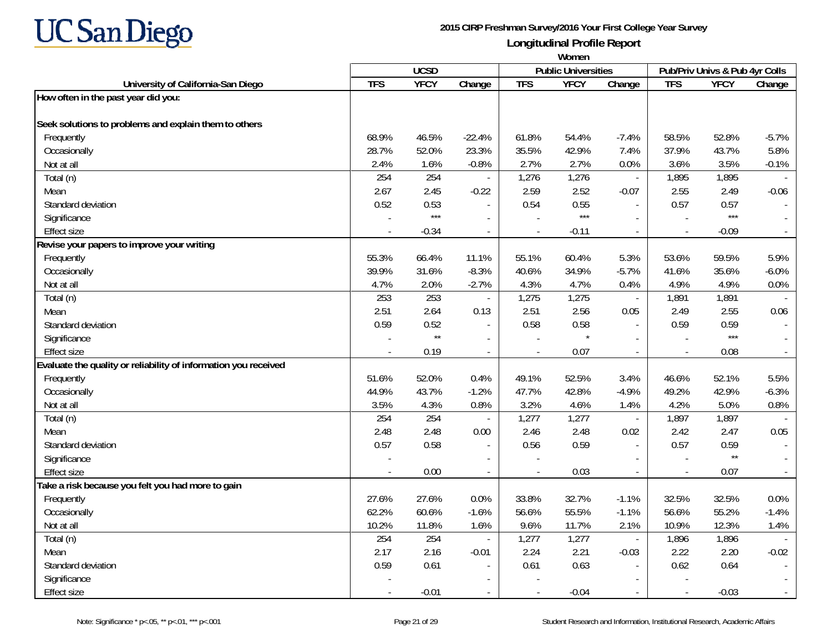

|                                                                 | Women      |                 |                          |            |                            |                             |                          |                                |                             |
|-----------------------------------------------------------------|------------|-----------------|--------------------------|------------|----------------------------|-----------------------------|--------------------------|--------------------------------|-----------------------------|
|                                                                 |            | <b>UCSD</b>     |                          |            | <b>Public Universities</b> |                             |                          | Pub/Priv Univs & Pub 4yr Colls |                             |
| University of California-San Diego                              | <b>TFS</b> | <b>YFCY</b>     | Change                   | <b>TFS</b> | <b>YFCY</b>                | Change                      | <b>TFS</b>               | <b>YFCY</b>                    | Change                      |
| How often in the past year did you:                             |            |                 |                          |            |                            |                             |                          |                                |                             |
|                                                                 |            |                 |                          |            |                            |                             |                          |                                |                             |
| Seek solutions to problems and explain them to others           |            |                 |                          |            |                            |                             |                          |                                |                             |
| Frequently                                                      | 68.9%      | 46.5%           | $-22.4%$                 | 61.8%      | 54.4%                      | $-7.4%$                     | 58.5%                    | 52.8%                          | $-5.7%$                     |
| Occasionally                                                    | 28.7%      | 52.0%           | 23.3%                    | 35.5%      | 42.9%                      | 7.4%                        | 37.9%                    | 43.7%                          | 5.8%                        |
| Not at all                                                      | 2.4%       | 1.6%            | $-0.8%$                  | 2.7%       | 2.7%                       | 0.0%                        | 3.6%                     | 3.5%                           | $-0.1%$                     |
| Total (n)                                                       | 254        | 254             |                          | 1,276      | 1,276                      | $\mathcal{L}_{\mathcal{A}}$ | 1,895                    | 1,895                          |                             |
| Mean                                                            | 2.67       | 2.45            | $-0.22$                  | 2.59       | 2.52                       | $-0.07$                     | 2.55                     | 2.49                           | $-0.06$                     |
| Standard deviation                                              | 0.52       | 0.53            | $\overline{\phantom{a}}$ | 0.54       | 0.55                       | $\mathbf{r}$                | 0.57                     | 0.57                           |                             |
| Significance                                                    |            | $***$           | $\sim$                   |            | $***$                      | $\sim$                      |                          | $***$                          |                             |
| <b>Effect size</b>                                              |            | $-0.34$         | $\blacksquare$           |            | $-0.11$                    | $\blacksquare$              | $\blacksquare$           | $-0.09$                        |                             |
| Revise your papers to improve your writing                      |            |                 |                          |            |                            |                             |                          |                                |                             |
| Frequently                                                      | 55.3%      | 66.4%           | 11.1%                    | 55.1%      | 60.4%                      | 5.3%                        | 53.6%                    | 59.5%                          | 5.9%                        |
| Occasionally                                                    | 39.9%      | 31.6%           | $-8.3%$                  | 40.6%      | 34.9%                      | $-5.7%$                     | 41.6%                    | 35.6%                          | $-6.0%$                     |
| Not at all                                                      | 4.7%       | 2.0%            | $-2.7%$                  | 4.3%       | 4.7%                       | 0.4%                        | 4.9%                     | 4.9%                           | 0.0%                        |
| Total (n)                                                       | 253        | 253             |                          | 1,275      | 1,275                      | $\overline{\phantom{a}}$    | 1,891                    | 1,891                          |                             |
| Mean                                                            | 2.51       | 2.64            | 0.13                     | 2.51       | 2.56                       | 0.05                        | 2.49                     | 2.55                           | 0.06                        |
| Standard deviation                                              | 0.59       | 0.52            |                          | 0.58       | 0.58                       |                             | 0.59                     | 0.59                           |                             |
| Significance                                                    |            | $^{\star\star}$ |                          |            |                            | $\sim$                      |                          | $***$                          |                             |
| <b>Effect size</b>                                              |            | 0.19            | $\blacksquare$           |            | 0.07                       | $\blacksquare$              |                          | 0.08                           | $\mathcal{L}_{\mathcal{A}}$ |
| Evaluate the quality or reliability of information you received |            |                 |                          |            |                            |                             |                          |                                |                             |
| Frequently                                                      | 51.6%      | 52.0%           | 0.4%                     | 49.1%      | 52.5%                      | 3.4%                        | 46.6%                    | 52.1%                          | 5.5%                        |
| Occasionally                                                    | 44.9%      | 43.7%           | $-1.2%$                  | 47.7%      | 42.8%                      | $-4.9%$                     | 49.2%                    | 42.9%                          | $-6.3%$                     |
| Not at all                                                      | 3.5%       | 4.3%            | 0.8%                     | 3.2%       | 4.6%                       | 1.4%                        | 4.2%                     | 5.0%                           | 0.8%                        |
| Total (n)                                                       | 254        | 254             | $\sim$                   | 1,277      | 1,277                      | $\blacksquare$              | 1,897                    | 1,897                          |                             |
| Mean                                                            | 2.48       | 2.48            | 0.00                     | 2.46       | 2.48                       | 0.02                        | 2.42                     | 2.47                           | 0.05                        |
| Standard deviation                                              | 0.57       | 0.58            | $\blacksquare$           | 0.56       | 0.59                       | $\overline{a}$              | 0.57                     | 0.59                           |                             |
| Significance                                                    |            |                 | $\overline{\phantom{a}}$ |            |                            | $\overline{\phantom{a}}$    |                          | $\star\star$                   | $\sim$                      |
| <b>Effect size</b>                                              |            | 0.00            | $\blacksquare$           |            | 0.03                       | $\sim$                      | $\sim$                   | 0.07                           | $\mathcal{L}_{\mathcal{A}}$ |
| Take a risk because you felt you had more to gain               |            |                 |                          |            |                            |                             |                          |                                |                             |
| Frequently                                                      | 27.6%      | 27.6%           | 0.0%                     | 33.8%      | 32.7%                      | $-1.1%$                     | 32.5%                    | 32.5%                          | 0.0%                        |
| Occasionally                                                    | 62.2%      | 60.6%           | $-1.6%$                  | 56.6%      | 55.5%                      | $-1.1%$                     | 56.6%                    | 55.2%                          | $-1.4%$                     |
| Not at all                                                      | 10.2%      | 11.8%           | 1.6%                     | 9.6%       | 11.7%                      | 2.1%                        | 10.9%                    | 12.3%                          | 1.4%                        |
| Total (n)                                                       | 254        | 254             | $\blacksquare$           | 1,277      | 1,277                      | $\blacksquare$              | 1,896                    | 1,896                          |                             |
| Mean                                                            | 2.17       | 2.16            | $-0.01$                  | 2.24       | 2.21                       | $-0.03$                     | 2.22                     | 2.20                           | $-0.02$                     |
| Standard deviation                                              | 0.59       | 0.61            |                          | 0.61       | 0.63                       | $\sim$                      | 0.62                     | 0.64                           |                             |
| Significance                                                    |            |                 |                          |            |                            |                             |                          |                                |                             |
| Effect size                                                     |            | $-0.01$         | $\overline{\phantom{a}}$ |            | $-0.04$                    |                             | $\overline{\phantom{a}}$ | $-0.03$                        | $\mathcal{L}_{\mathcal{A}}$ |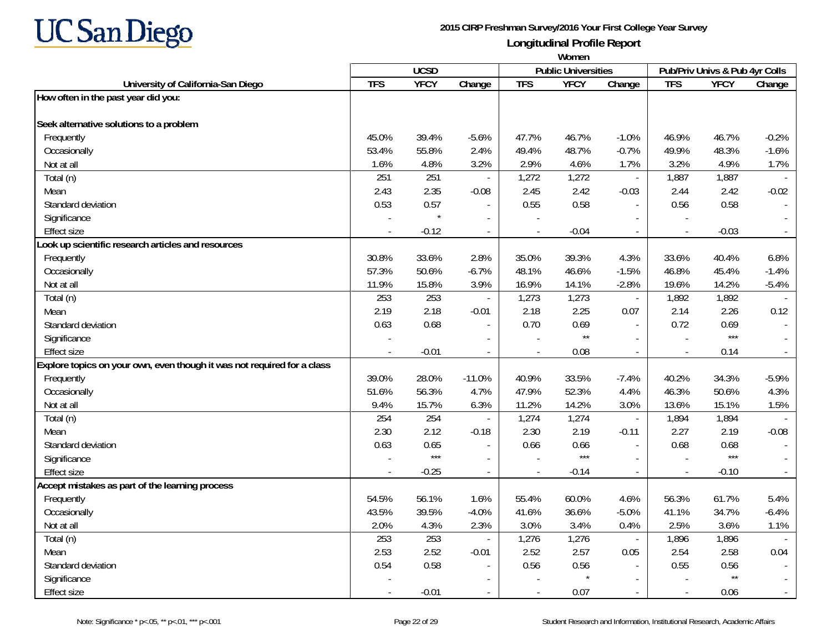

|                                                                         | Women      |             |                          |            |                            |                          |                          |                                |         |  |  |  |
|-------------------------------------------------------------------------|------------|-------------|--------------------------|------------|----------------------------|--------------------------|--------------------------|--------------------------------|---------|--|--|--|
|                                                                         |            | <b>UCSD</b> |                          |            | <b>Public Universities</b> |                          |                          | Pub/Priv Univs & Pub 4yr Colls |         |  |  |  |
| University of California-San Diego                                      | <b>TFS</b> | <b>YFCY</b> | Change                   | <b>TFS</b> | <b>YFCY</b>                | Change                   | <b>TFS</b>               | <b>YFCY</b>                    | Change  |  |  |  |
| How often in the past year did you:                                     |            |             |                          |            |                            |                          |                          |                                |         |  |  |  |
|                                                                         |            |             |                          |            |                            |                          |                          |                                |         |  |  |  |
| Seek alternative solutions to a problem                                 |            |             |                          |            |                            |                          |                          |                                |         |  |  |  |
| Frequently                                                              | 45.0%      | 39.4%       | $-5.6%$                  | 47.7%      | 46.7%                      | $-1.0%$                  | 46.9%                    | 46.7%                          | $-0.2%$ |  |  |  |
| Occasionally                                                            | 53.4%      | 55.8%       | 2.4%                     | 49.4%      | 48.7%                      | $-0.7%$                  | 49.9%                    | 48.3%                          | $-1.6%$ |  |  |  |
| Not at all                                                              | 1.6%       | 4.8%        | 3.2%                     | 2.9%       | 4.6%                       | 1.7%                     | 3.2%                     | 4.9%                           | 1.7%    |  |  |  |
| Total (n)                                                               | 251        | 251         | $\blacksquare$           | 1,272      | 1,272                      | $\overline{\phantom{a}}$ | 1,887                    | 1,887                          |         |  |  |  |
| Mean                                                                    | 2.43       | 2.35        | $-0.08$                  | 2.45       | 2.42                       | $-0.03$                  | 2.44                     | 2.42                           | $-0.02$ |  |  |  |
| Standard deviation                                                      | 0.53       | 0.57        |                          | 0.55       | 0.58                       | $\sim$                   | 0.56                     | 0.58                           |         |  |  |  |
| Significance                                                            |            |             | $\sim$                   |            |                            |                          |                          |                                |         |  |  |  |
| <b>Effect size</b>                                                      |            | $-0.12$     | $\blacksquare$           |            | $-0.04$                    | $\blacksquare$           | $\overline{\phantom{a}}$ | $-0.03$                        |         |  |  |  |
| ook up scientific research articles and resources                       |            |             |                          |            |                            |                          |                          |                                |         |  |  |  |
| Frequently                                                              | 30.8%      | 33.6%       | 2.8%                     | 35.0%      | 39.3%                      | 4.3%                     | 33.6%                    | 40.4%                          | 6.8%    |  |  |  |
| Occasionally                                                            | 57.3%      | 50.6%       | $-6.7%$                  | 48.1%      | 46.6%                      | $-1.5%$                  | 46.8%                    | 45.4%                          | $-1.4%$ |  |  |  |
| Not at all                                                              | 11.9%      | 15.8%       | 3.9%                     | 16.9%      | 14.1%                      | $-2.8%$                  | 19.6%                    | 14.2%                          | $-5.4%$ |  |  |  |
| Total (n)                                                               | 253        | 253         | $\overline{\phantom{a}}$ | 1,273      | 1,273                      | $\Box$                   | 1,892                    | 1,892                          |         |  |  |  |
| Mean                                                                    | 2.19       | 2.18        | $-0.01$                  | 2.18       | 2.25                       | 0.07                     | 2.14                     | 2.26                           | 0.12    |  |  |  |
| Standard deviation                                                      | 0.63       | 0.68        |                          | 0.70       | 0.69                       |                          | 0.72                     | 0.69                           |         |  |  |  |
| Significance                                                            |            |             |                          |            | $\star\star$               |                          | $\overline{a}$           | $***$                          |         |  |  |  |
| <b>Effect size</b>                                                      |            | $-0.01$     |                          |            | 0.08                       | $\sim$                   |                          | 0.14                           |         |  |  |  |
| Explore topics on your own, even though it was not required for a class |            |             |                          |            |                            |                          |                          |                                |         |  |  |  |
| Frequently                                                              | 39.0%      | 28.0%       | $-11.0%$                 | 40.9%      | 33.5%                      | $-7.4%$                  | 40.2%                    | 34.3%                          | $-5.9%$ |  |  |  |
| Occasionally                                                            | 51.6%      | 56.3%       | 4.7%                     | 47.9%      | 52.3%                      | 4.4%                     | 46.3%                    | 50.6%                          | 4.3%    |  |  |  |
| Not at all                                                              | 9.4%       | 15.7%       | 6.3%                     | 11.2%      | 14.2%                      | 3.0%                     | 13.6%                    | 15.1%                          | 1.5%    |  |  |  |
| Total (n)                                                               | 254        | 254         | $\overline{\phantom{a}}$ | 1,274      | 1,274                      | $\overline{\phantom{a}}$ | 1,894                    | 1,894                          |         |  |  |  |
| Mean                                                                    | 2.30       | 2.12        | $-0.18$                  | 2.30       | 2.19                       | $-0.11$                  | 2.27                     | 2.19                           | $-0.08$ |  |  |  |
| Standard deviation                                                      | 0.63       | 0.65        | $\blacksquare$           | 0.66       | 0.66                       |                          | 0.68                     | 0.68                           |         |  |  |  |
| Significance                                                            |            | $***$       | $\overline{\phantom{a}}$ |            | $***$                      | $\sim$                   |                          | $***$                          |         |  |  |  |
| <b>Effect size</b>                                                      |            | $-0.25$     |                          |            | $-0.14$                    | $\overline{\phantom{a}}$ | $\overline{\phantom{a}}$ | $-0.10$                        |         |  |  |  |
| Accept mistakes as part of the learning process                         |            |             |                          |            |                            |                          |                          |                                |         |  |  |  |
| Frequently                                                              | 54.5%      | 56.1%       | 1.6%                     | 55.4%      | 60.0%                      | 4.6%                     | 56.3%                    | 61.7%                          | 5.4%    |  |  |  |
| Occasionally                                                            | 43.5%      | 39.5%       | $-4.0%$                  | 41.6%      | 36.6%                      | $-5.0%$                  | 41.1%                    | 34.7%                          | $-6.4%$ |  |  |  |
| Not at all                                                              | 2.0%       | 4.3%        | 2.3%                     | 3.0%       | 3.4%                       | 0.4%                     | 2.5%                     | 3.6%                           | 1.1%    |  |  |  |
| Total (n)                                                               | 253        | 253         | $\overline{\phantom{a}}$ | 1,276      | 1,276                      | $\sim$                   | 1,896                    | 1,896                          |         |  |  |  |
| Mean                                                                    | 2.53       | 2.52        | $-0.01$                  | 2.52       | 2.57                       | 0.05                     | 2.54                     | 2.58                           | 0.04    |  |  |  |
| Standard deviation                                                      | 0.54       | 0.58        |                          | 0.56       | 0.56                       |                          | 0.55                     | 0.56                           |         |  |  |  |
| Significance                                                            |            |             |                          |            |                            |                          |                          | $\star\star$                   |         |  |  |  |
| Effect size                                                             |            | $-0.01$     | $\overline{\phantom{a}}$ |            | 0.07                       | $\overline{\phantom{a}}$ | $\overline{\phantom{a}}$ | 0.06                           |         |  |  |  |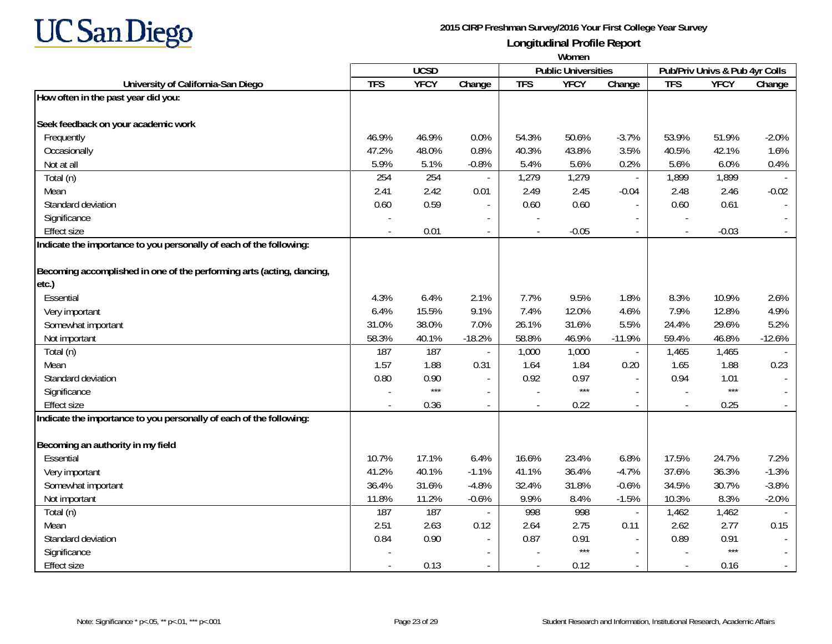

|                                                                       | Women      |             |                          |            |                            |          |                          |                                |          |
|-----------------------------------------------------------------------|------------|-------------|--------------------------|------------|----------------------------|----------|--------------------------|--------------------------------|----------|
|                                                                       |            | <b>UCSD</b> |                          |            | <b>Public Universities</b> |          |                          | Pub/Priv Univs & Pub 4yr Colls |          |
| University of California-San Diego                                    | <b>TFS</b> | <b>YFCY</b> | Change                   | <b>TFS</b> | <b>YFCY</b>                | Change   | <b>TFS</b>               | <b>YFCY</b>                    | Change   |
| How often in the past year did you:                                   |            |             |                          |            |                            |          |                          |                                |          |
|                                                                       |            |             |                          |            |                            |          |                          |                                |          |
| Seek feedback on your academic work                                   |            |             |                          |            |                            |          |                          |                                |          |
| Frequently                                                            | 46.9%      | 46.9%       | 0.0%                     | 54.3%      | 50.6%                      | $-3.7%$  | 53.9%                    | 51.9%                          | $-2.0%$  |
| Occasionally                                                          | 47.2%      | 48.0%       | 0.8%                     | 40.3%      | 43.8%                      | 3.5%     | 40.5%                    | 42.1%                          | 1.6%     |
| Not at all                                                            | 5.9%       | 5.1%        | $-0.8%$                  | 5.4%       | 5.6%                       | 0.2%     | 5.6%                     | 6.0%                           | 0.4%     |
| Total (n)                                                             | 254        | 254         |                          | 1,279      | 1,279                      | $\sim$   | 1,899                    | 1,899                          |          |
| Mean                                                                  | 2.41       | 2.42        | 0.01                     | 2.49       | 2.45                       | $-0.04$  | 2.48                     | 2.46                           | $-0.02$  |
| Standard deviation                                                    | 0.60       | 0.59        | $\overline{\phantom{a}}$ | 0.60       | 0.60                       |          | 0.60                     | 0.61                           |          |
| Significance                                                          |            |             |                          |            |                            |          |                          |                                |          |
| <b>Effect size</b>                                                    |            | 0.01        | $\overline{\phantom{a}}$ |            | $-0.05$                    |          | $\overline{a}$           | $-0.03$                        |          |
| Indicate the importance to you personally of each of the following:   |            |             |                          |            |                            |          |                          |                                |          |
|                                                                       |            |             |                          |            |                            |          |                          |                                |          |
| Becoming accomplished in one of the performing arts (acting, dancing, |            |             |                          |            |                            |          |                          |                                |          |
| etc.)                                                                 |            |             |                          |            |                            |          |                          |                                |          |
| Essential                                                             | 4.3%       | 6.4%        | 2.1%                     | 7.7%       | 9.5%                       | 1.8%     | 8.3%                     | 10.9%                          | 2.6%     |
| Very important                                                        | 6.4%       | 15.5%       | 9.1%                     | 7.4%       | 12.0%                      | 4.6%     | 7.9%                     | 12.8%                          | 4.9%     |
| Somewhat important                                                    | 31.0%      | 38.0%       | 7.0%                     | 26.1%      | 31.6%                      | 5.5%     | 24.4%                    | 29.6%                          | 5.2%     |
| Not important                                                         | 58.3%      | 40.1%       | $-18.2%$                 | 58.8%      | 46.9%                      | $-11.9%$ | 59.4%                    | 46.8%                          | $-12.6%$ |
| Total (n)                                                             | 187        | 187         |                          | 1,000      | 1,000                      |          | 1,465                    | 1,465                          |          |
| Mean                                                                  | 1.57       | 1.88        | 0.31                     | 1.64       | 1.84                       | 0.20     | 1.65                     | 1.88                           | 0.23     |
| Standard deviation                                                    | 0.80       | 0.90        | $\blacksquare$           | 0.92       | 0.97                       |          | 0.94                     | 1.01                           |          |
| Significance                                                          |            | $***$       | $\blacksquare$           |            | $***$                      | $\sim$   | ÷,                       | $***$                          |          |
| <b>Effect size</b>                                                    |            | 0.36        | $\overline{\phantom{a}}$ |            | 0.22                       | $\sim$   |                          | 0.25                           |          |
| Indicate the importance to you personally of each of the following:   |            |             |                          |            |                            |          |                          |                                |          |
| Becoming an authority in my field                                     |            |             |                          |            |                            |          |                          |                                |          |
| Essential                                                             | 10.7%      | 17.1%       | 6.4%                     | 16.6%      | 23.4%                      | 6.8%     | 17.5%                    | 24.7%                          | 7.2%     |
|                                                                       | 41.2%      | 40.1%       | $-1.1%$                  | 41.1%      | 36.4%                      |          | 37.6%                    | 36.3%                          | $-1.3%$  |
| Very important                                                        |            |             |                          |            |                            | $-4.7%$  |                          |                                |          |
| Somewhat important                                                    | 36.4%      | 31.6%       | $-4.8%$                  | 32.4%      | 31.8%                      | $-0.6%$  | 34.5%                    | 30.7%                          | $-3.8%$  |
| Not important                                                         | 11.8%      | 11.2%       | $-0.6%$                  | 9.9%       | 8.4%                       | $-1.5%$  | 10.3%                    | 8.3%                           | $-2.0%$  |
| Total (n)                                                             | 187        | 187         |                          | 998        | 998                        | $\sim$   | 1,462                    | 1,462                          |          |
| Mean                                                                  | 2.51       | 2.63        | 0.12                     | 2.64       | 2.75                       | 0.11     | 2.62                     | 2.77                           | 0.15     |
| Standard deviation                                                    | 0.84       | 0.90        | $\overline{\phantom{a}}$ | 0.87       | 0.91<br>$***$              |          | 0.89                     | 0.91<br>$***$                  |          |
| Significance                                                          |            |             | $\overline{\phantom{a}}$ |            |                            | $\sim$   |                          |                                |          |
| <b>Effect size</b>                                                    |            | 0.13        | $\overline{\phantom{a}}$ |            | 0.12                       |          | $\overline{\phantom{a}}$ | 0.16                           |          |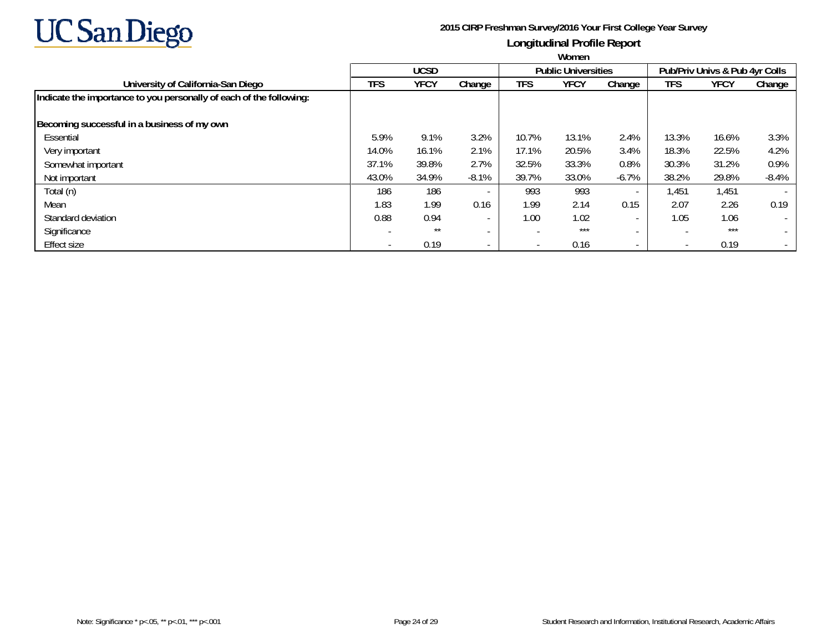

|                                                                     | Women |             |                          |                          |                            |                          |                          |                                |                          |  |  |
|---------------------------------------------------------------------|-------|-------------|--------------------------|--------------------------|----------------------------|--------------------------|--------------------------|--------------------------------|--------------------------|--|--|
|                                                                     |       | <b>UCSD</b> |                          |                          | <b>Public Universities</b> |                          |                          | Pub/Priv Univs & Pub 4yr Colls |                          |  |  |
| University of California-San Diego                                  | TFS   | <b>YFCY</b> | Change                   | <b>TFS</b>               | <b>YFCY</b>                | Change                   | TFS                      | YFCY                           | Change                   |  |  |
| Indicate the importance to you personally of each of the following: |       |             |                          |                          |                            |                          |                          |                                |                          |  |  |
| Becoming successful in a business of my own                         |       |             |                          |                          |                            |                          |                          |                                |                          |  |  |
| Essential                                                           | 5.9%  | 9.1%        | 3.2%                     | 10.7%                    | 13.1%                      | 2.4%                     | 13.3%                    | 16.6%                          | 3.3%                     |  |  |
| Very important                                                      | 14.0% | 16.1%       | 2.1%                     | 17.1%                    | 20.5%                      | 3.4%                     | 18.3%                    | 22.5%                          | 4.2%                     |  |  |
| Somewhat important                                                  | 37.1% | 39.8%       | 2.7%                     | 32.5%                    | 33.3%                      | 0.8%                     | 30.3%                    | 31.2%                          | 0.9%                     |  |  |
| Not important                                                       | 43.0% | 34.9%       | $-8.1%$                  | 39.7%                    | 33.0%                      | $-6.7%$                  | 38.2%                    | 29.8%                          | $-8.4%$                  |  |  |
| Total (n)                                                           | 186   | 186         | $\overline{\phantom{a}}$ | 993                      | 993                        | $\overline{\phantom{a}}$ | 1,451                    | 1,451                          |                          |  |  |
| Mean                                                                | 1.83  | 1.99        | 0.16                     | 1.99                     | 2.14                       | 0.15                     | 2.07                     | 2.26                           | 0.19                     |  |  |
| Standard deviation                                                  | 0.88  | 0.94        | $\overline{\phantom{a}}$ | 1.00                     | 1.02                       | $\overline{\phantom{0}}$ | 1.05                     | 1.06                           | $\overline{\phantom{0}}$ |  |  |
| Significance                                                        |       | $***$       | $\overline{\phantom{a}}$ | $\overline{\phantom{a}}$ | $***$                      | $\overline{\phantom{a}}$ |                          | ***                            |                          |  |  |
| <b>Effect size</b>                                                  |       | 0.19        | $\overline{\phantom{a}}$ | $\overline{\phantom{a}}$ | 0.16                       | $\overline{\phantom{a}}$ | $\overline{\phantom{a}}$ | 0.19                           | $\overline{\phantom{a}}$ |  |  |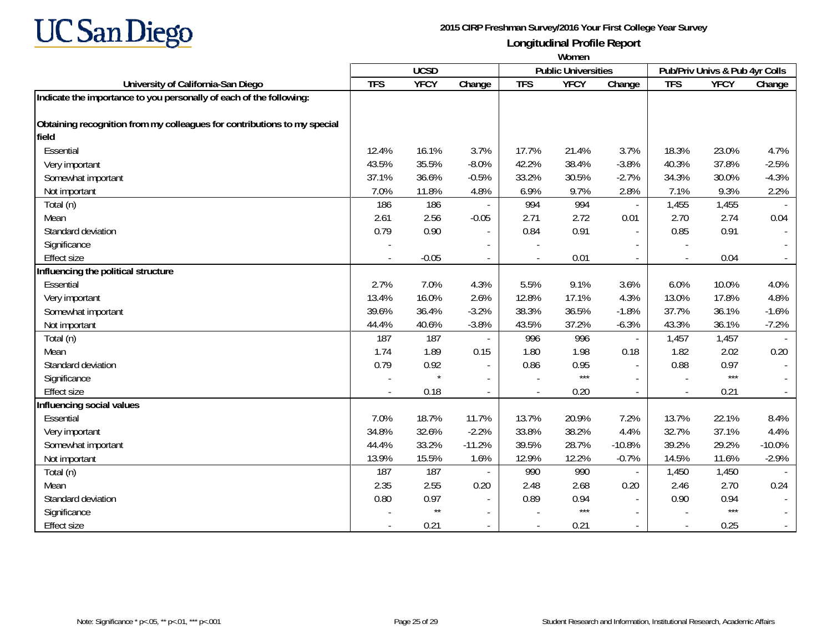

|                                                                          | Women      |              |                          |            |                            |                          |                                |             |          |  |  |
|--------------------------------------------------------------------------|------------|--------------|--------------------------|------------|----------------------------|--------------------------|--------------------------------|-------------|----------|--|--|
|                                                                          |            | <b>UCSD</b>  |                          |            | <b>Public Universities</b> |                          | Pub/Priv Univs & Pub 4yr Colls |             |          |  |  |
| University of California-San Diego                                       | <b>TFS</b> | <b>YFCY</b>  | Change                   | <b>TFS</b> | <b>YFCY</b>                | Change                   | <b>TFS</b>                     | <b>YFCY</b> | Change   |  |  |
| Indicate the importance to you personally of each of the following:      |            |              |                          |            |                            |                          |                                |             |          |  |  |
| Obtaining recognition from my colleagues for contributions to my special |            |              |                          |            |                            |                          |                                |             |          |  |  |
| field                                                                    |            |              |                          |            |                            |                          |                                |             |          |  |  |
| Essential                                                                | 12.4%      | 16.1%        | 3.7%                     | 17.7%      | 21.4%                      | 3.7%                     | 18.3%                          | 23.0%       | 4.7%     |  |  |
| Very important                                                           | 43.5%      | 35.5%        | $-8.0%$                  | 42.2%      | 38.4%                      | $-3.8%$                  | 40.3%                          | 37.8%       | $-2.5%$  |  |  |
| Somewhat important                                                       | 37.1%      | 36.6%        | $-0.5%$                  | 33.2%      | 30.5%                      | $-2.7%$                  | 34.3%                          | 30.0%       | $-4.3%$  |  |  |
| Not important                                                            | 7.0%       | 11.8%        | 4.8%                     | 6.9%       | 9.7%                       | 2.8%                     | 7.1%                           | 9.3%        | 2.2%     |  |  |
| Total (n)                                                                | 186        | 186          |                          | 994        | 994                        | $\omega$                 | 1,455                          | 1,455       |          |  |  |
| Mean                                                                     | 2.61       | 2.56         | $-0.05$                  | 2.71       | 2.72                       | 0.01                     | 2.70                           | 2.74        | 0.04     |  |  |
| Standard deviation                                                       | 0.79       | 0.90         | $\overline{\phantom{a}}$ | 0.84       | 0.91                       | $\overline{\phantom{a}}$ | 0.85                           | 0.91        |          |  |  |
| Significance                                                             |            |              | $\overline{\phantom{a}}$ |            |                            |                          |                                |             |          |  |  |
| <b>Effect size</b>                                                       |            | $-0.05$      |                          |            | 0.01                       |                          |                                | 0.04        |          |  |  |
| Influencing the political structure                                      |            |              |                          |            |                            |                          |                                |             |          |  |  |
| Essential                                                                | 2.7%       | 7.0%         | 4.3%                     | 5.5%       | 9.1%                       | 3.6%                     | 6.0%                           | 10.0%       | 4.0%     |  |  |
| Very important                                                           | 13.4%      | 16.0%        | 2.6%                     | 12.8%      | 17.1%                      | 4.3%                     | 13.0%                          | 17.8%       | 4.8%     |  |  |
| Somewhat important                                                       | 39.6%      | 36.4%        | $-3.2%$                  | 38.3%      | 36.5%                      | $-1.8%$                  | 37.7%                          | 36.1%       | $-1.6%$  |  |  |
| Not important                                                            | 44.4%      | 40.6%        | $-3.8%$                  | 43.5%      | 37.2%                      | $-6.3%$                  | 43.3%                          | 36.1%       | $-7.2%$  |  |  |
| Total (n)                                                                | 187        | 187          |                          | 996        | 996                        | $\overline{a}$           | 1,457                          | 1,457       |          |  |  |
| Mean                                                                     | 1.74       | 1.89         | 0.15                     | 1.80       | 1.98                       | 0.18                     | 1.82                           | 2.02        | 0.20     |  |  |
| Standard deviation                                                       | 0.79       | 0.92         |                          | 0.86       | 0.95                       |                          | 0.88                           | 0.97        |          |  |  |
| Significance                                                             |            |              | $\overline{\phantom{a}}$ |            | $***$                      |                          |                                | $***$       |          |  |  |
| <b>Effect size</b>                                                       |            | 0.18         | $\blacksquare$           |            | 0.20                       | $\sim$                   |                                | 0.21        | $\sim$   |  |  |
| Influencing social values                                                |            |              |                          |            |                            |                          |                                |             |          |  |  |
| Essential                                                                | 7.0%       | 18.7%        | 11.7%                    | 13.7%      | 20.9%                      | 7.2%                     | 13.7%                          | 22.1%       | 8.4%     |  |  |
| Very important                                                           | 34.8%      | 32.6%        | $-2.2%$                  | 33.8%      | 38.2%                      | 4.4%                     | 32.7%                          | 37.1%       | 4.4%     |  |  |
| Somewhat important                                                       | 44.4%      | 33.2%        | $-11.2%$                 | 39.5%      | 28.7%                      | $-10.8%$                 | 39.2%                          | 29.2%       | $-10.0%$ |  |  |
| Not important                                                            | 13.9%      | 15.5%        | 1.6%                     | 12.9%      | 12.2%                      | $-0.7%$                  | 14.5%                          | 11.6%       | $-2.9%$  |  |  |
| Total (n)                                                                | 187        | 187          |                          | 990        | 990                        | $\mathbf{r}$             | 1,450                          | 1,450       |          |  |  |
| Mean                                                                     | 2.35       | 2.55         | 0.20                     | 2.48       | 2.68                       | 0.20                     | 2.46                           | 2.70        | 0.24     |  |  |
| Standard deviation                                                       | 0.80       | 0.97         | $\overline{\phantom{a}}$ | 0.89       | 0.94                       | $\sim$                   | 0.90                           | 0.94        |          |  |  |
| Significance                                                             |            | $\star\star$ | $\overline{\phantom{a}}$ |            | $***$                      |                          |                                | $***$       | $\sim$   |  |  |
| <b>Effect size</b>                                                       |            | 0.21         |                          |            | 0.21                       |                          |                                | 0.25        | $\sim$   |  |  |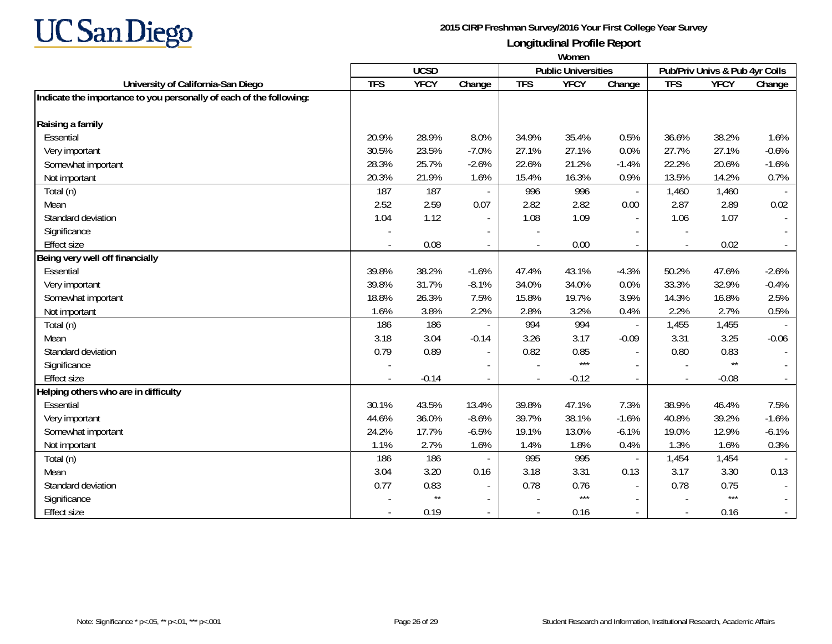

|                                                                     | Women          |                 |                          |            |                            |                          |                                |              |         |
|---------------------------------------------------------------------|----------------|-----------------|--------------------------|------------|----------------------------|--------------------------|--------------------------------|--------------|---------|
|                                                                     | <b>UCSD</b>    |                 |                          |            | <b>Public Universities</b> |                          | Pub/Priv Univs & Pub 4yr Colls |              |         |
| University of California-San Diego                                  | <b>TFS</b>     | <b>YFCY</b>     | Change                   | <b>TFS</b> | <b>YFCY</b>                | Change                   | <b>TFS</b>                     | <b>YFCY</b>  | Change  |
| Indicate the importance to you personally of each of the following: |                |                 |                          |            |                            |                          |                                |              |         |
| Raising a family                                                    |                |                 |                          |            |                            |                          |                                |              |         |
| Essential                                                           | 20.9%          | 28.9%           | 8.0%                     | 34.9%      | 35.4%                      | 0.5%                     | 36.6%                          | 38.2%        | 1.6%    |
| Very important                                                      | 30.5%          | 23.5%           | $-7.0%$                  | 27.1%      | 27.1%                      | 0.0%                     | 27.7%                          | 27.1%        | $-0.6%$ |
| Somewhat important                                                  | 28.3%          | 25.7%           | $-2.6%$                  | 22.6%      | 21.2%                      | $-1.4%$                  | 22.2%                          | 20.6%        | $-1.6%$ |
| Not important                                                       | 20.3%          | 21.9%           | 1.6%                     | 15.4%      | 16.3%                      | 0.9%                     | 13.5%                          | 14.2%        | 0.7%    |
| Total (n)                                                           | 187            | 187             |                          | 996        | 996                        | $\overline{\phantom{a}}$ | 1,460                          | 1,460        |         |
| Mean                                                                | 2.52           | 2.59            | 0.07                     | 2.82       | 2.82                       | 0.00                     | 2.87                           | 2.89         | 0.02    |
| Standard deviation                                                  | 1.04           | 1.12            | $\blacksquare$           | 1.08       | 1.09                       | $\blacksquare$           | 1.06                           | 1.07         | $\sim$  |
| Significance                                                        | $\blacksquare$ |                 | $\blacksquare$           |            |                            | $\sim$                   |                                |              |         |
| <b>Effect size</b>                                                  |                | 0.08            |                          |            | 0.00                       | $\sim$                   |                                | 0.02         | $\sim$  |
| Being very well off financially                                     |                |                 |                          |            |                            |                          |                                |              |         |
| Essential                                                           | 39.8%          | 38.2%           | $-1.6%$                  | 47.4%      | 43.1%                      | $-4.3%$                  | 50.2%                          | 47.6%        | $-2.6%$ |
| Very important                                                      | 39.8%          | 31.7%           | $-8.1%$                  | 34.0%      | 34.0%                      | 0.0%                     | 33.3%                          | 32.9%        | $-0.4%$ |
| Somewhat important                                                  | 18.8%          | 26.3%           | 7.5%                     | 15.8%      | 19.7%                      | 3.9%                     | 14.3%                          | 16.8%        | 2.5%    |
| Not important                                                       | 1.6%           | 3.8%            | 2.2%                     | 2.8%       | 3.2%                       | 0.4%                     | 2.2%                           | 2.7%         | 0.5%    |
| Total (n)                                                           | 186            | 186             |                          | 994        | 994                        |                          | 1,455                          | 1,455        |         |
| Mean                                                                | 3.18           | 3.04            | $-0.14$                  | 3.26       | 3.17                       | $-0.09$                  | 3.31                           | 3.25         | $-0.06$ |
| Standard deviation                                                  | 0.79           | 0.89            | $\overline{\phantom{a}}$ | 0.82       | 0.85                       | $\sim$                   | 0.80                           | 0.83         | $\sim$  |
| Significance                                                        |                |                 |                          |            | $***$                      |                          |                                | $\star\star$ |         |
| <b>Effect size</b>                                                  |                | $-0.14$         |                          |            | $-0.12$                    | $\sim$                   |                                | $-0.08$      | $\sim$  |
| Helping others who are in difficulty                                |                |                 |                          |            |                            |                          |                                |              |         |
| Essential                                                           | 30.1%          | 43.5%           | 13.4%                    | 39.8%      | 47.1%                      | 7.3%                     | 38.9%                          | 46.4%        | 7.5%    |
| Very important                                                      | 44.6%          | 36.0%           | $-8.6%$                  | 39.7%      | 38.1%                      | $-1.6%$                  | 40.8%                          | 39.2%        | $-1.6%$ |
| Somewhat important                                                  | 24.2%          | 17.7%           | $-6.5%$                  | 19.1%      | 13.0%                      | $-6.1%$                  | 19.0%                          | 12.9%        | $-6.1%$ |
| Not important                                                       | 1.1%           | 2.7%            | 1.6%                     | 1.4%       | 1.8%                       | 0.4%                     | 1.3%                           | 1.6%         | 0.3%    |
| Total (n)                                                           | 186            | 186             |                          | 995        | 995                        |                          | 1,454                          | 1,454        |         |
| Mean                                                                | 3.04           | 3.20            | 0.16                     | 3.18       | 3.31                       | 0.13                     | 3.17                           | 3.30         | 0.13    |
| Standard deviation                                                  | 0.77           | 0.83            |                          | 0.78       | 0.76                       | $\overline{\phantom{a}}$ | 0.78                           | 0.75         |         |
| Significance                                                        |                | $^{\star\star}$ | $\blacksquare$           |            | $***$                      | $\sim$                   |                                | $***$        |         |
| <b>Effect size</b>                                                  |                | 0.19            | $\overline{\phantom{a}}$ |            | 0.16                       | $\sim$                   |                                | 0.16         | $\sim$  |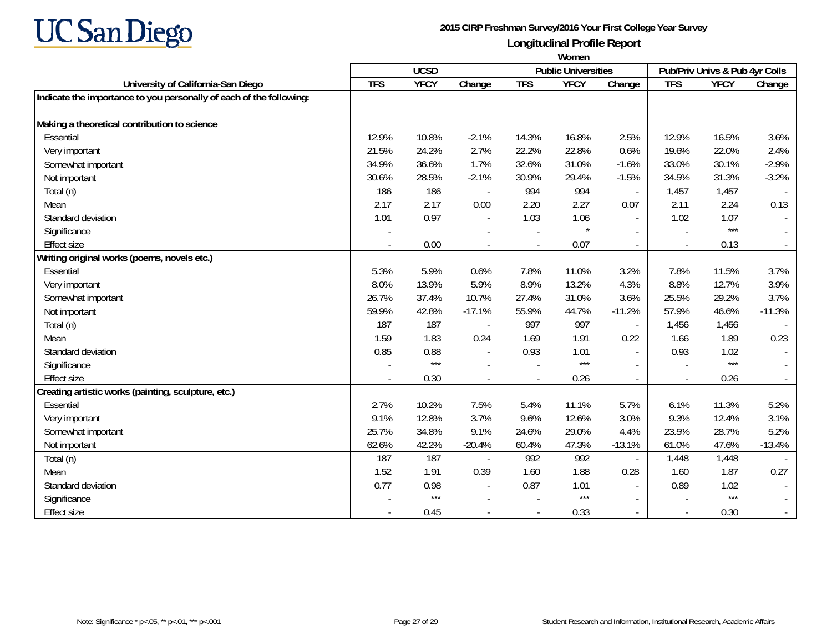

|                                                                     | Women                                     |             |                          |            |             |                          |            |                                |          |
|---------------------------------------------------------------------|-------------------------------------------|-------------|--------------------------|------------|-------------|--------------------------|------------|--------------------------------|----------|
|                                                                     | <b>UCSD</b><br><b>Public Universities</b> |             |                          |            |             |                          |            | Pub/Priv Univs & Pub 4yr Colls |          |
| University of California-San Diego                                  | <b>TFS</b>                                | <b>YFCY</b> | Change                   | <b>TFS</b> | <b>YFCY</b> | Change                   | <b>TFS</b> | <b>YFCY</b>                    | Change   |
| Indicate the importance to you personally of each of the following: |                                           |             |                          |            |             |                          |            |                                |          |
| Making a theoretical contribution to science                        |                                           |             |                          |            |             |                          |            |                                |          |
| Essential                                                           | 12.9%                                     | 10.8%       | $-2.1%$                  | 14.3%      | 16.8%       | 2.5%                     | 12.9%      | 16.5%                          | 3.6%     |
| Very important                                                      | 21.5%                                     | 24.2%       | 2.7%                     | 22.2%      | 22.8%       | 0.6%                     | 19.6%      | 22.0%                          | 2.4%     |
| Somewhat important                                                  | 34.9%                                     | 36.6%       | 1.7%                     | 32.6%      | 31.0%       | $-1.6%$                  | 33.0%      | 30.1%                          | $-2.9%$  |
| Not important                                                       | 30.6%                                     | 28.5%       | $-2.1%$                  | 30.9%      | 29.4%       | $-1.5%$                  | 34.5%      | 31.3%                          | $-3.2%$  |
| Total (n)                                                           | 186                                       | 186         |                          | 994        | 994         | $\overline{\phantom{a}}$ | 1,457      | 1,457                          |          |
| Mean                                                                | 2.17                                      | 2.17        | 0.00                     | 2.20       | 2.27        | 0.07                     | 2.11       | 2.24                           | 0.13     |
| Standard deviation                                                  | 1.01                                      | 0.97        | $\blacksquare$           | 1.03       | 1.06        | $\blacksquare$           | 1.02       | 1.07                           | $\sim$   |
| Significance                                                        |                                           |             | $\overline{\phantom{a}}$ |            |             | $\overline{\phantom{a}}$ |            | $***$                          |          |
| <b>Effect size</b>                                                  |                                           | 0.00        | $\blacksquare$           |            | 0.07        | $\mathbf{r}$             |            | 0.13                           | $\sim$   |
| Writing original works (poems, novels etc.)                         |                                           |             |                          |            |             |                          |            |                                |          |
| Essential                                                           | 5.3%                                      | 5.9%        | 0.6%                     | 7.8%       | 11.0%       | 3.2%                     | 7.8%       | 11.5%                          | 3.7%     |
| Very important                                                      | 8.0%                                      | 13.9%       | 5.9%                     | 8.9%       | 13.2%       | 4.3%                     | 8.8%       | 12.7%                          | 3.9%     |
| Somewhat important                                                  | 26.7%                                     | 37.4%       | 10.7%                    | 27.4%      | 31.0%       | 3.6%                     | 25.5%      | 29.2%                          | 3.7%     |
| Not important                                                       | 59.9%                                     | 42.8%       | $-17.1%$                 | 55.9%      | 44.7%       | $-11.2%$                 | 57.9%      | 46.6%                          | $-11.3%$ |
| Total (n)                                                           | 187                                       | 187         |                          | 997        | 997         |                          | 1,456      | 1,456                          |          |
| Mean                                                                | 1.59                                      | 1.83        | 0.24                     | 1.69       | 1.91        | 0.22                     | 1.66       | 1.89                           | 0.23     |
| Standard deviation                                                  | 0.85                                      | 0.88        | $\overline{\phantom{a}}$ | 0.93       | 1.01        | $\blacksquare$           | 0.93       | 1.02                           | $\sim$   |
| Significance                                                        |                                           | $***$       |                          |            | $***$       |                          |            | $***$                          |          |
| <b>Effect size</b>                                                  |                                           | 0.30        | $\overline{\phantom{a}}$ |            | 0.26        | $\blacksquare$           |            | 0.26                           | $\sim$   |
| Creating artistic works (painting, sculpture, etc.)                 |                                           |             |                          |            |             |                          |            |                                |          |
| Essential                                                           | 2.7%                                      | 10.2%       | 7.5%                     | 5.4%       | 11.1%       | 5.7%                     | 6.1%       | 11.3%                          | 5.2%     |
| Very important                                                      | 9.1%                                      | 12.8%       | 3.7%                     | 9.6%       | 12.6%       | 3.0%                     | 9.3%       | 12.4%                          | 3.1%     |
| Somewhat important                                                  | 25.7%                                     | 34.8%       | 9.1%                     | 24.6%      | 29.0%       | 4.4%                     | 23.5%      | 28.7%                          | 5.2%     |
| Not important                                                       | 62.6%                                     | 42.2%       | $-20.4%$                 | 60.4%      | 47.3%       | $-13.1%$                 | 61.0%      | 47.6%                          | $-13.4%$ |
| Total (n)                                                           | 187                                       | 187         |                          | 992        | 992         |                          | 1,448      | 1,448                          |          |
| Mean                                                                | 1.52                                      | 1.91        | 0.39                     | 1.60       | 1.88        | 0.28                     | 1.60       | 1.87                           | 0.27     |
| Standard deviation                                                  | 0.77                                      | 0.98        | $\overline{\phantom{a}}$ | 0.87       | 1.01        | $\blacksquare$           | 0.89       | 1.02                           |          |
| Significance                                                        |                                           | $***$       | $\sim$                   |            | $***$       | $\overline{a}$           |            | $***$                          |          |
| <b>Effect size</b>                                                  |                                           | 0.45        | $\overline{\phantom{a}}$ |            | 0.33        | $\blacksquare$           |            | 0.30                           | $\sim$   |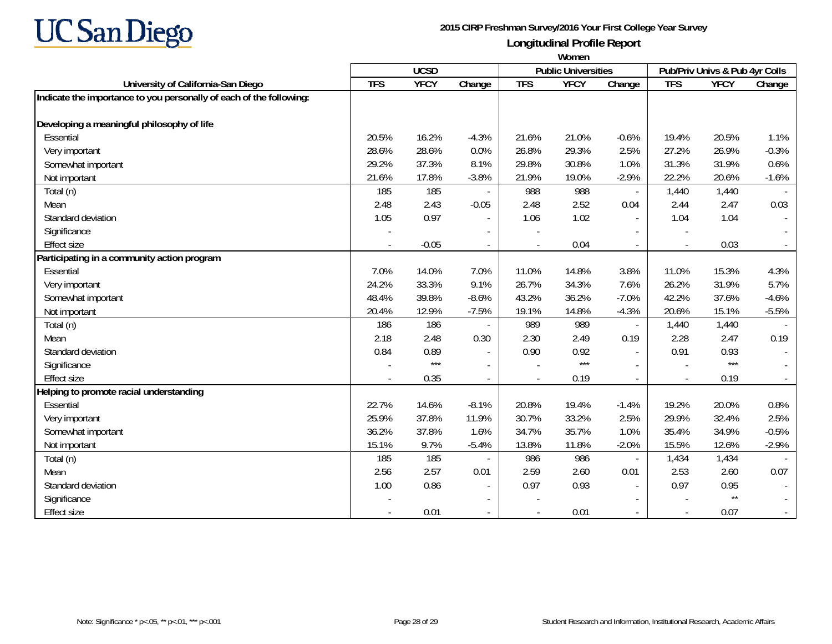

|                                                                     | Women      |             |                          |                            |             |                          |                                |                 |                     |
|---------------------------------------------------------------------|------------|-------------|--------------------------|----------------------------|-------------|--------------------------|--------------------------------|-----------------|---------------------|
|                                                                     |            | <b>UCSD</b> |                          | <b>Public Universities</b> |             |                          | Pub/Priv Univs & Pub 4yr Colls |                 |                     |
| University of California-San Diego                                  | <b>TFS</b> | <b>YFCY</b> | Change                   | <b>TFS</b>                 | <b>YFCY</b> | Change                   | <b>TFS</b>                     | <b>YFCY</b>     | Change              |
| Indicate the importance to you personally of each of the following: |            |             |                          |                            |             |                          |                                |                 |                     |
| Developing a meaningful philosophy of life                          |            |             |                          |                            |             |                          |                                |                 |                     |
| Essential                                                           | 20.5%      | 16.2%       | $-4.3%$                  | 21.6%                      | 21.0%       | $-0.6%$                  | 19.4%                          | 20.5%           | 1.1%                |
| Very important                                                      | 28.6%      | 28.6%       | 0.0%                     | 26.8%                      | 29.3%       | 2.5%                     | 27.2%                          | 26.9%           | $-0.3%$             |
| Somewhat important                                                  | 29.2%      | 37.3%       | 8.1%                     | 29.8%                      | 30.8%       | 1.0%                     | 31.3%                          | 31.9%           | 0.6%                |
| Not important                                                       | 21.6%      | 17.8%       | $-3.8%$                  | 21.9%                      | 19.0%       | $-2.9%$                  | 22.2%                          | 20.6%           | $-1.6%$             |
| Total (n)                                                           | 185        | 185         |                          | 988                        | 988         | $\blacksquare$           | 1,440                          | 1,440           |                     |
| Mean                                                                | 2.48       | 2.43        | $-0.05$                  | 2.48                       | 2.52        | 0.04                     | 2.44                           | 2.47            | 0.03                |
| Standard deviation                                                  | 1.05       | 0.97        | $\blacksquare$           | 1.06                       | 1.02        | $\blacksquare$           | 1.04                           | 1.04            | $\sim$              |
| Significance                                                        |            |             | $\overline{\phantom{a}}$ |                            |             |                          |                                |                 |                     |
| <b>Effect size</b>                                                  |            | $-0.05$     | $\overline{\phantom{a}}$ |                            | 0.04        |                          |                                | 0.03            | $\omega_{\rm{eff}}$ |
| Participating in a community action program                         |            |             |                          |                            |             |                          |                                |                 |                     |
| Essential                                                           | 7.0%       | 14.0%       | 7.0%                     | 11.0%                      | 14.8%       | 3.8%                     | 11.0%                          | 15.3%           | 4.3%                |
| Very important                                                      | 24.2%      | 33.3%       | 9.1%                     | 26.7%                      | 34.3%       | 7.6%                     | 26.2%                          | 31.9%           | 5.7%                |
| Somewhat important                                                  | 48.4%      | 39.8%       | $-8.6%$                  | 43.2%                      | 36.2%       | $-7.0%$                  | 42.2%                          | 37.6%           | $-4.6%$             |
| Not important                                                       | 20.4%      | 12.9%       | $-7.5%$                  | 19.1%                      | 14.8%       | $-4.3%$                  | 20.6%                          | 15.1%           | $-5.5%$             |
| Total (n)                                                           | 186        | 186         |                          | 989                        | 989         |                          | 1,440                          | 1,440           |                     |
| Mean                                                                | 2.18       | 2.48        | 0.30                     | 2.30                       | 2.49        | 0.19                     | 2.28                           | 2.47            | 0.19                |
| Standard deviation                                                  | 0.84       | 0.89        | $\overline{\phantom{a}}$ | 0.90                       | 0.92        | $\blacksquare$           | 0.91                           | 0.93            | $\sim$              |
| Significance                                                        |            | $***$       |                          |                            | $***$       |                          |                                | $***$           |                     |
| <b>Effect size</b>                                                  |            | 0.35        |                          | $\overline{\phantom{a}}$   | 0.19        | $\overline{a}$           |                                | 0.19            | $\sim$              |
| Helping to promote racial understanding                             |            |             |                          |                            |             |                          |                                |                 |                     |
| Essential                                                           | 22.7%      | 14.6%       | $-8.1%$                  | 20.8%                      | 19.4%       | $-1.4%$                  | 19.2%                          | 20.0%           | 0.8%                |
| Very important                                                      | 25.9%      | 37.8%       | 11.9%                    | 30.7%                      | 33.2%       | 2.5%                     | 29.9%                          | 32.4%           | 2.5%                |
| Somewhat important                                                  | 36.2%      | 37.8%       | 1.6%                     | 34.7%                      | 35.7%       | 1.0%                     | 35.4%                          | 34.9%           | $-0.5%$             |
| Not important                                                       | 15.1%      | 9.7%        | $-5.4%$                  | 13.8%                      | 11.8%       | $-2.0%$                  | 15.5%                          | 12.6%           | $-2.9%$             |
| Total (n)                                                           | 185        | 185         |                          | 986                        | 986         |                          | 1,434                          | 1,434           |                     |
| Mean                                                                | 2.56       | 2.57        | 0.01                     | 2.59                       | 2.60        | 0.01                     | 2.53                           | 2.60            | 0.07                |
| Standard deviation                                                  | 1.00       | 0.86        | $\overline{\phantom{a}}$ | 0.97                       | 0.93        | $\overline{\phantom{a}}$ | 0.97                           | 0.95            |                     |
| Significance                                                        |            |             | $\blacksquare$           |                            |             |                          |                                | $^{\star\star}$ |                     |
| <b>Effect size</b>                                                  |            | 0.01        | $\overline{\phantom{a}}$ |                            | 0.01        | $\overline{\phantom{a}}$ |                                | 0.07            | $\sim$              |